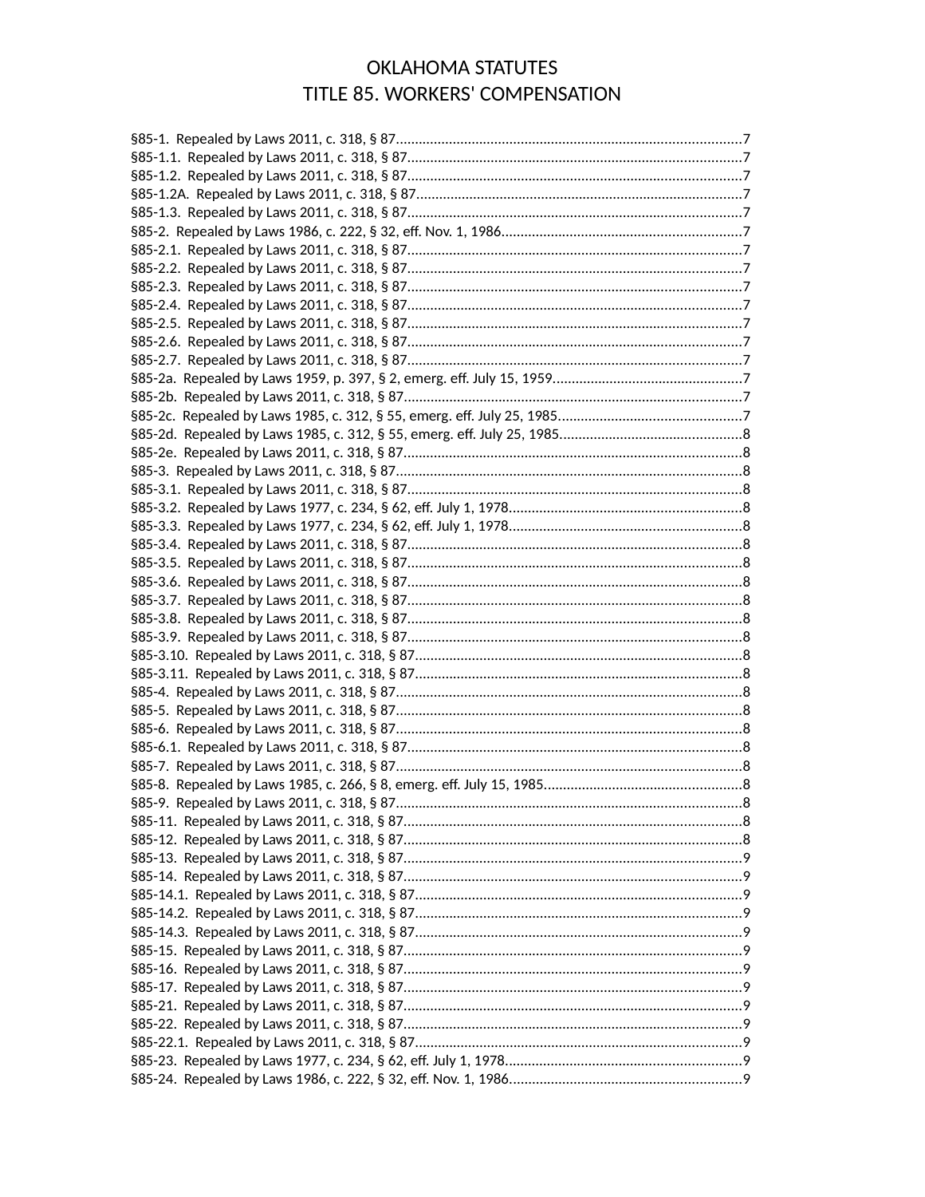## **OKLAHOMA STATUTES** TITLE 85. WORKERS' COMPENSATION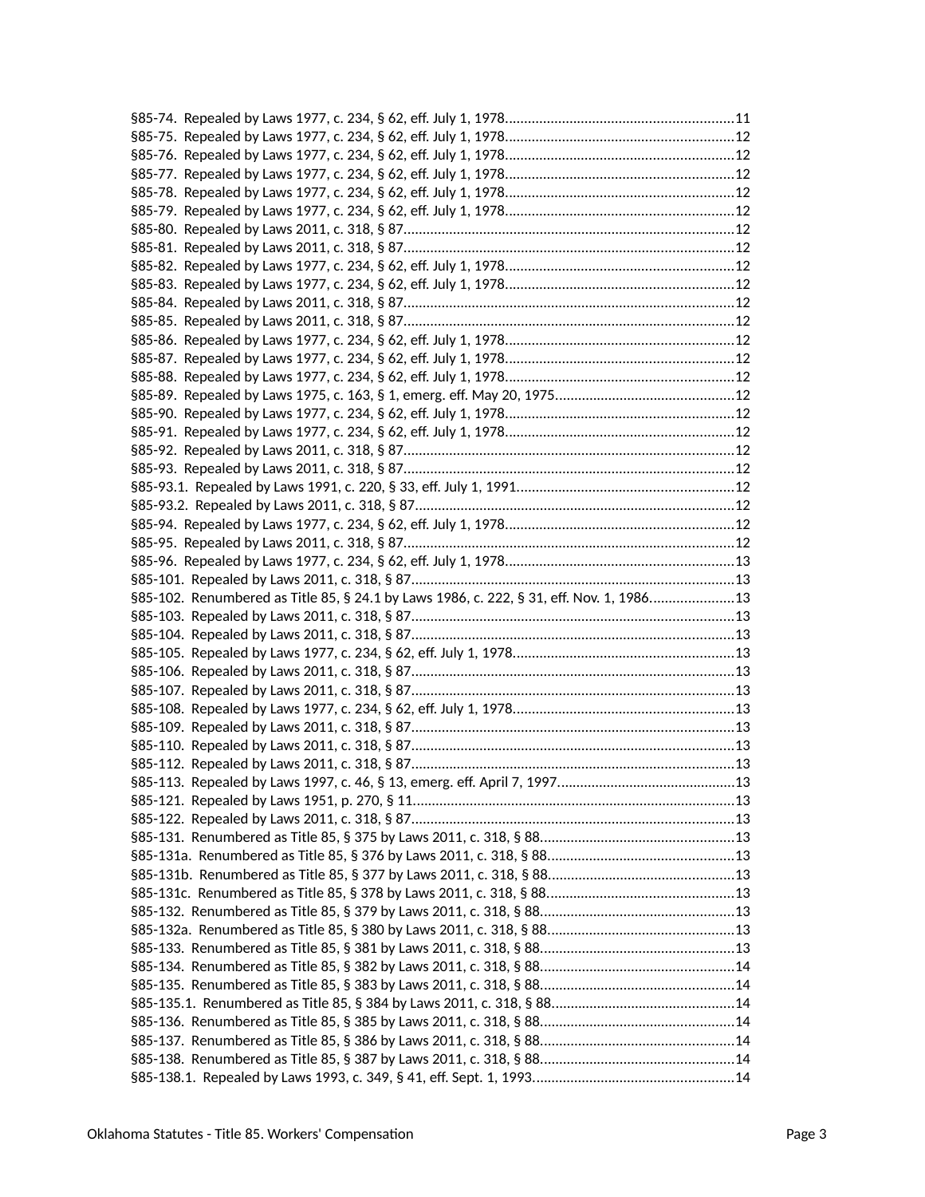| §85-102. Renumbered as Title 85, § 24.1 by Laws 1986, c. 222, § 31, eff. Nov. 1, 198613 |  |
|-----------------------------------------------------------------------------------------|--|
|                                                                                         |  |
|                                                                                         |  |
|                                                                                         |  |
|                                                                                         |  |
|                                                                                         |  |
|                                                                                         |  |
|                                                                                         |  |
|                                                                                         |  |
|                                                                                         |  |
|                                                                                         |  |
|                                                                                         |  |
|                                                                                         |  |
|                                                                                         |  |
|                                                                                         |  |
|                                                                                         |  |
|                                                                                         |  |
|                                                                                         |  |
|                                                                                         |  |
|                                                                                         |  |
|                                                                                         |  |
|                                                                                         |  |
|                                                                                         |  |
|                                                                                         |  |
|                                                                                         |  |
|                                                                                         |  |
|                                                                                         |  |
|                                                                                         |  |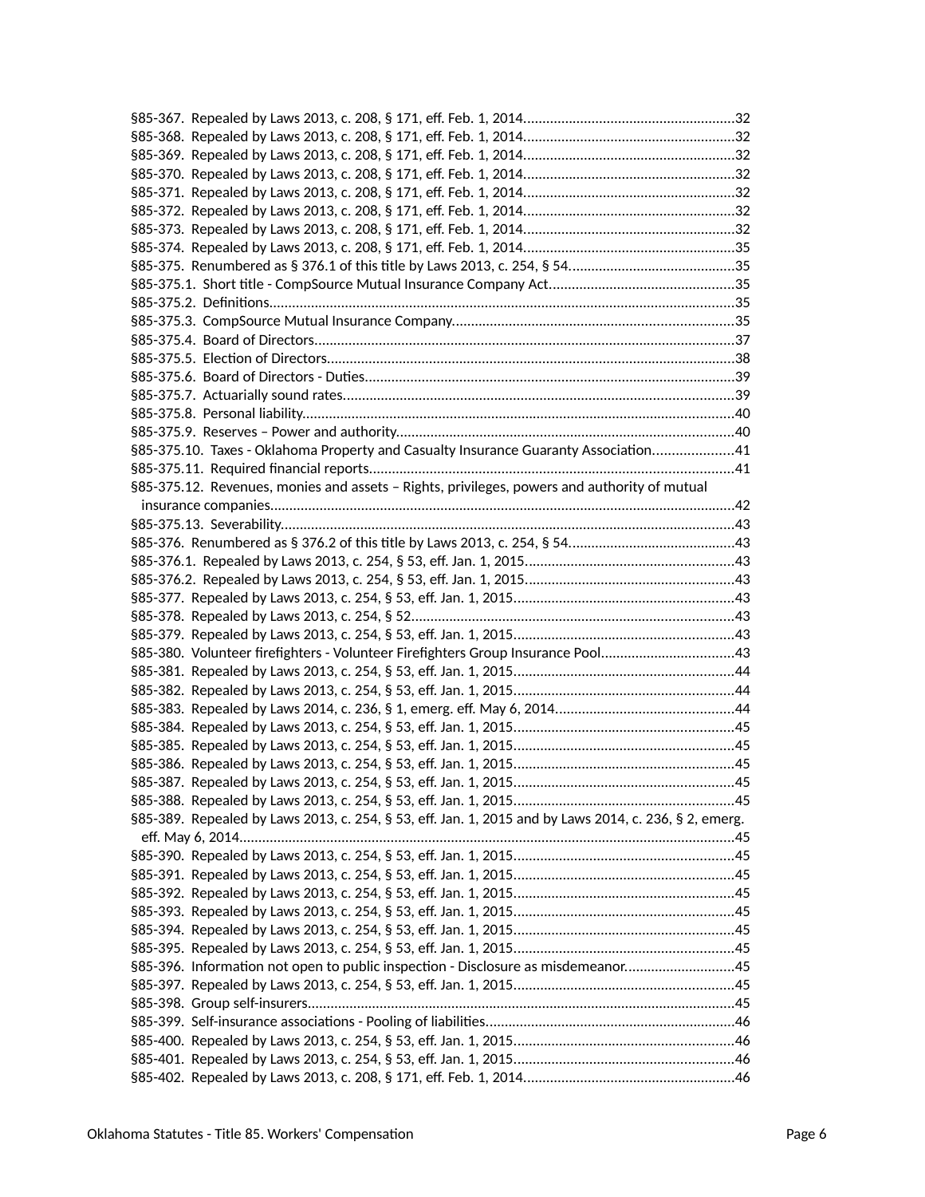| §85-375.10. Taxes - Oklahoma Property and Casualty Insurance Guaranty Association41                   |  |
|-------------------------------------------------------------------------------------------------------|--|
|                                                                                                       |  |
| §85-375.12. Revenues, monies and assets - Rights, privileges, powers and authority of mutual          |  |
|                                                                                                       |  |
|                                                                                                       |  |
|                                                                                                       |  |
|                                                                                                       |  |
|                                                                                                       |  |
|                                                                                                       |  |
|                                                                                                       |  |
|                                                                                                       |  |
| §85-380. Volunteer firefighters - Volunteer Firefighters Group Insurance Pool43                       |  |
|                                                                                                       |  |
|                                                                                                       |  |
|                                                                                                       |  |
|                                                                                                       |  |
|                                                                                                       |  |
|                                                                                                       |  |
|                                                                                                       |  |
|                                                                                                       |  |
| §85-389. Repealed by Laws 2013, c. 254, § 53, eff. Jan. 1, 2015 and by Laws 2014, c. 236, § 2, emerg. |  |
|                                                                                                       |  |
|                                                                                                       |  |
|                                                                                                       |  |
|                                                                                                       |  |
|                                                                                                       |  |
|                                                                                                       |  |
|                                                                                                       |  |
| §85-396. Information not open to public inspection - Disclosure as misdemeanor45                      |  |
|                                                                                                       |  |
|                                                                                                       |  |
|                                                                                                       |  |
|                                                                                                       |  |
|                                                                                                       |  |
|                                                                                                       |  |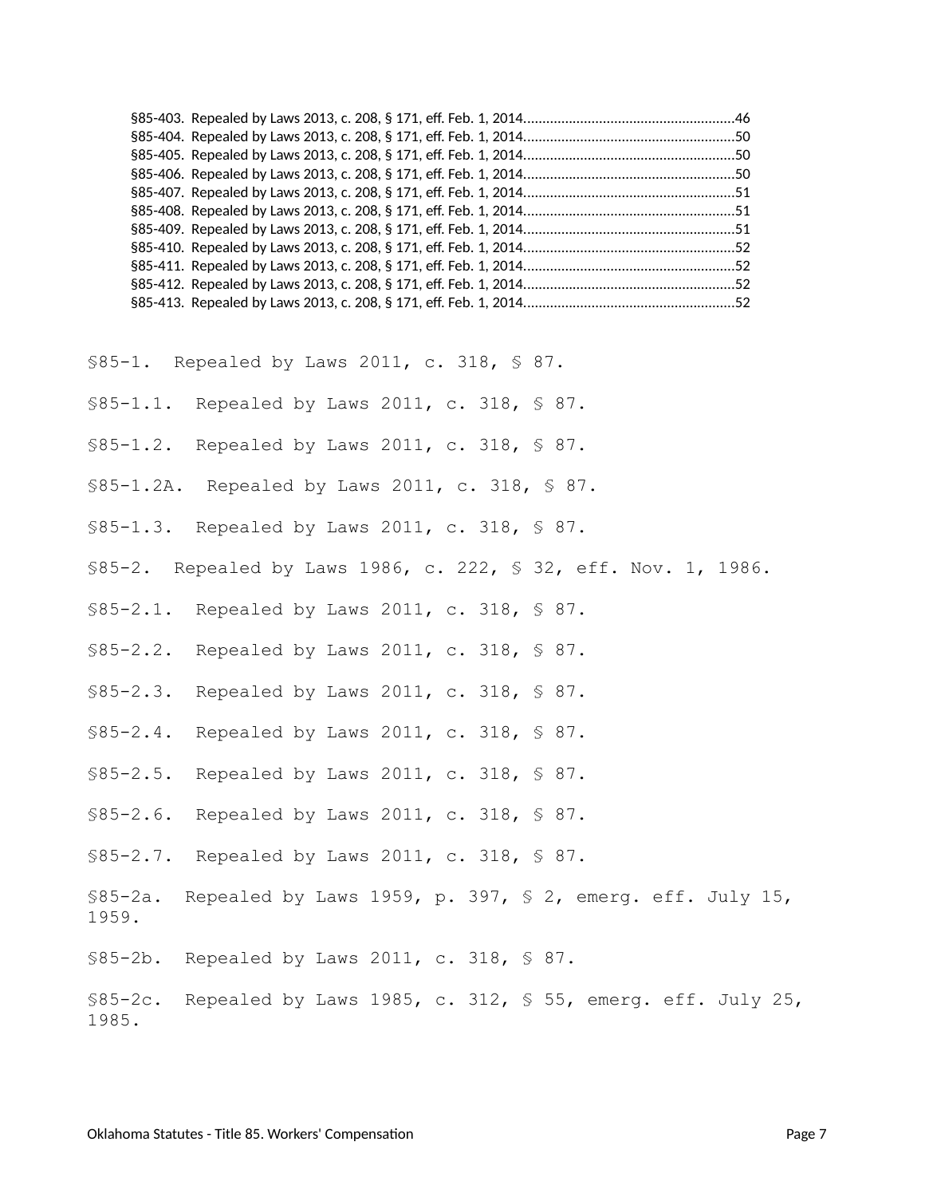<span id="page-6-0"></span>§85-1. Repealed by Laws 2011, c. 318, § 87.

- <span id="page-6-1"></span>§85-1.1. Repealed by Laws 2011, c. 318, § 87.
- <span id="page-6-2"></span>§85-1.2. Repealed by Laws 2011, c. 318, § 87.
- <span id="page-6-3"></span>§85-1.2A. Repealed by Laws 2011, c. 318, § 87.
- <span id="page-6-4"></span>§85-1.3. Repealed by Laws 2011, c. 318, § 87.
- <span id="page-6-5"></span>§85-2. Repealed by Laws 1986, c. 222, § 32, eff. Nov. 1, 1986.
- <span id="page-6-6"></span>§85-2.1. Repealed by Laws 2011, c. 318, § 87.
- <span id="page-6-7"></span>§85-2.2. Repealed by Laws 2011, c. 318, § 87.
- <span id="page-6-8"></span>§85-2.3. Repealed by Laws 2011, c. 318, § 87.
- <span id="page-6-9"></span>§85-2.4. Repealed by Laws 2011, c. 318, § 87.
- <span id="page-6-10"></span>§85-2.5. Repealed by Laws 2011, c. 318, § 87.
- <span id="page-6-11"></span>§85-2.6. Repealed by Laws 2011, c. 318, § 87.
- <span id="page-6-12"></span>§85-2.7. Repealed by Laws 2011, c. 318, § 87.
- <span id="page-6-13"></span>§85-2a. Repealed by Laws 1959, p. 397, § 2, emerg. eff. July 15, 1959.
- <span id="page-6-14"></span>§85-2b. Repealed by Laws 2011, c. 318, § 87.

<span id="page-6-15"></span>§85-2c. Repealed by Laws 1985, c. 312, § 55, emerg. eff. July 25, 1985.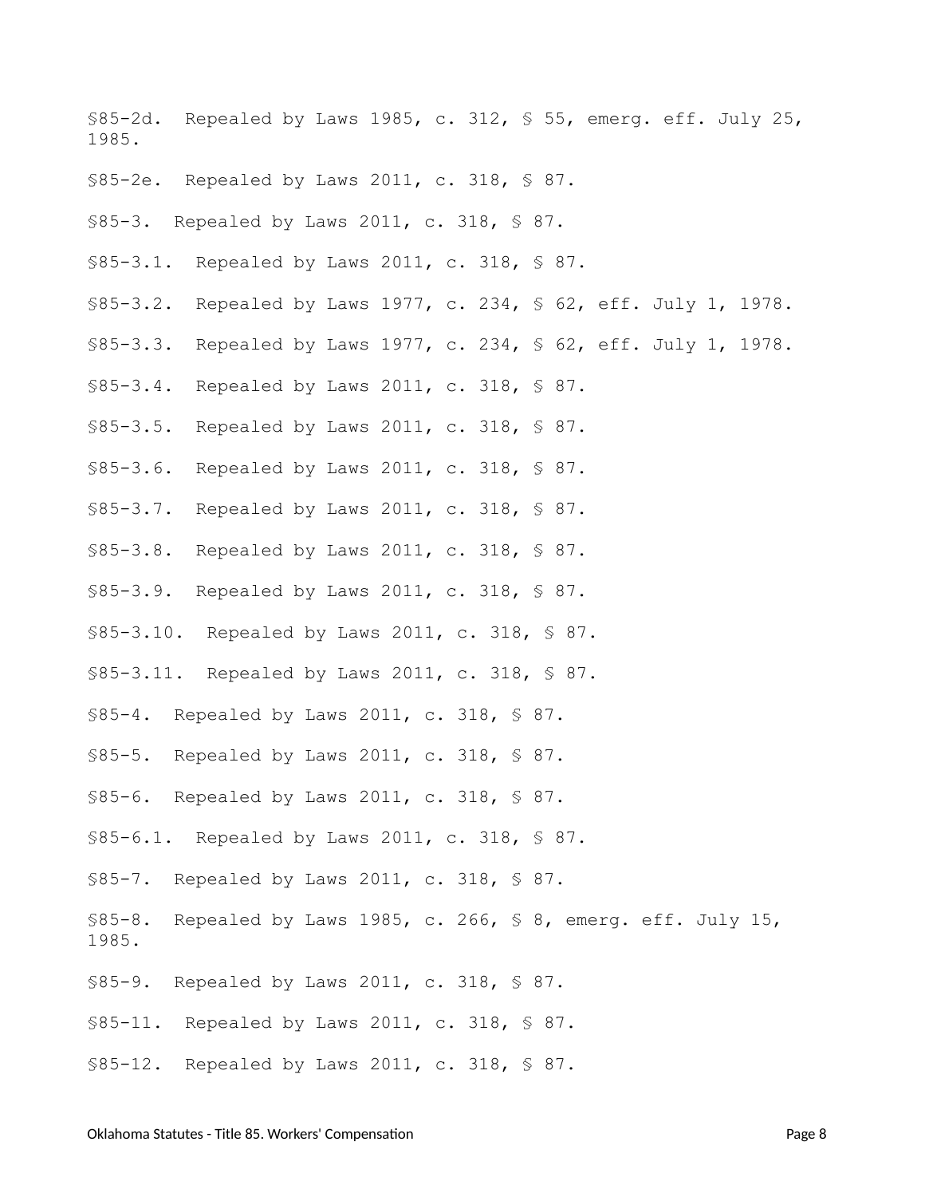<span id="page-7-1"></span>§85-2d. Repealed by Laws 1985, c. 312, § 55, emerg. eff. July 25, 1985.

- <span id="page-7-2"></span>§85-2e. Repealed by Laws 2011, c. 318, § 87.
- <span id="page-7-3"></span>§85-3. Repealed by Laws 2011, c. 318, § 87.
- <span id="page-7-4"></span>§85-3.1. Repealed by Laws 2011, c. 318, § 87.
- <span id="page-7-5"></span>§85-3.2. Repealed by Laws 1977, c. 234, § 62, eff. July 1, 1978.
- <span id="page-7-0"></span>§85-3.3. Repealed by Laws 1977, c. 234, § 62, eff. July 1, 1978.
- <span id="page-7-6"></span>§85-3.4. Repealed by Laws 2011, c. 318, § 87.
- <span id="page-7-7"></span>§85-3.5. Repealed by Laws 2011, c. 318, § 87.
- <span id="page-7-8"></span>§85-3.6. Repealed by Laws 2011, c. 318, § 87.
- <span id="page-7-9"></span>§85-3.7. Repealed by Laws 2011, c. 318, § 87.
- <span id="page-7-10"></span>§85-3.8. Repealed by Laws 2011, c. 318, § 87.
- <span id="page-7-11"></span>§85-3.9. Repealed by Laws 2011, c. 318, § 87.
- <span id="page-7-12"></span>§85-3.10. Repealed by Laws 2011, c. 318, § 87.
- <span id="page-7-13"></span>§85-3.11. Repealed by Laws 2011, c. 318, § 87.
- <span id="page-7-14"></span>§85-4. Repealed by Laws 2011, c. 318, § 87.
- <span id="page-7-15"></span>§85-5. Repealed by Laws 2011, c. 318, § 87.
- <span id="page-7-16"></span>§85-6. Repealed by Laws 2011, c. 318, § 87.
- <span id="page-7-17"></span>§85-6.1. Repealed by Laws 2011, c. 318, § 87.
- <span id="page-7-18"></span>§85-7. Repealed by Laws 2011, c. 318, § 87.
- <span id="page-7-19"></span>§85-8. Repealed by Laws 1985, c. 266, § 8, emerg. eff. July 15, 1985.
- <span id="page-7-20"></span>§85-9. Repealed by Laws 2011, c. 318, § 87.
- <span id="page-7-21"></span>§85-11. Repealed by Laws 2011, c. 318, § 87.
- <span id="page-7-22"></span>§85-12. Repealed by Laws 2011, c. 318, § 87.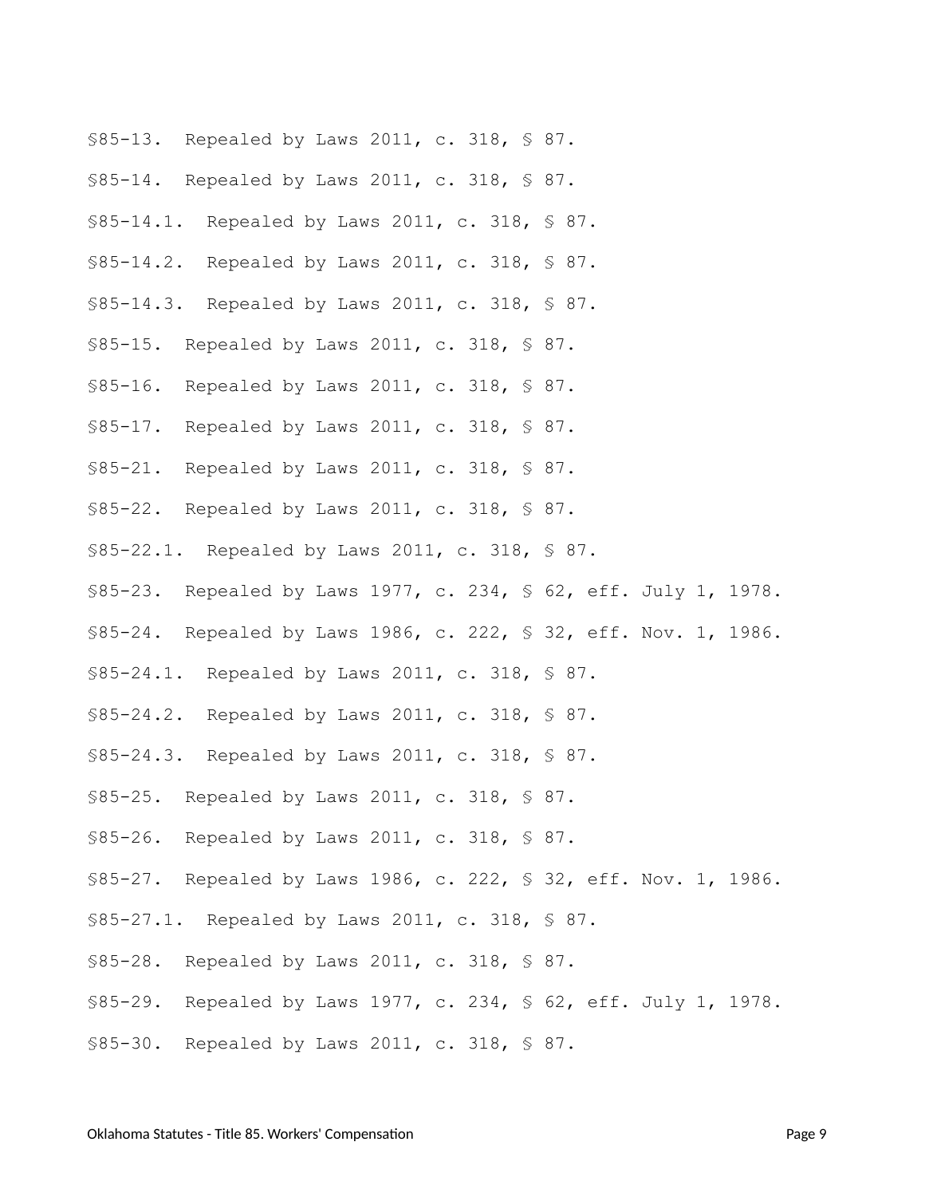- <span id="page-8-0"></span>§85-13. Repealed by Laws 2011, c. 318, § 87.
- <span id="page-8-1"></span>§85-14. Repealed by Laws 2011, c. 318, § 87.
- <span id="page-8-2"></span>§85-14.1. Repealed by Laws 2011, c. 318, § 87.
- <span id="page-8-3"></span>§85-14.2. Repealed by Laws 2011, c. 318, § 87.
- <span id="page-8-4"></span>§85-14.3. Repealed by Laws 2011, c. 318, § 87.
- <span id="page-8-5"></span>§85-15. Repealed by Laws 2011, c. 318, § 87.
- <span id="page-8-12"></span>§85-16. Repealed by Laws 2011, c. 318, § 87.
- <span id="page-8-6"></span>§85-17. Repealed by Laws 2011, c. 318, § 87.
- <span id="page-8-7"></span>§85-21. Repealed by Laws 2011, c. 318, § 87.
- <span id="page-8-8"></span>§85-22. Repealed by Laws 2011, c. 318, § 87.
- <span id="page-8-9"></span>§85-22.1. Repealed by Laws 2011, c. 318, § 87.
- <span id="page-8-10"></span>§85-23. Repealed by Laws 1977, c. 234, § 62, eff. July 1, 1978.
- <span id="page-8-11"></span>§85-24. Repealed by Laws 1986, c. 222, § 32, eff. Nov. 1, 1986.
- <span id="page-8-13"></span>§85-24.1. Repealed by Laws 2011, c. 318, § 87.
- <span id="page-8-14"></span>§85-24.2. Repealed by Laws 2011, c. 318, § 87.
- <span id="page-8-15"></span>§85-24.3. Repealed by Laws 2011, c. 318, § 87.
- <span id="page-8-16"></span>§85-25. Repealed by Laws 2011, c. 318, § 87.
- <span id="page-8-17"></span>§85-26. Repealed by Laws 2011, c. 318, § 87.
- <span id="page-8-18"></span>§85-27. Repealed by Laws 1986, c. 222, § 32, eff. Nov. 1, 1986.
- <span id="page-8-19"></span>§85-27.1. Repealed by Laws 2011, c. 318, § 87.
- <span id="page-8-20"></span>§85-28. Repealed by Laws 2011, c. 318, § 87.
- <span id="page-8-21"></span>§85-29. Repealed by Laws 1977, c. 234, § 62, eff. July 1, 1978.
- <span id="page-8-22"></span>§85-30. Repealed by Laws 2011, c. 318, § 87.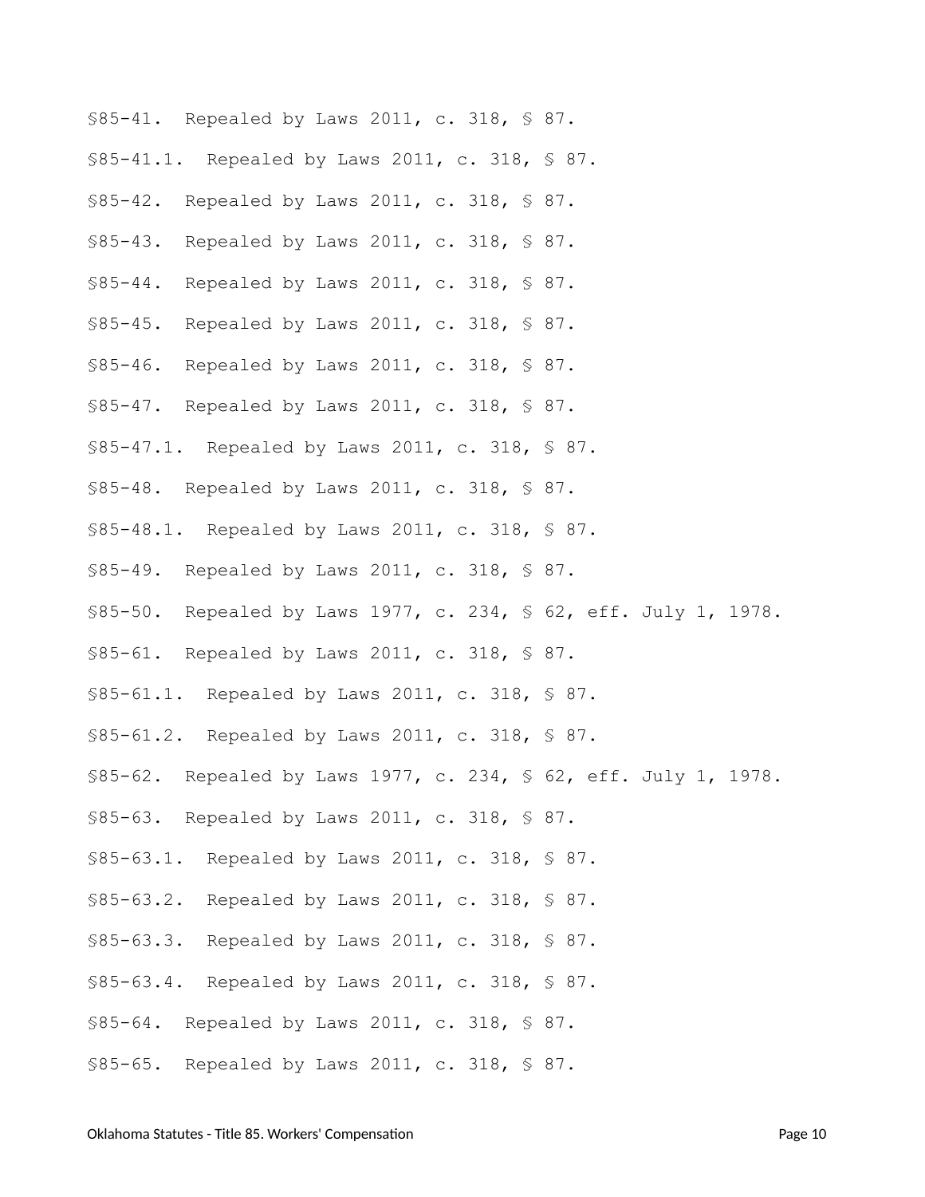<span id="page-9-23"></span><span id="page-9-22"></span><span id="page-9-21"></span><span id="page-9-20"></span><span id="page-9-19"></span><span id="page-9-18"></span><span id="page-9-17"></span><span id="page-9-16"></span><span id="page-9-15"></span><span id="page-9-14"></span><span id="page-9-13"></span><span id="page-9-12"></span><span id="page-9-11"></span><span id="page-9-10"></span><span id="page-9-9"></span><span id="page-9-8"></span><span id="page-9-7"></span><span id="page-9-6"></span><span id="page-9-5"></span><span id="page-9-4"></span><span id="page-9-3"></span><span id="page-9-2"></span><span id="page-9-1"></span><span id="page-9-0"></span>

| \$85-41. Repealed by Laws 2011, c. 318, \$ 87.                    |  |
|-------------------------------------------------------------------|--|
| \$85-41.1. Repealed by Laws 2011, c. 318, \$ 87.                  |  |
| \$85-42. Repealed by Laws 2011, c. 318, \$ 87.                    |  |
| \$85-43. Repealed by Laws 2011, c. 318, \$ 87.                    |  |
| \$85-44. Repealed by Laws 2011, c. 318, \$ 87.                    |  |
| $$85 - 45.$<br>Repealed by Laws 2011, c. 318, $\frac{1}{5}$ 87.   |  |
| $$85 - 46.$<br>Repealed by Laws 2011, c. 318, § 87.               |  |
| \$85-47. Repealed by Laws 2011, c. 318, \$ 87.                    |  |
| \$85-47.1. Repealed by Laws 2011, c. 318, \$ 87.                  |  |
| \$85-48. Repealed by Laws 2011, c. 318, \$ 87.                    |  |
| \$85-48.1. Repealed by Laws 2011, c. 318, \$ 87.                  |  |
| \$85-49. Repealed by Laws 2011, c. 318, \$ 87.                    |  |
| \$85-50. Repealed by Laws 1977, c. 234, § 62, eff. July 1, 1978.  |  |
| \$85-61. Repealed by Laws 2011, c. 318, \$ 87.                    |  |
| \$85-61.1. Repealed by Laws 2011, c. 318, \$ 87.                  |  |
| \$85-61.2. Repealed by Laws 2011, c. 318, \$87.                   |  |
| \$85-62. Repealed by Laws 1977, c. 234, \$ 62, eff. July 1, 1978. |  |
| \$85-63. Repealed by Laws 2011, c. 318, \$ 87.                    |  |
| \$85-63.1. Repealed by Laws 2011, c. 318, \$ 87.                  |  |
| \$85-63.2. Repealed by Laws 2011, c. 318, \$ 87.                  |  |
| \$85-63.3. Repealed by Laws 2011, c. 318, \$ 87.                  |  |
| \$85-63.4. Repealed by Laws 2011, c. 318, \$ 87.                  |  |
| \$85-64. Repealed by Laws 2011, c. 318, \$ 87.                    |  |
| \$85-65. Repealed by Laws 2011, c. 318, \$ 87.                    |  |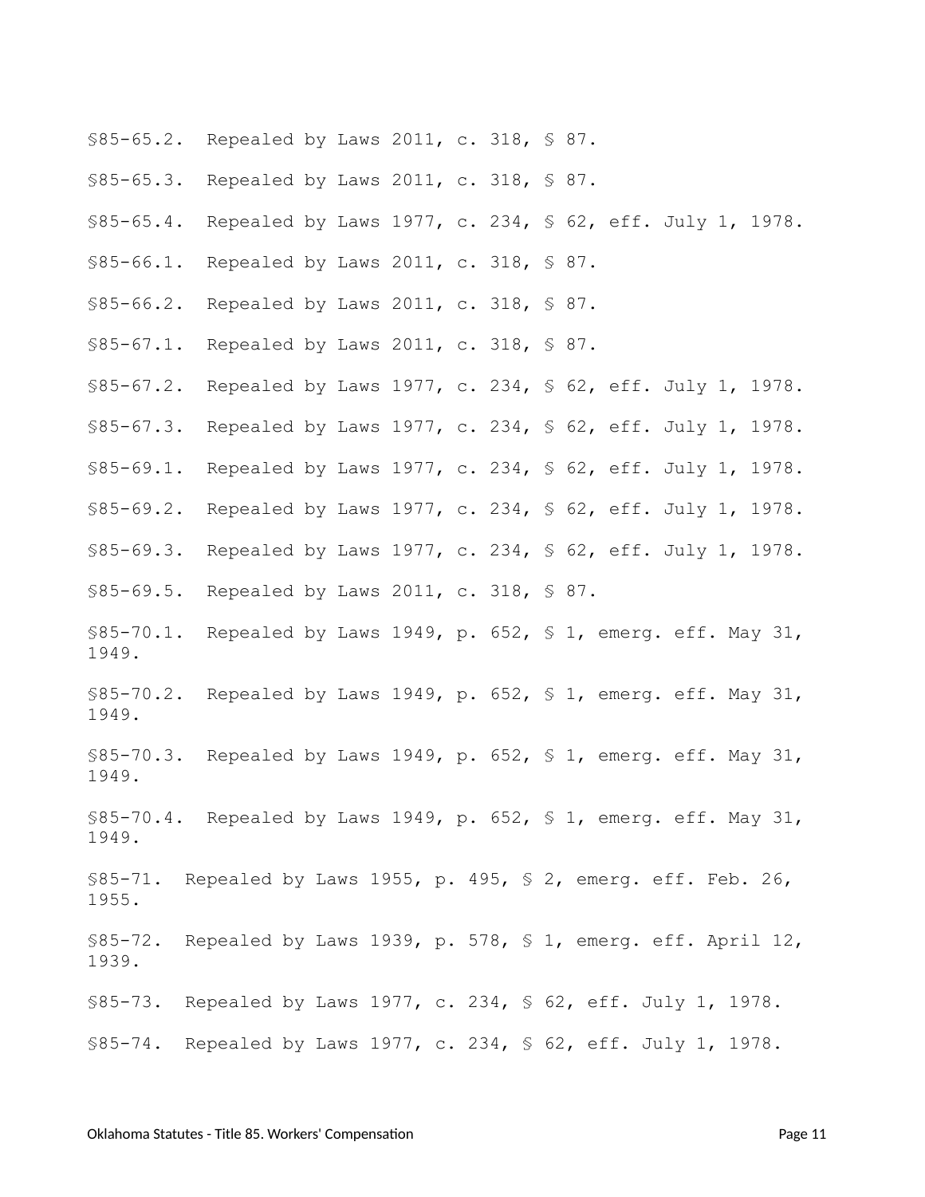- <span id="page-10-0"></span>§85-65.2. Repealed by Laws 2011, c. 318, § 87.
- <span id="page-10-1"></span>§85-65.3. Repealed by Laws 2011, c. 318, § 87.
- <span id="page-10-2"></span>§85-65.4. Repealed by Laws 1977, c. 234, § 62, eff. July 1, 1978.
- <span id="page-10-3"></span>§85-66.1. Repealed by Laws 2011, c. 318, § 87.
- <span id="page-10-4"></span>§85-66.2. Repealed by Laws 2011, c. 318, § 87.
- <span id="page-10-5"></span>§85-67.1. Repealed by Laws 2011, c. 318, § 87.
- <span id="page-10-6"></span>§85-67.2. Repealed by Laws 1977, c. 234, § 62, eff. July 1, 1978.
- <span id="page-10-18"></span>§85-67.3. Repealed by Laws 1977, c. 234, § 62, eff. July 1, 1978.
- <span id="page-10-7"></span>§85-69.1. Repealed by Laws 1977, c. 234, § 62, eff. July 1, 1978.
- <span id="page-10-8"></span>§85-69.2. Repealed by Laws 1977, c. 234, § 62, eff. July 1, 1978.
- <span id="page-10-9"></span>§85-69.3. Repealed by Laws 1977, c. 234, § 62, eff. July 1, 1978.
- <span id="page-10-10"></span>§85-69.5. Repealed by Laws 2011, c. 318, § 87.
- <span id="page-10-11"></span> $$85-70.1$ . Repealed by Laws 1949, p. 652, § 1, emerg. eff. May 31, 1949.
- <span id="page-10-12"></span>§85-70.2. Repealed by Laws 1949, p. 652, § 1, emerg. eff. May 31, 1949.
- <span id="page-10-13"></span>§85-70.3. Repealed by Laws 1949, p. 652, § 1, emerg. eff. May 31, 1949.
- <span id="page-10-14"></span> $$85-70.4$ . Repealed by Laws 1949, p. 652, § 1, emerg. eff. May 31, 1949.
- <span id="page-10-15"></span> $$85-71.$  Repealed by Laws 1955, p. 495, § 2, emerg. eff. Feb. 26, 1955.
- <span id="page-10-16"></span>§85-72. Repealed by Laws 1939, p. 578, § 1, emerg. eff. April 12, 1939.
- <span id="page-10-19"></span><span id="page-10-17"></span>§85-73. Repealed by Laws 1977, c. 234, § 62, eff. July 1, 1978. §85-74. Repealed by Laws 1977, c. 234, § 62, eff. July 1, 1978.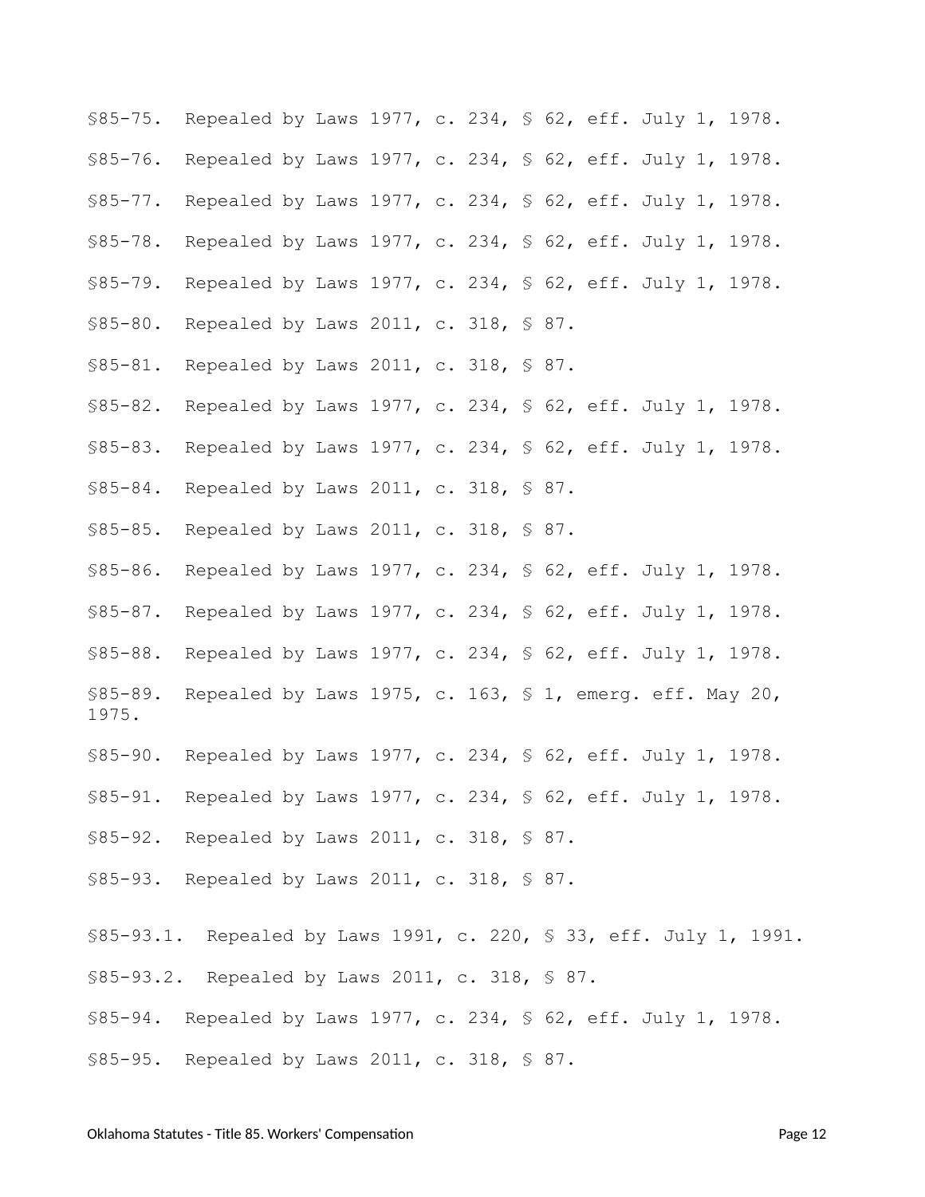<span id="page-11-3"></span><span id="page-11-2"></span><span id="page-11-1"></span><span id="page-11-0"></span>§85-75. Repealed by Laws 1977, c. 234, § 62, eff. July 1, 1978. §85-76. Repealed by Laws 1977, c. 234, § 62, eff. July 1, 1978. §85-77. Repealed by Laws 1977, c. 234, § 62, eff. July 1, 1978. §85-78. Repealed by Laws 1977, c. 234, § 62, eff. July 1, 1978. §85-79. Repealed by Laws 1977, c. 234, § 62, eff. July 1, 1978. §85-80. Repealed by Laws 2011, c. 318, § 87.

- <span id="page-11-6"></span><span id="page-11-5"></span><span id="page-11-4"></span>§85-81. Repealed by Laws 2011, c. 318, § 87.
- <span id="page-11-7"></span>§85-82. Repealed by Laws 1977, c. 234, § 62, eff. July 1, 1978.
- <span id="page-11-8"></span>§85-83. Repealed by Laws 1977, c. 234, § 62, eff. July 1, 1978.
- <span id="page-11-9"></span>§85-84. Repealed by Laws 2011, c. 318, § 87.
- <span id="page-11-10"></span>§85-85. Repealed by Laws 2011, c. 318, § 87.
- <span id="page-11-22"></span><span id="page-11-11"></span>§85-86. Repealed by Laws 1977, c. 234, § 62, eff. July 1, 1978. §85-87. Repealed by Laws 1977, c. 234, § 62, eff. July 1, 1978. §85-88. Repealed by Laws 1977, c. 234, § 62, eff. July 1, 1978. §85-89. Repealed by Laws 1975, c. 163, § 1, emerg. eff. May 20,
- <span id="page-11-14"></span>§85-90. Repealed by Laws 1977, c. 234, § 62, eff. July 1, 1978.
- <span id="page-11-15"></span>§85-91. Repealed by Laws 1977, c. 234, § 62, eff. July 1, 1978.
- <span id="page-11-16"></span>§85-92. Repealed by Laws 2011, c. 318, § 87.
- <span id="page-11-17"></span>§85-93. Repealed by Laws 2011, c. 318, § 87.
- <span id="page-11-19"></span><span id="page-11-18"></span>§85-93.1. Repealed by Laws 1991, c. 220, § 33, eff. July 1, 1991. §85-93.2. Repealed by Laws 2011, c. 318, § 87.
- <span id="page-11-20"></span>§85-94. Repealed by Laws 1977, c. 234, § 62, eff. July 1, 1978.
- <span id="page-11-21"></span>§85-95. Repealed by Laws 2011, c. 318, § 87.

<span id="page-11-13"></span><span id="page-11-12"></span>1975.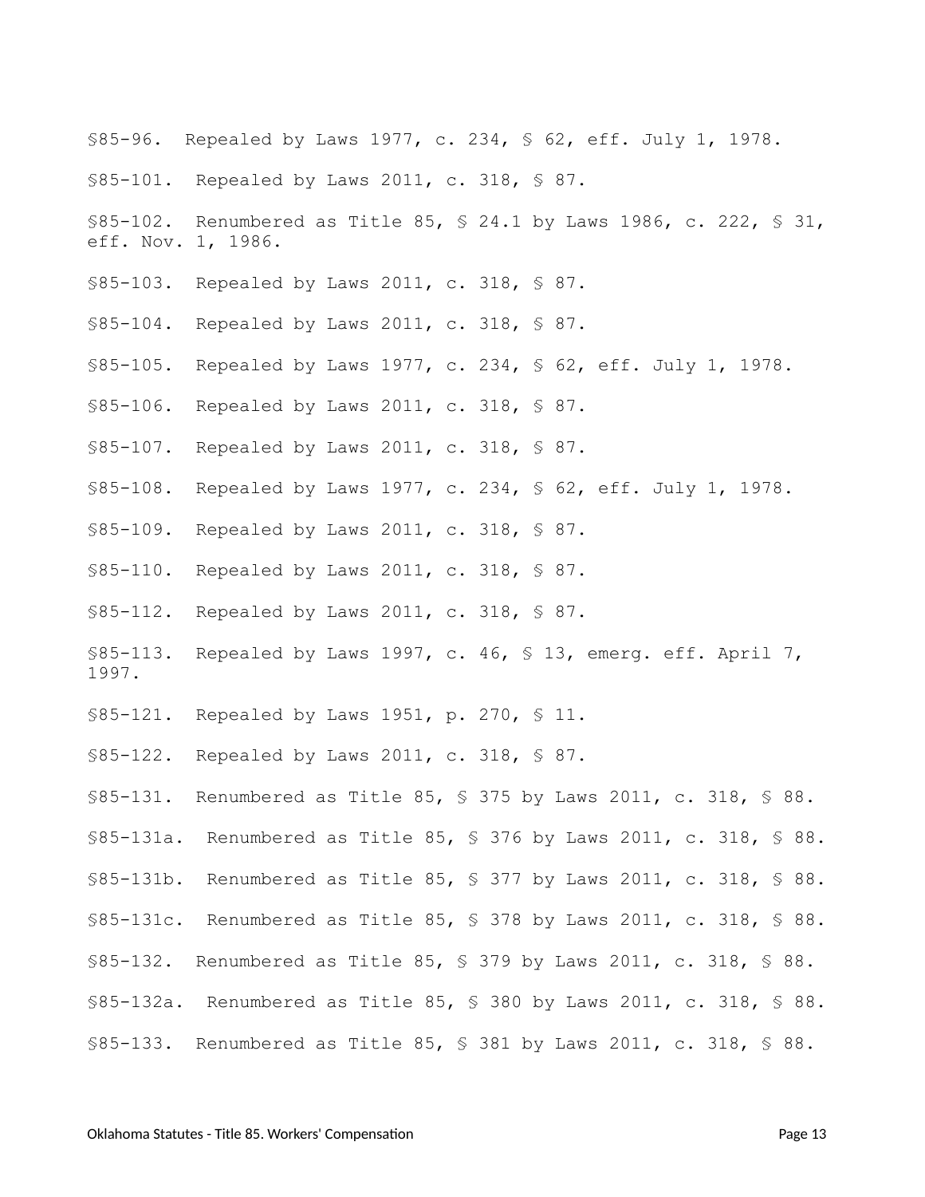- <span id="page-12-0"></span>§85-96. Repealed by Laws 1977, c. 234, § 62, eff. July 1, 1978.
- <span id="page-12-1"></span>§85-101. Repealed by Laws 2011, c. 318, § 87.
- <span id="page-12-2"></span>§85-102. Renumbered as Title 85, § 24.1 by Laws 1986, c. 222, § 31, eff. Nov. 1, 1986.
- <span id="page-12-3"></span>§85-103. Repealed by Laws 2011, c. 318, § 87.
- <span id="page-12-4"></span>§85-104. Repealed by Laws 2011, c. 318, § 87.
- <span id="page-12-5"></span>§85-105. Repealed by Laws 1977, c. 234, § 62, eff. July 1, 1978.
- <span id="page-12-6"></span>§85-106. Repealed by Laws 2011, c. 318, § 87.
- <span id="page-12-7"></span>§85-107. Repealed by Laws 2011, c. 318, § 87.
- <span id="page-12-8"></span>§85-108. Repealed by Laws 1977, c. 234, § 62, eff. July 1, 1978.
- <span id="page-12-9"></span>§85-109. Repealed by Laws 2011, c. 318, § 87.
- <span id="page-12-10"></span>§85-110. Repealed by Laws 2011, c. 318, § 87.
- <span id="page-12-11"></span>§85-112. Repealed by Laws 2011, c. 318, § 87.
- <span id="page-12-21"></span>§85-113. Repealed by Laws 1997, c. 46, § 13, emerg. eff. April 7, 1997.
- <span id="page-12-12"></span>§85-121. Repealed by Laws 1951, p. 270, § 11.
- <span id="page-12-13"></span>§85-122. Repealed by Laws 2011, c. 318, § 87.
- <span id="page-12-14"></span>§85-131. Renumbered as Title 85, § 375 by Laws 2011, c. 318, § 88.
- <span id="page-12-15"></span>§85-131a. Renumbered as Title 85, § 376 by Laws 2011, c. 318, § 88.
- <span id="page-12-16"></span>§85-131b. Renumbered as Title 85, § 377 by Laws 2011, c. 318, § 88.
- <span id="page-12-17"></span>§85-131c. Renumbered as Title 85, § 378 by Laws 2011, c. 318, § 88.
- <span id="page-12-18"></span>§85-132. Renumbered as Title 85, § 379 by Laws 2011, c. 318, § 88.
- <span id="page-12-19"></span>§85-132a. Renumbered as Title 85, § 380 by Laws 2011, c. 318, § 88.
- <span id="page-12-20"></span>§85-133. Renumbered as Title 85, § 381 by Laws 2011, c. 318, § 88.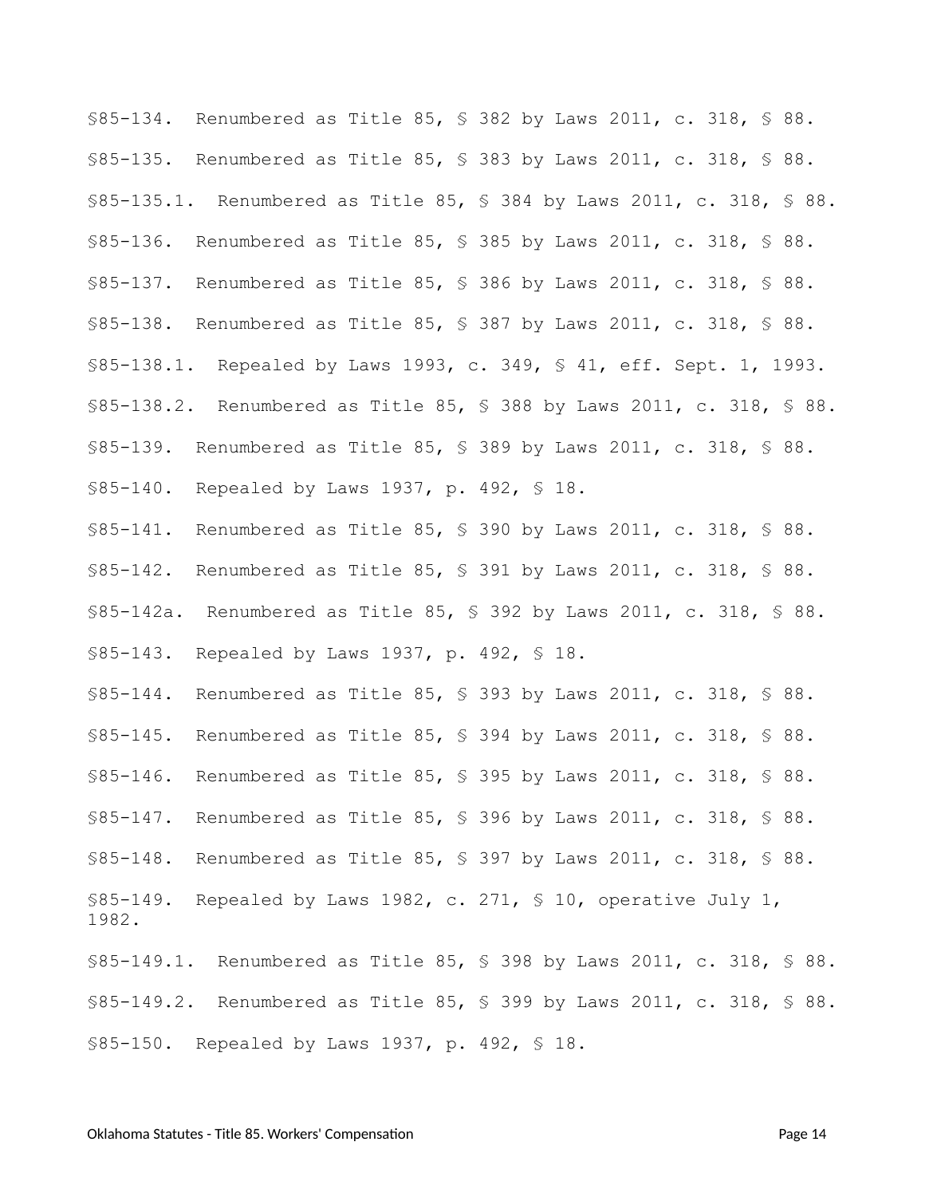<span id="page-13-5"></span><span id="page-13-4"></span><span id="page-13-3"></span><span id="page-13-2"></span><span id="page-13-1"></span><span id="page-13-0"></span>§85-134. Renumbered as Title 85, § 382 by Laws 2011, c. 318, § 88. §85-135. Renumbered as Title 85, § 383 by Laws 2011, c. 318, § 88. §85-135.1. Renumbered as Title 85, § 384 by Laws 2011, c. 318, § 88. §85-136. Renumbered as Title 85, § 385 by Laws 2011, c. 318, § 88. §85-137. Renumbered as Title 85, § 386 by Laws 2011, c. 318, § 88. §85-138. Renumbered as Title 85, § 387 by Laws 2011, c. 318, § 88. §85-138.1. Repealed by Laws 1993, c. 349, § 41, eff. Sept. 1, 1993. §85-138.2. Renumbered as Title 85, § 388 by Laws 2011, c. 318, § 88. §85-139. Renumbered as Title 85, § 389 by Laws 2011, c. 318, § 88. §85-140. Repealed by Laws 1937, p. 492, § 18.

<span id="page-13-12"></span><span id="page-13-11"></span><span id="page-13-10"></span><span id="page-13-9"></span><span id="page-13-8"></span><span id="page-13-7"></span><span id="page-13-6"></span>§85-141. Renumbered as Title 85, § 390 by Laws 2011, c. 318, § 88. §85-142. Renumbered as Title 85, § 391 by Laws 2011, c. 318, § 88. §85-142a. Renumbered as Title 85, § 392 by Laws 2011, c. 318, § 88. §85-143. Repealed by Laws 1937, p. 492, § 18.

<span id="page-13-22"></span><span id="page-13-16"></span><span id="page-13-15"></span><span id="page-13-14"></span><span id="page-13-13"></span>§85-144. Renumbered as Title 85, § 393 by Laws 2011, c. 318, § 88. §85-145. Renumbered as Title 85, § 394 by Laws 2011, c. 318, § 88. §85-146. Renumbered as Title 85, § 395 by Laws 2011, c. 318, § 88. §85-147. Renumbered as Title 85, § 396 by Laws 2011, c. 318, § 88. §85-148. Renumbered as Title 85, § 397 by Laws 2011, c. 318, § 88. §85-149. Repealed by Laws 1982, c. 271, § 10, operative July 1, 1982.

<span id="page-13-21"></span><span id="page-13-20"></span><span id="page-13-19"></span><span id="page-13-18"></span><span id="page-13-17"></span>§85-149.1. Renumbered as Title 85, § 398 by Laws 2011, c. 318, § 88. §85-149.2. Renumbered as Title 85, § 399 by Laws 2011, c. 318, § 88. §85-150. Repealed by Laws 1937, p. 492, § 18.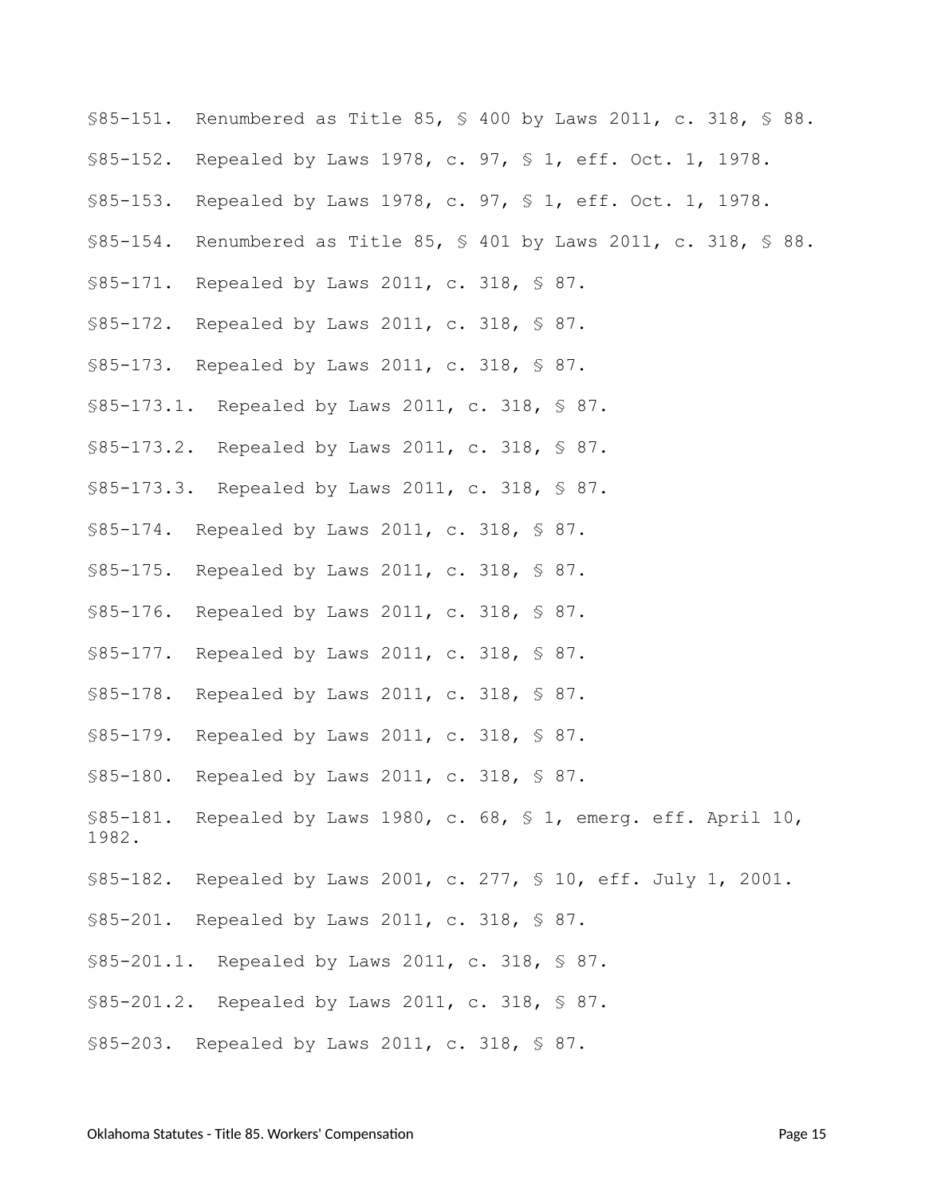- <span id="page-14-0"></span>§85-151. Renumbered as Title 85, § 400 by Laws 2011, c. 318, § 88.
- <span id="page-14-1"></span>§85-152. Repealed by Laws 1978, c. 97, § 1, eff. Oct. 1, 1978.
- <span id="page-14-2"></span>§85-153. Repealed by Laws 1978, c. 97, § 1, eff. Oct. 1, 1978.
- <span id="page-14-3"></span>§85-154. Renumbered as Title 85, § 401 by Laws 2011, c. 318, § 88.
- <span id="page-14-4"></span>§85-171. Repealed by Laws 2011, c. 318, § 87.
- <span id="page-14-5"></span>§85-172. Repealed by Laws 2011, c. 318, § 87.
- <span id="page-14-6"></span>§85-173. Repealed by Laws 2011, c. 318, § 87.
- <span id="page-14-7"></span>§85-173.1. Repealed by Laws 2011, c. 318, § 87.
- <span id="page-14-8"></span>§85-173.2. Repealed by Laws 2011, c. 318, § 87.
- <span id="page-14-9"></span>§85-173.3. Repealed by Laws 2011, c. 318, § 87.
- <span id="page-14-10"></span>§85-174. Repealed by Laws 2011, c. 318, § 87.
- <span id="page-14-11"></span>§85-175. Repealed by Laws 2011, c. 318, § 87.
- <span id="page-14-12"></span>§85-176. Repealed by Laws 2011, c. 318, § 87.
- <span id="page-14-13"></span>§85-177. Repealed by Laws 2011, c. 318, § 87.
- <span id="page-14-14"></span>§85-178. Repealed by Laws 2011, c. 318, § 87.
- <span id="page-14-22"></span>§85-179. Repealed by Laws 2011, c. 318, § 87.
- <span id="page-14-15"></span>§85-180. Repealed by Laws 2011, c. 318, § 87.
- <span id="page-14-16"></span>§85-181. Repealed by Laws 1980, c. 68, § 1, emerg. eff. April 10, 1982.
- <span id="page-14-17"></span>§85-182. Repealed by Laws 2001, c. 277, § 10, eff. July 1, 2001.
- <span id="page-14-18"></span>§85-201. Repealed by Laws 2011, c. 318, § 87.
- <span id="page-14-19"></span>§85-201.1. Repealed by Laws 2011, c. 318, § 87.
- <span id="page-14-20"></span>§85-201.2. Repealed by Laws 2011, c. 318, § 87.
- <span id="page-14-21"></span>§85-203. Repealed by Laws 2011, c. 318, § 87.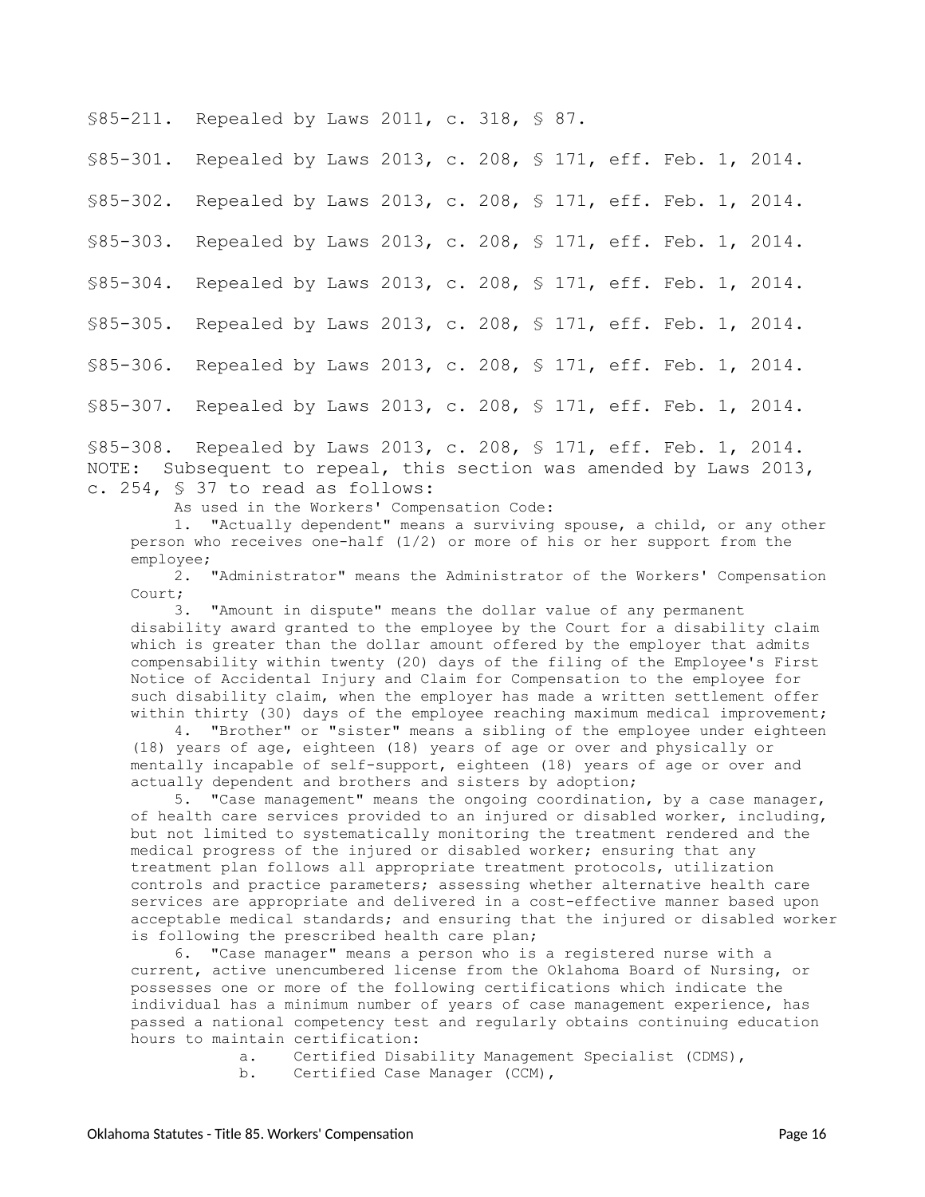<span id="page-15-0"></span>§85-211. Repealed by Laws 2011, c. 318, § 87.

<span id="page-15-4"></span><span id="page-15-3"></span><span id="page-15-2"></span><span id="page-15-1"></span>§85-301. Repealed by Laws 2013, c. 208, § 171, eff. Feb. 1, 2014. §85-302. Repealed by Laws 2013, c. 208, § 171, eff. Feb. 1, 2014. §85-303. Repealed by Laws 2013, c. 208, § 171, eff. Feb. 1, 2014. §85-304. Repealed by Laws 2013, c. 208, § 171, eff. Feb. 1, 2014. §85-305. Repealed by Laws 2013, c. 208, § 171, eff. Feb. 1, 2014. §85-306. Repealed by Laws 2013, c. 208, § 171, eff. Feb. 1, 2014. §85-307. Repealed by Laws 2013, c. 208, § 171, eff. Feb. 1, 2014.

<span id="page-15-8"></span><span id="page-15-7"></span><span id="page-15-6"></span><span id="page-15-5"></span>§85-308. Repealed by Laws 2013, c. 208, § 171, eff. Feb. 1, 2014. NOTE: Subsequent to repeal, this section was amended by Laws 2013, c. 254, § 37 to read as follows:

As used in the Workers' Compensation Code:

1. "Actually dependent" means a surviving spouse, a child, or any other person who receives one-half (1/2) or more of his or her support from the employee;

2. "Administrator" means the Administrator of the Workers' Compensation Court;

3. "Amount in dispute" means the dollar value of any permanent disability award granted to the employee by the Court for a disability claim which is greater than the dollar amount offered by the employer that admits compensability within twenty (20) days of the filing of the Employee's First Notice of Accidental Injury and Claim for Compensation to the employee for such disability claim, when the employer has made a written settlement offer within thirty (30) days of the employee reaching maximum medical improvement;

4. "Brother" or "sister" means a sibling of the employee under eighteen (18) years of age, eighteen (18) years of age or over and physically or mentally incapable of self-support, eighteen (18) years of age or over and actually dependent and brothers and sisters by adoption;

5. "Case management" means the ongoing coordination, by a case manager, of health care services provided to an injured or disabled worker, including, but not limited to systematically monitoring the treatment rendered and the medical progress of the injured or disabled worker; ensuring that any treatment plan follows all appropriate treatment protocols, utilization controls and practice parameters; assessing whether alternative health care services are appropriate and delivered in a cost-effective manner based upon acceptable medical standards; and ensuring that the injured or disabled worker is following the prescribed health care plan;

6. "Case manager" means a person who is a registered nurse with a current, active unencumbered license from the Oklahoma Board of Nursing, or possesses one or more of the following certifications which indicate the individual has a minimum number of years of case management experience, has passed a national competency test and regularly obtains continuing education hours to maintain certification:

> a. Certified Disability Management Specialist (CDMS), b. Certified Case Manager (CCM),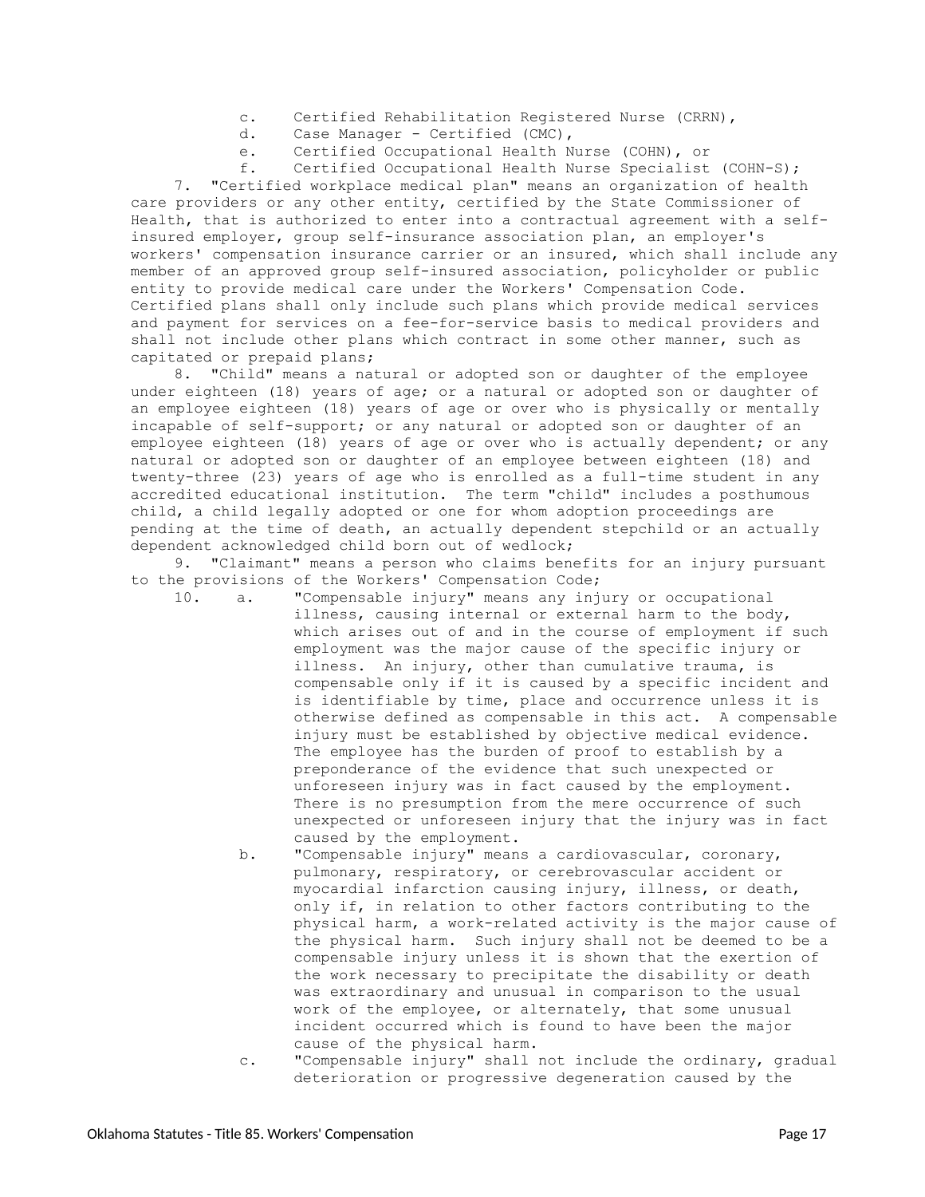- c. Certified Rehabilitation Registered Nurse (CRRN),
- d. Case Manager Certified (CMC),
- e. Certified Occupational Health Nurse (COHN), or

f. Certified Occupational Health Nurse Specialist (COHN-S); 7. "Certified workplace medical plan" means an organization of health care providers or any other entity, certified by the State Commissioner of Health, that is authorized to enter into a contractual agreement with a selfinsured employer, group self-insurance association plan, an employer's workers' compensation insurance carrier or an insured, which shall include any member of an approved group self-insured association, policyholder or public entity to provide medical care under the Workers' Compensation Code. Certified plans shall only include such plans which provide medical services and payment for services on a fee-for-service basis to medical providers and shall not include other plans which contract in some other manner, such as capitated or prepaid plans;

8. "Child" means a natural or adopted son or daughter of the employee under eighteen (18) years of age; or a natural or adopted son or daughter of an employee eighteen (18) years of age or over who is physically or mentally incapable of self-support; or any natural or adopted son or daughter of an employee eighteen (18) years of age or over who is actually dependent; or any natural or adopted son or daughter of an employee between eighteen (18) and twenty-three (23) years of age who is enrolled as a full-time student in any accredited educational institution. The term "child" includes a posthumous child, a child legally adopted or one for whom adoption proceedings are pending at the time of death, an actually dependent stepchild or an actually dependent acknowledged child born out of wedlock;

9. "Claimant" means a person who claims benefits for an injury pursuant to the provisions of the Workers' Compensation Code;

10. a. "Compensable injury" means any injury or occupational illness, causing internal or external harm to the body, which arises out of and in the course of employment if such employment was the major cause of the specific injury or illness. An injury, other than cumulative trauma, is compensable only if it is caused by a specific incident and is identifiable by time, place and occurrence unless it is otherwise defined as compensable in this act. A compensable injury must be established by objective medical evidence. The employee has the burden of proof to establish by a preponderance of the evidence that such unexpected or unforeseen injury was in fact caused by the employment. There is no presumption from the mere occurrence of such unexpected or unforeseen injury that the injury was in fact caused by the employment.

- b. "Compensable injury" means a cardiovascular, coronary, pulmonary, respiratory, or cerebrovascular accident or myocardial infarction causing injury, illness, or death, only if, in relation to other factors contributing to the physical harm, a work-related activity is the major cause of the physical harm. Such injury shall not be deemed to be a compensable injury unless it is shown that the exertion of the work necessary to precipitate the disability or death was extraordinary and unusual in comparison to the usual work of the employee, or alternately, that some unusual incident occurred which is found to have been the major cause of the physical harm.
- c. "Compensable injury" shall not include the ordinary, gradual deterioration or progressive degeneration caused by the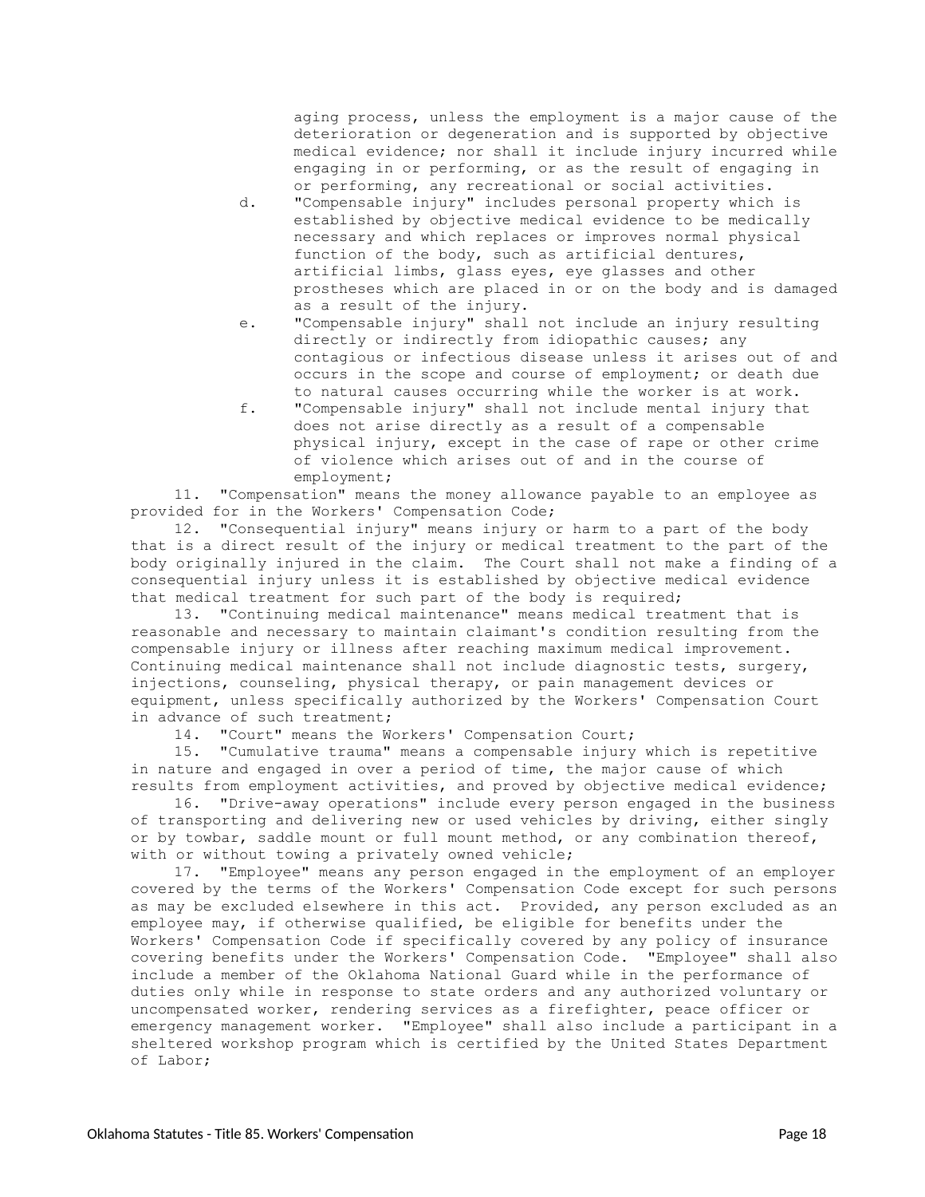aging process, unless the employment is a major cause of the deterioration or degeneration and is supported by objective medical evidence; nor shall it include injury incurred while engaging in or performing, or as the result of engaging in or performing, any recreational or social activities.

- d. "Compensable injury" includes personal property which is established by objective medical evidence to be medically necessary and which replaces or improves normal physical function of the body, such as artificial dentures, artificial limbs, glass eyes, eye glasses and other prostheses which are placed in or on the body and is damaged as a result of the injury.
- e. "Compensable injury" shall not include an injury resulting directly or indirectly from idiopathic causes; any contagious or infectious disease unless it arises out of and occurs in the scope and course of employment; or death due to natural causes occurring while the worker is at work.
- f. "Compensable injury" shall not include mental injury that does not arise directly as a result of a compensable physical injury, except in the case of rape or other crime of violence which arises out of and in the course of employment;

11. "Compensation" means the money allowance payable to an employee as provided for in the Workers' Compensation Code;

12. "Consequential injury" means injury or harm to a part of the body that is a direct result of the injury or medical treatment to the part of the body originally injured in the claim. The Court shall not make a finding of a consequential injury unless it is established by objective medical evidence that medical treatment for such part of the body is required;

13. "Continuing medical maintenance" means medical treatment that is reasonable and necessary to maintain claimant's condition resulting from the compensable injury or illness after reaching maximum medical improvement. Continuing medical maintenance shall not include diagnostic tests, surgery, injections, counseling, physical therapy, or pain management devices or equipment, unless specifically authorized by the Workers' Compensation Court in advance of such treatment;

14. "Court" means the Workers' Compensation Court;<br>15. "Cumulative trauma" means a compensable injury

15. "Cumulative trauma" means a compensable injury which is repetitive in nature and engaged in over a period of time, the major cause of which results from employment activities, and proved by objective medical evidence;

16. "Drive-away operations" include every person engaged in the business of transporting and delivering new or used vehicles by driving, either singly or by towbar, saddle mount or full mount method, or any combination thereof, with or without towing a privately owned vehicle;

17. "Employee" means any person engaged in the employment of an employer covered by the terms of the Workers' Compensation Code except for such persons as may be excluded elsewhere in this act. Provided, any person excluded as an employee may, if otherwise qualified, be eligible for benefits under the Workers' Compensation Code if specifically covered by any policy of insurance covering benefits under the Workers' Compensation Code. "Employee" shall also include a member of the Oklahoma National Guard while in the performance of duties only while in response to state orders and any authorized voluntary or uncompensated worker, rendering services as a firefighter, peace officer or emergency management worker. "Employee" shall also include a participant in a sheltered workshop program which is certified by the United States Department of Labor;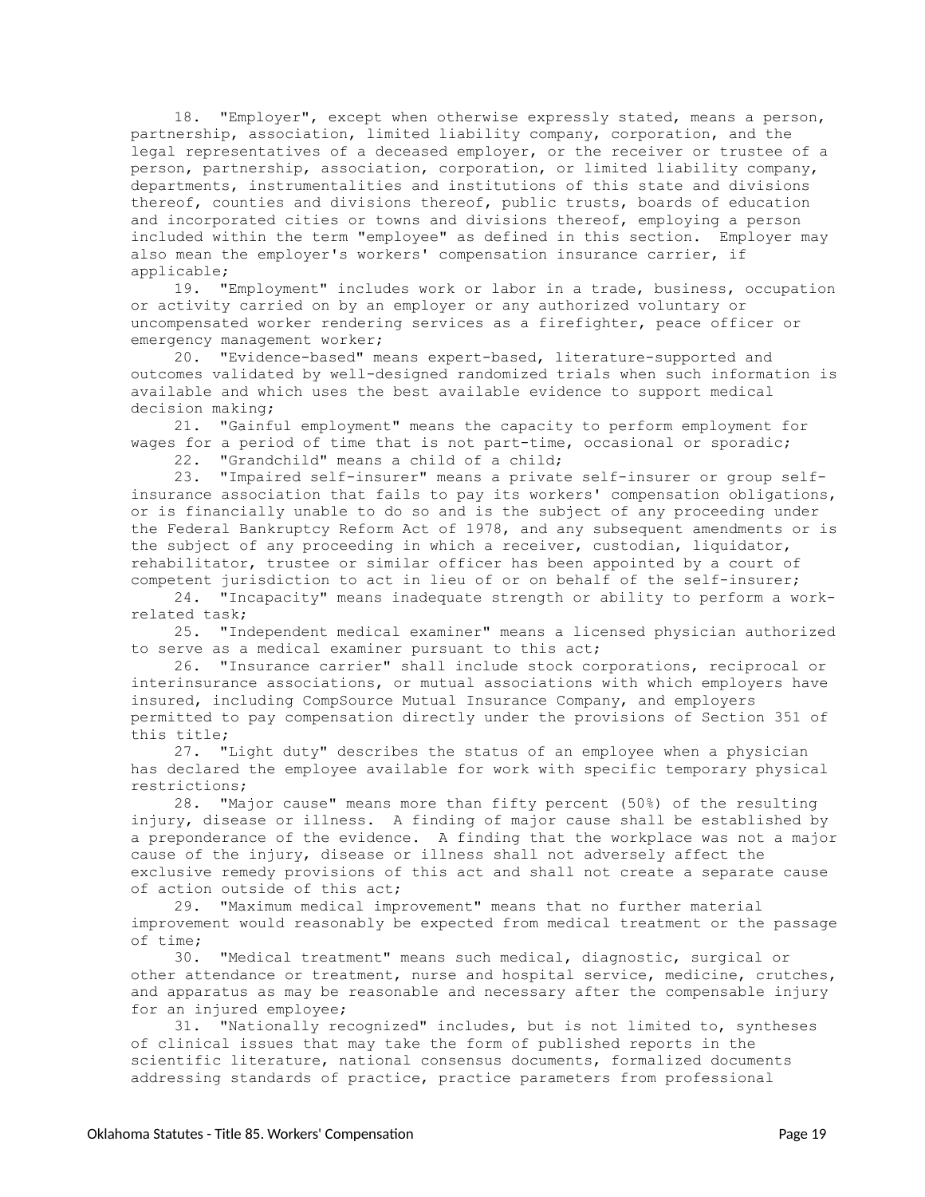18. "Employer", except when otherwise expressly stated, means a person, partnership, association, limited liability company, corporation, and the legal representatives of a deceased employer, or the receiver or trustee of a person, partnership, association, corporation, or limited liability company, departments, instrumentalities and institutions of this state and divisions thereof, counties and divisions thereof, public trusts, boards of education and incorporated cities or towns and divisions thereof, employing a person included within the term "employee" as defined in this section. Employer may also mean the employer's workers' compensation insurance carrier, if applicable;

19. "Employment" includes work or labor in a trade, business, occupation or activity carried on by an employer or any authorized voluntary or uncompensated worker rendering services as a firefighter, peace officer or emergency management worker;

20. "Evidence-based" means expert-based, literature-supported and outcomes validated by well-designed randomized trials when such information is available and which uses the best available evidence to support medical decision making;

21. "Gainful employment" means the capacity to perform employment for wages for a period of time that is not part-time, occasional or sporadic;

22. "Grandchild" means a child of a child;

23. "Impaired self-insurer" means a private self-insurer or group selfinsurance association that fails to pay its workers' compensation obligations, or is financially unable to do so and is the subject of any proceeding under the Federal Bankruptcy Reform Act of 1978, and any subsequent amendments or is the subject of any proceeding in which a receiver, custodian, liquidator, rehabilitator, trustee or similar officer has been appointed by a court of competent jurisdiction to act in lieu of or on behalf of the self-insurer;

24. "Incapacity" means inadequate strength or ability to perform a workrelated task;

25. "Independent medical examiner" means a licensed physician authorized to serve as a medical examiner pursuant to this act;

26. "Insurance carrier" shall include stock corporations, reciprocal or interinsurance associations, or mutual associations with which employers have insured, including CompSource Mutual Insurance Company, and employers permitted to pay compensation directly under the provisions of Section 351 of this title;

27. "Light duty" describes the status of an employee when a physician has declared the employee available for work with specific temporary physical restrictions;

28. "Major cause" means more than fifty percent (50%) of the resulting injury, disease or illness. A finding of major cause shall be established by a preponderance of the evidence. A finding that the workplace was not a major cause of the injury, disease or illness shall not adversely affect the exclusive remedy provisions of this act and shall not create a separate cause of action outside of this act;

29. "Maximum medical improvement" means that no further material improvement would reasonably be expected from medical treatment or the passage of time;

30. "Medical treatment" means such medical, diagnostic, surgical or other attendance or treatment, nurse and hospital service, medicine, crutches, and apparatus as may be reasonable and necessary after the compensable injury for an injured employee;

31. "Nationally recognized" includes, but is not limited to, syntheses of clinical issues that may take the form of published reports in the scientific literature, national consensus documents, formalized documents addressing standards of practice, practice parameters from professional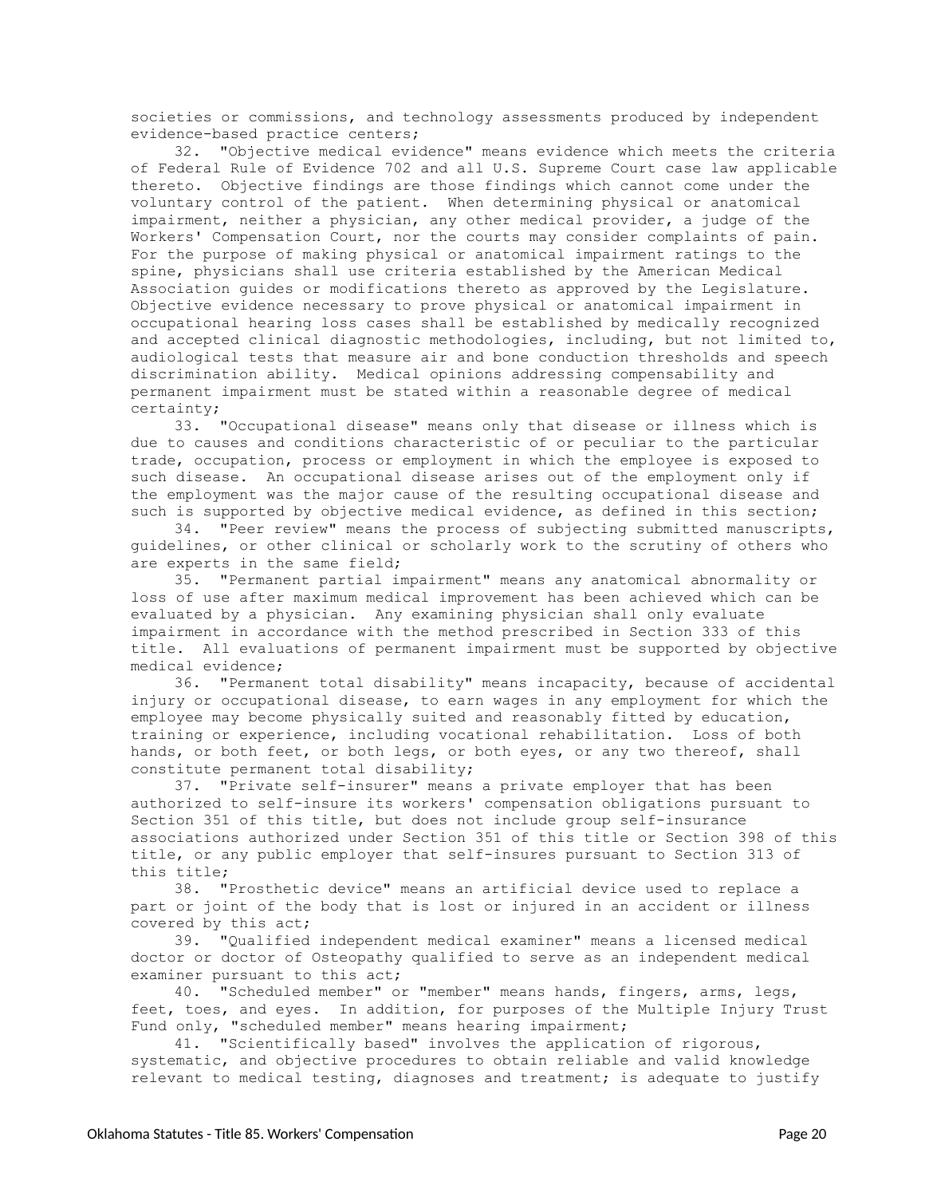societies or commissions, and technology assessments produced by independent evidence-based practice centers;

32. "Objective medical evidence" means evidence which meets the criteria of Federal Rule of Evidence 702 and all U.S. Supreme Court case law applicable thereto. Objective findings are those findings which cannot come under the voluntary control of the patient. When determining physical or anatomical impairment, neither a physician, any other medical provider, a judge of the Workers' Compensation Court, nor the courts may consider complaints of pain. For the purpose of making physical or anatomical impairment ratings to the spine, physicians shall use criteria established by the American Medical Association guides or modifications thereto as approved by the Legislature. Objective evidence necessary to prove physical or anatomical impairment in occupational hearing loss cases shall be established by medically recognized and accepted clinical diagnostic methodologies, including, but not limited to, audiological tests that measure air and bone conduction thresholds and speech discrimination ability. Medical opinions addressing compensability and permanent impairment must be stated within a reasonable degree of medical certainty;

33. "Occupational disease" means only that disease or illness which is due to causes and conditions characteristic of or peculiar to the particular trade, occupation, process or employment in which the employee is exposed to such disease. An occupational disease arises out of the employment only if the employment was the major cause of the resulting occupational disease and such is supported by objective medical evidence, as defined in this section;

34. "Peer review" means the process of subjecting submitted manuscripts, guidelines, or other clinical or scholarly work to the scrutiny of others who are experts in the same field;

35. "Permanent partial impairment" means any anatomical abnormality or loss of use after maximum medical improvement has been achieved which can be evaluated by a physician. Any examining physician shall only evaluate impairment in accordance with the method prescribed in Section 333 of this title. All evaluations of permanent impairment must be supported by objective medical evidence;

36. "Permanent total disability" means incapacity, because of accidental injury or occupational disease, to earn wages in any employment for which the employee may become physically suited and reasonably fitted by education, training or experience, including vocational rehabilitation. Loss of both hands, or both feet, or both legs, or both eyes, or any two thereof, shall constitute permanent total disability;

37. "Private self-insurer" means a private employer that has been authorized to self-insure its workers' compensation obligations pursuant to Section 351 of this title, but does not include group self-insurance associations authorized under Section 351 of this title or Section 398 of this title, or any public employer that self-insures pursuant to Section 313 of this title;

38. "Prosthetic device" means an artificial device used to replace a part or joint of the body that is lost or injured in an accident or illness covered by this act;

39. "Qualified independent medical examiner" means a licensed medical doctor or doctor of Osteopathy qualified to serve as an independent medical examiner pursuant to this act;

40. "Scheduled member" or "member" means hands, fingers, arms, legs, feet, toes, and eyes. In addition, for purposes of the Multiple Injury Trust Fund only, "scheduled member" means hearing impairment;

41. "Scientifically based" involves the application of rigorous, systematic, and objective procedures to obtain reliable and valid knowledge relevant to medical testing, diagnoses and treatment; is adequate to justify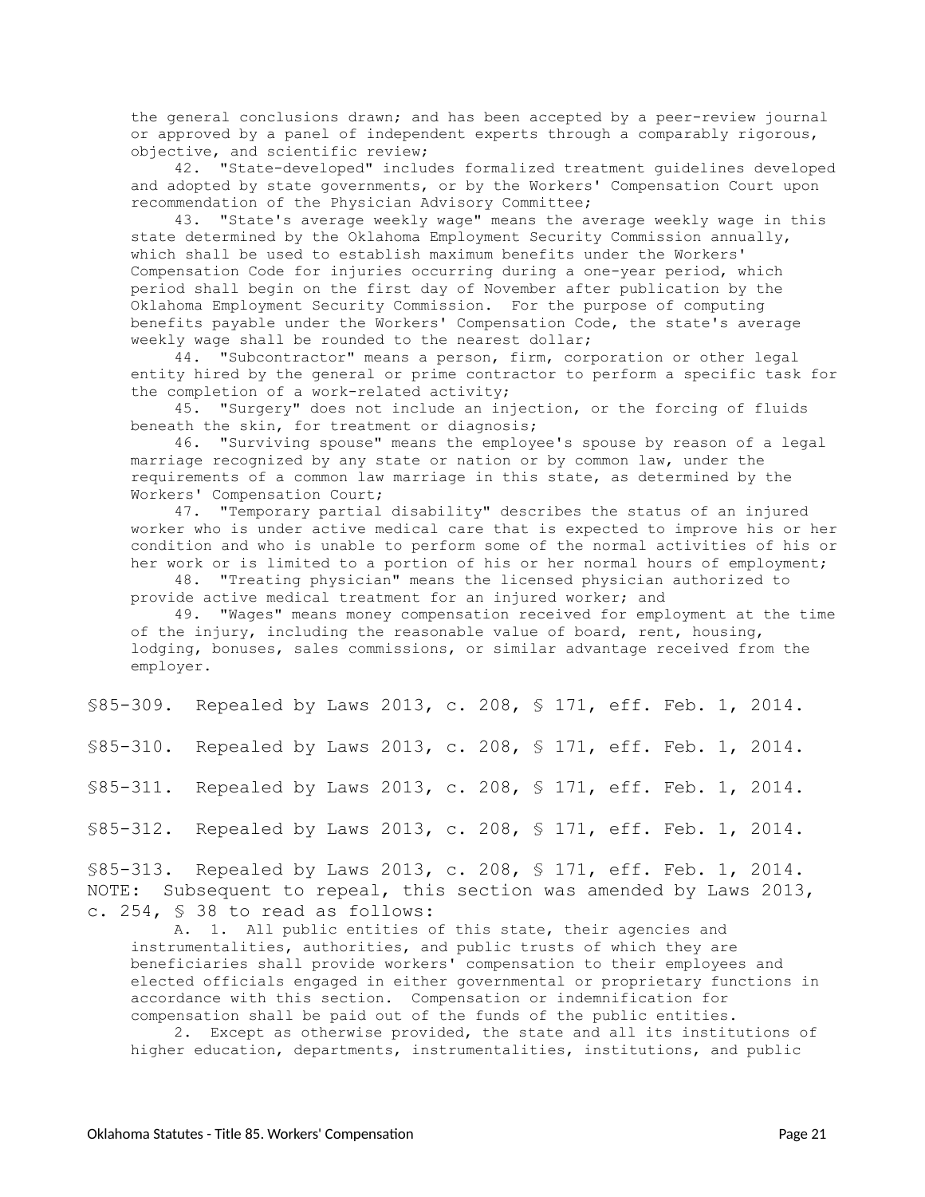the general conclusions drawn; and has been accepted by a peer-review journal or approved by a panel of independent experts through a comparably rigorous, objective, and scientific review;

42. "State-developed" includes formalized treatment guidelines developed and adopted by state governments, or by the Workers' Compensation Court upon recommendation of the Physician Advisory Committee;

43. "State's average weekly wage" means the average weekly wage in this state determined by the Oklahoma Employment Security Commission annually, which shall be used to establish maximum benefits under the Workers' Compensation Code for injuries occurring during a one-year period, which period shall begin on the first day of November after publication by the Oklahoma Employment Security Commission. For the purpose of computing benefits payable under the Workers' Compensation Code, the state's average weekly wage shall be rounded to the nearest dollar;

44. "Subcontractor" means a person, firm, corporation or other legal entity hired by the general or prime contractor to perform a specific task for the completion of a work-related activity;

45. "Surgery" does not include an injection, or the forcing of fluids beneath the skin, for treatment or diagnosis;

46. "Surviving spouse" means the employee's spouse by reason of a legal marriage recognized by any state or nation or by common law, under the requirements of a common law marriage in this state, as determined by the Workers' Compensation Court;

47. "Temporary partial disability" describes the status of an injured worker who is under active medical care that is expected to improve his or her condition and who is unable to perform some of the normal activities of his or her work or is limited to a portion of his or her normal hours of employment;

48. "Treating physician" means the licensed physician authorized to provide active medical treatment for an injured worker; and

49. "Wages" means money compensation received for employment at the time of the injury, including the reasonable value of board, rent, housing, lodging, bonuses, sales commissions, or similar advantage received from the employer.

<span id="page-20-0"></span>§85-309. Repealed by Laws 2013, c. 208, § 171, eff. Feb. 1, 2014.

<span id="page-20-1"></span>§85-310. Repealed by Laws 2013, c. 208, § 171, eff. Feb. 1, 2014.

<span id="page-20-2"></span>§85-311. Repealed by Laws 2013, c. 208, § 171, eff. Feb. 1, 2014.

<span id="page-20-3"></span>§85-312. Repealed by Laws 2013, c. 208, § 171, eff. Feb. 1, 2014.

<span id="page-20-4"></span>§85-313. Repealed by Laws 2013, c. 208, § 171, eff. Feb. 1, 2014. NOTE: Subsequent to repeal, this section was amended by Laws 2013, c. 254, § 38 to read as follows:

A. 1. All public entities of this state, their agencies and instrumentalities, authorities, and public trusts of which they are beneficiaries shall provide workers' compensation to their employees and elected officials engaged in either governmental or proprietary functions in accordance with this section. Compensation or indemnification for compensation shall be paid out of the funds of the public entities.

2. Except as otherwise provided, the state and all its institutions of higher education, departments, instrumentalities, institutions, and public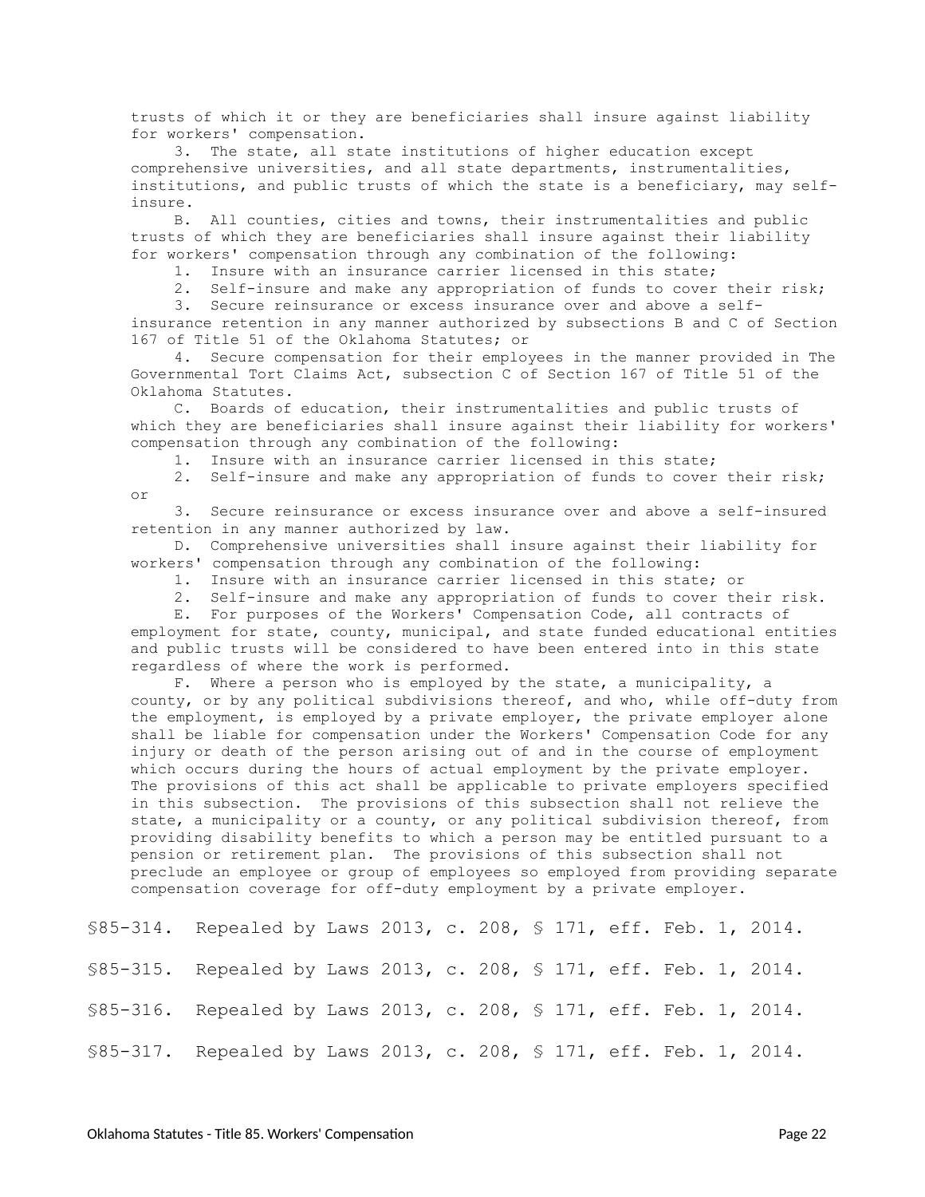trusts of which it or they are beneficiaries shall insure against liability for workers' compensation.

3. The state, all state institutions of higher education except comprehensive universities, and all state departments, instrumentalities, institutions, and public trusts of which the state is a beneficiary, may selfinsure.

B. All counties, cities and towns, their instrumentalities and public trusts of which they are beneficiaries shall insure against their liability for workers' compensation through any combination of the following:

1. Insure with an insurance carrier licensed in this state;

2. Self-insure and make any appropriation of funds to cover their risk;

3. Secure reinsurance or excess insurance over and above a selfinsurance retention in any manner authorized by subsections B and C of Section 167 of Title 51 of the Oklahoma Statutes; or

4. Secure compensation for their employees in the manner provided in The Governmental Tort Claims Act, subsection C of Section 167 of Title 51 of the Oklahoma Statutes.

C. Boards of education, their instrumentalities and public trusts of which they are beneficiaries shall insure against their liability for workers' compensation through any combination of the following:

1. Insure with an insurance carrier licensed in this state;

2. Self-insure and make any appropriation of funds to cover their risk; or

3. Secure reinsurance or excess insurance over and above a self-insured retention in any manner authorized by law.

D. Comprehensive universities shall insure against their liability for workers' compensation through any combination of the following:

1. Insure with an insurance carrier licensed in this state; or

2. Self-insure and make any appropriation of funds to cover their risk.

E. For purposes of the Workers' Compensation Code, all contracts of employment for state, county, municipal, and state funded educational entities and public trusts will be considered to have been entered into in this state regardless of where the work is performed.

F. Where a person who is employed by the state, a municipality, a county, or by any political subdivisions thereof, and who, while off-duty from the employment, is employed by a private employer, the private employer alone shall be liable for compensation under the Workers' Compensation Code for any injury or death of the person arising out of and in the course of employment which occurs during the hours of actual employment by the private employer. The provisions of this act shall be applicable to private employers specified in this subsection. The provisions of this subsection shall not relieve the state, a municipality or a county, or any political subdivision thereof, from providing disability benefits to which a person may be entitled pursuant to a pension or retirement plan. The provisions of this subsection shall not preclude an employee or group of employees so employed from providing separate compensation coverage for off-duty employment by a private employer.

<span id="page-21-3"></span><span id="page-21-2"></span><span id="page-21-1"></span><span id="page-21-0"></span>§85-314. Repealed by Laws 2013, c. 208, § 171, eff. Feb. 1, 2014. §85-315. Repealed by Laws 2013, c. 208, § 171, eff. Feb. 1, 2014. §85-316. Repealed by Laws 2013, c. 208, § 171, eff. Feb. 1, 2014. §85-317. Repealed by Laws 2013, c. 208, § 171, eff. Feb. 1, 2014.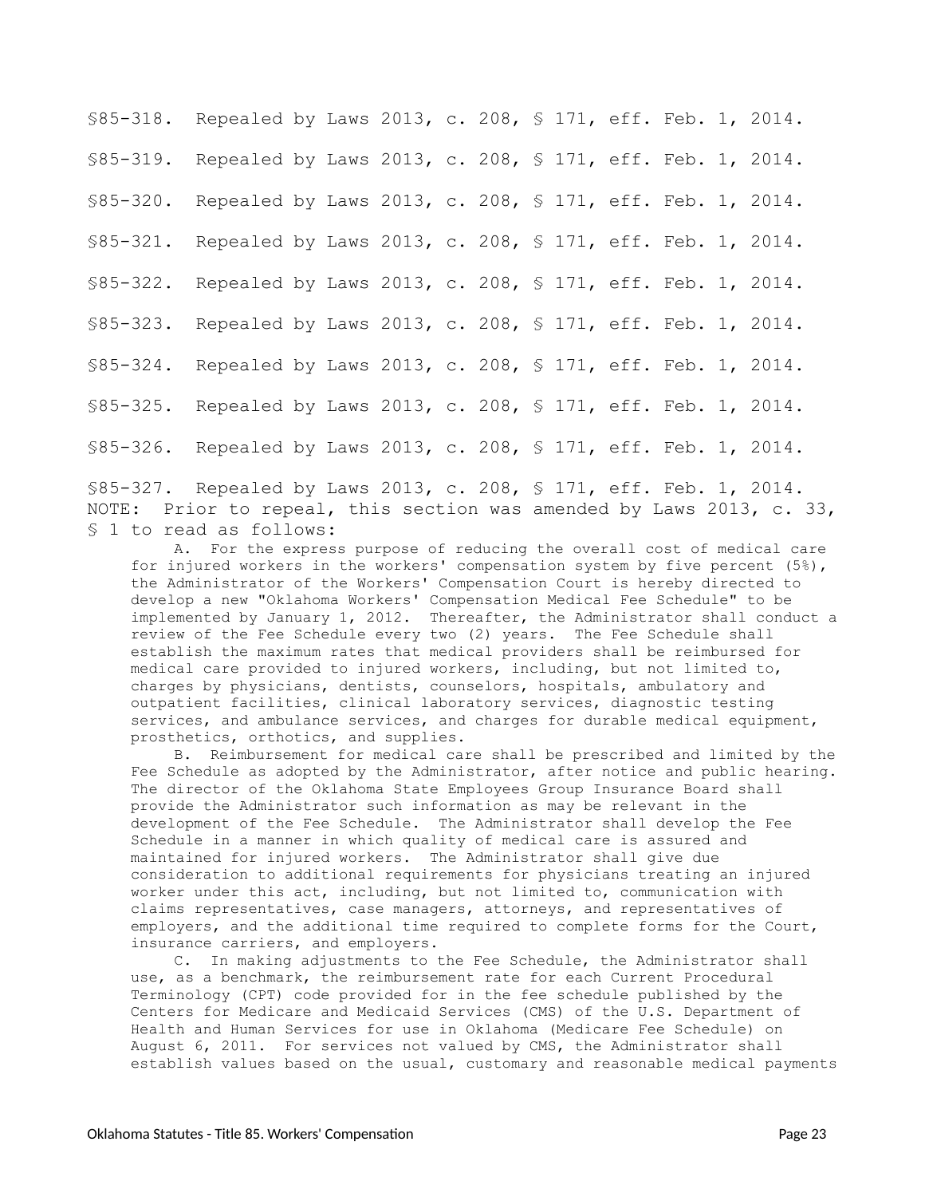<span id="page-22-4"></span><span id="page-22-3"></span><span id="page-22-2"></span><span id="page-22-1"></span><span id="page-22-0"></span>§85-318. Repealed by Laws 2013, c. 208, § 171, eff. Feb. 1, 2014. §85-319. Repealed by Laws 2013, c. 208, § 171, eff. Feb. 1, 2014. §85-320. Repealed by Laws 2013, c. 208, § 171, eff. Feb. 1, 2014. §85-321. Repealed by Laws 2013, c. 208, § 171, eff. Feb. 1, 2014. §85-322. Repealed by Laws 2013, c. 208, § 171, eff. Feb. 1, 2014. §85-323. Repealed by Laws 2013, c. 208, § 171, eff. Feb. 1, 2014. §85-324. Repealed by Laws 2013, c. 208, § 171, eff. Feb. 1, 2014. §85-325. Repealed by Laws 2013, c. 208, § 171, eff. Feb. 1, 2014. §85-326. Repealed by Laws 2013, c. 208, § 171, eff. Feb. 1, 2014.

<span id="page-22-9"></span><span id="page-22-8"></span><span id="page-22-7"></span><span id="page-22-6"></span><span id="page-22-5"></span>§85-327. Repealed by Laws 2013, c. 208, § 171, eff. Feb. 1, 2014. NOTE: Prior to repeal, this section was amended by Laws 2013, c. 33, § 1 to read as follows:

A. For the express purpose of reducing the overall cost of medical care for injured workers in the workers' compensation system by five percent (5%), the Administrator of the Workers' Compensation Court is hereby directed to develop a new "Oklahoma Workers' Compensation Medical Fee Schedule" to be implemented by January 1, 2012. Thereafter, the Administrator shall conduct a review of the Fee Schedule every two (2) years. The Fee Schedule shall establish the maximum rates that medical providers shall be reimbursed for medical care provided to injured workers, including, but not limited to, charges by physicians, dentists, counselors, hospitals, ambulatory and outpatient facilities, clinical laboratory services, diagnostic testing services, and ambulance services, and charges for durable medical equipment, prosthetics, orthotics, and supplies.

B. Reimbursement for medical care shall be prescribed and limited by the Fee Schedule as adopted by the Administrator, after notice and public hearing. The director of the Oklahoma State Employees Group Insurance Board shall provide the Administrator such information as may be relevant in the development of the Fee Schedule. The Administrator shall develop the Fee Schedule in a manner in which quality of medical care is assured and maintained for injured workers. The Administrator shall give due consideration to additional requirements for physicians treating an injured worker under this act, including, but not limited to, communication with claims representatives, case managers, attorneys, and representatives of employers, and the additional time required to complete forms for the Court, insurance carriers, and employers.

C. In making adjustments to the Fee Schedule, the Administrator shall use, as a benchmark, the reimbursement rate for each Current Procedural Terminology (CPT) code provided for in the fee schedule published by the Centers for Medicare and Medicaid Services (CMS) of the U.S. Department of Health and Human Services for use in Oklahoma (Medicare Fee Schedule) on August 6, 2011. For services not valued by CMS, the Administrator shall establish values based on the usual, customary and reasonable medical payments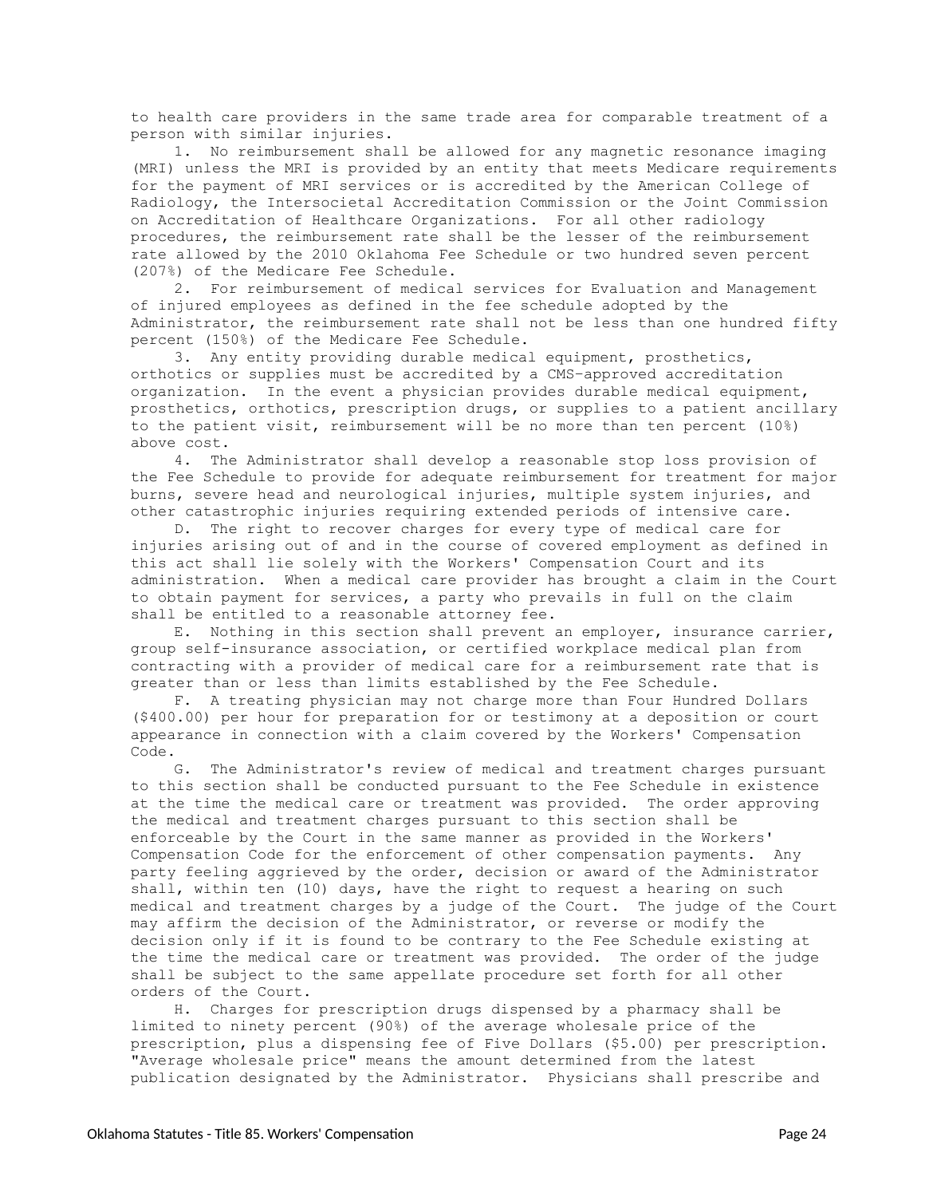to health care providers in the same trade area for comparable treatment of a person with similar injuries.

1. No reimbursement shall be allowed for any magnetic resonance imaging (MRI) unless the MRI is provided by an entity that meets Medicare requirements for the payment of MRI services or is accredited by the American College of Radiology, the Intersocietal Accreditation Commission or the Joint Commission on Accreditation of Healthcare Organizations. For all other radiology procedures, the reimbursement rate shall be the lesser of the reimbursement rate allowed by the 2010 Oklahoma Fee Schedule or two hundred seven percent (207%) of the Medicare Fee Schedule.

2. For reimbursement of medical services for Evaluation and Management of injured employees as defined in the fee schedule adopted by the Administrator, the reimbursement rate shall not be less than one hundred fifty percent (150%) of the Medicare Fee Schedule.

3. Any entity providing durable medical equipment, prosthetics, orthotics or supplies must be accredited by a CMS–approved accreditation organization. In the event a physician provides durable medical equipment, prosthetics, orthotics, prescription drugs, or supplies to a patient ancillary to the patient visit, reimbursement will be no more than ten percent (10%) above cost.

4. The Administrator shall develop a reasonable stop loss provision of the Fee Schedule to provide for adequate reimbursement for treatment for major burns, severe head and neurological injuries, multiple system injuries, and other catastrophic injuries requiring extended periods of intensive care.

D. The right to recover charges for every type of medical care for injuries arising out of and in the course of covered employment as defined in this act shall lie solely with the Workers' Compensation Court and its administration. When a medical care provider has brought a claim in the Court to obtain payment for services, a party who prevails in full on the claim shall be entitled to a reasonable attorney fee.

E. Nothing in this section shall prevent an employer, insurance carrier, group self-insurance association, or certified workplace medical plan from contracting with a provider of medical care for a reimbursement rate that is greater than or less than limits established by the Fee Schedule.

F. A treating physician may not charge more than Four Hundred Dollars (\$400.00) per hour for preparation for or testimony at a deposition or court appearance in connection with a claim covered by the Workers' Compensation Code.

G. The Administrator's review of medical and treatment charges pursuant to this section shall be conducted pursuant to the Fee Schedule in existence at the time the medical care or treatment was provided. The order approving the medical and treatment charges pursuant to this section shall be enforceable by the Court in the same manner as provided in the Workers' Compensation Code for the enforcement of other compensation payments. Any party feeling aggrieved by the order, decision or award of the Administrator shall, within ten (10) days, have the right to request a hearing on such medical and treatment charges by a judge of the Court. The judge of the Court may affirm the decision of the Administrator, or reverse or modify the decision only if it is found to be contrary to the Fee Schedule existing at the time the medical care or treatment was provided. The order of the judge shall be subject to the same appellate procedure set forth for all other orders of the Court.

H. Charges for prescription drugs dispensed by a pharmacy shall be limited to ninety percent (90%) of the average wholesale price of the prescription, plus a dispensing fee of Five Dollars (\$5.00) per prescription. "Average wholesale price" means the amount determined from the latest publication designated by the Administrator. Physicians shall prescribe and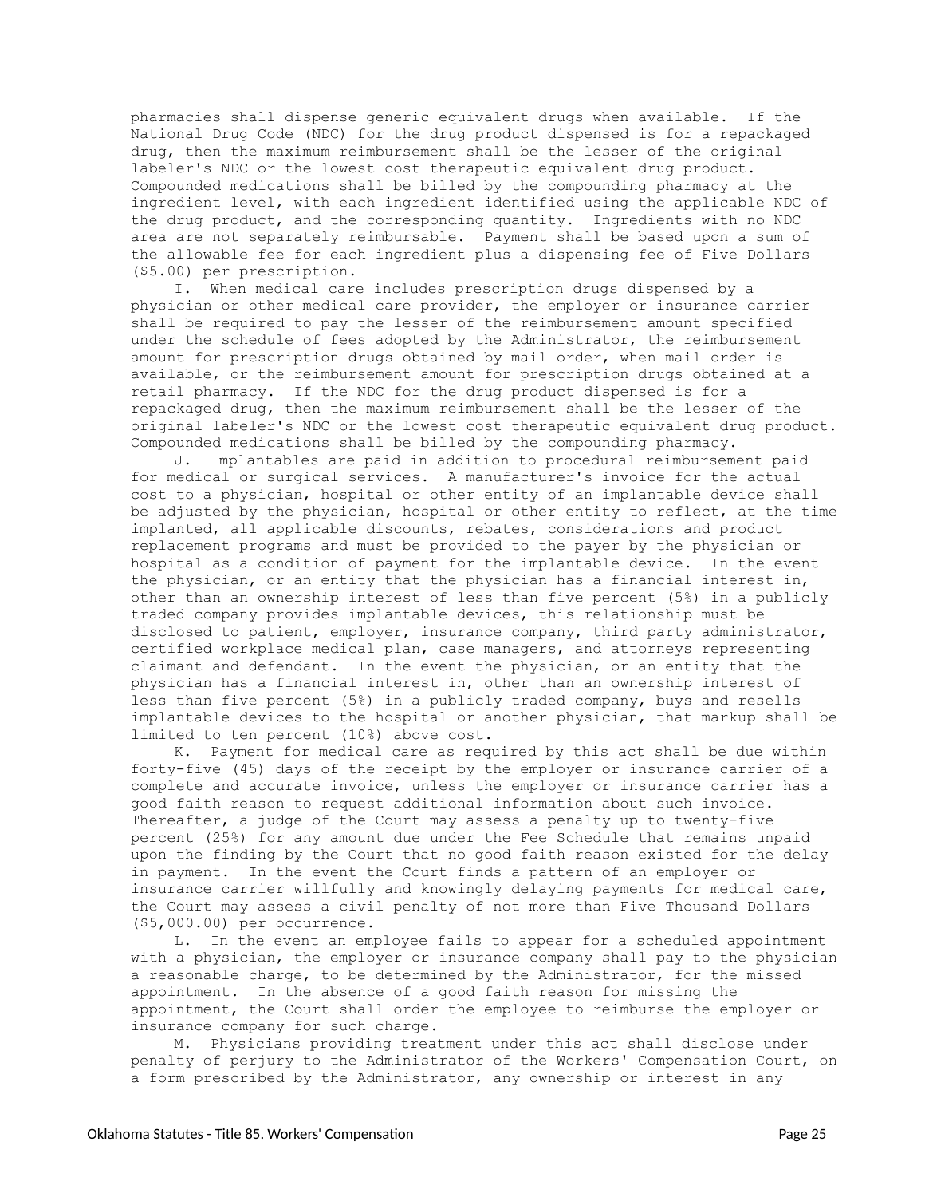pharmacies shall dispense generic equivalent drugs when available. If the National Drug Code (NDC) for the drug product dispensed is for a repackaged drug, then the maximum reimbursement shall be the lesser of the original labeler's NDC or the lowest cost therapeutic equivalent drug product. Compounded medications shall be billed by the compounding pharmacy at the ingredient level, with each ingredient identified using the applicable NDC of the drug product, and the corresponding quantity. Ingredients with no NDC area are not separately reimbursable. Payment shall be based upon a sum of the allowable fee for each ingredient plus a dispensing fee of Five Dollars (\$5.00) per prescription.

I. When medical care includes prescription drugs dispensed by a physician or other medical care provider, the employer or insurance carrier shall be required to pay the lesser of the reimbursement amount specified under the schedule of fees adopted by the Administrator, the reimbursement amount for prescription drugs obtained by mail order, when mail order is available, or the reimbursement amount for prescription drugs obtained at a retail pharmacy. If the NDC for the drug product dispensed is for a repackaged drug, then the maximum reimbursement shall be the lesser of the original labeler's NDC or the lowest cost therapeutic equivalent drug product. Compounded medications shall be billed by the compounding pharmacy.

J. Implantables are paid in addition to procedural reimbursement paid for medical or surgical services. A manufacturer's invoice for the actual cost to a physician, hospital or other entity of an implantable device shall be adjusted by the physician, hospital or other entity to reflect, at the time implanted, all applicable discounts, rebates, considerations and product replacement programs and must be provided to the payer by the physician or hospital as a condition of payment for the implantable device. In the event the physician, or an entity that the physician has a financial interest in, other than an ownership interest of less than five percent (5%) in a publicly traded company provides implantable devices, this relationship must be disclosed to patient, employer, insurance company, third party administrator, certified workplace medical plan, case managers, and attorneys representing claimant and defendant. In the event the physician, or an entity that the physician has a financial interest in, other than an ownership interest of less than five percent (5%) in a publicly traded company, buys and resells implantable devices to the hospital or another physician, that markup shall be limited to ten percent (10%) above cost.

K. Payment for medical care as required by this act shall be due within forty-five (45) days of the receipt by the employer or insurance carrier of a complete and accurate invoice, unless the employer or insurance carrier has a good faith reason to request additional information about such invoice. Thereafter, a judge of the Court may assess a penalty up to twenty-five percent (25%) for any amount due under the Fee Schedule that remains unpaid upon the finding by the Court that no good faith reason existed for the delay in payment. In the event the Court finds a pattern of an employer or insurance carrier willfully and knowingly delaying payments for medical care, the Court may assess a civil penalty of not more than Five Thousand Dollars (\$5,000.00) per occurrence.

L. In the event an employee fails to appear for a scheduled appointment with a physician, the employer or insurance company shall pay to the physician a reasonable charge, to be determined by the Administrator, for the missed appointment. In the absence of a good faith reason for missing the appointment, the Court shall order the employee to reimburse the employer or insurance company for such charge.

M. Physicians providing treatment under this act shall disclose under penalty of perjury to the Administrator of the Workers' Compensation Court, on a form prescribed by the Administrator, any ownership or interest in any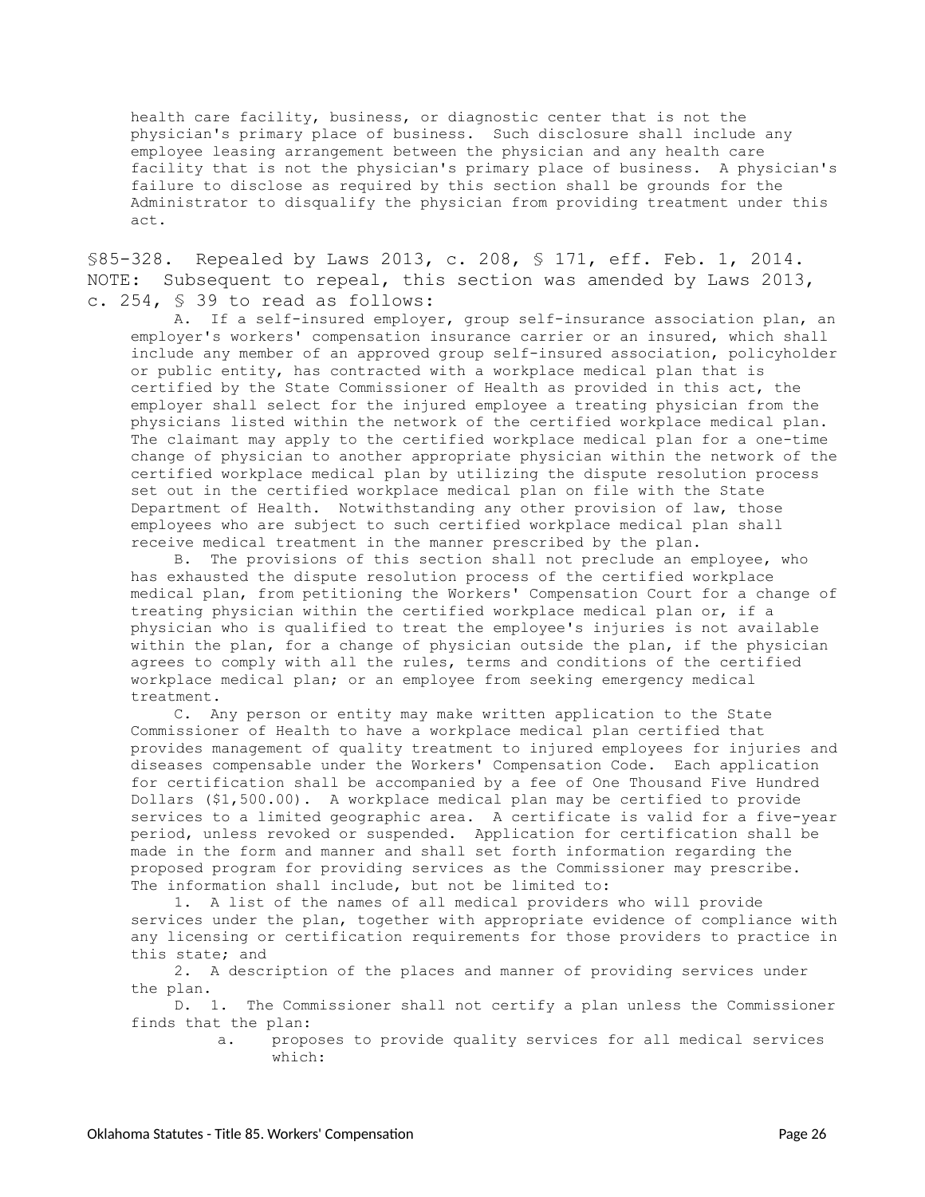health care facility, business, or diagnostic center that is not the physician's primary place of business. Such disclosure shall include any employee leasing arrangement between the physician and any health care facility that is not the physician's primary place of business. A physician's failure to disclose as required by this section shall be grounds for the Administrator to disqualify the physician from providing treatment under this act.

<span id="page-25-0"></span>§85-328. Repealed by Laws 2013, c. 208, § 171, eff. Feb. 1, 2014. NOTE: Subsequent to repeal, this section was amended by Laws 2013, c. 254, § 39 to read as follows:

A. If a self-insured employer, group self-insurance association plan, an employer's workers' compensation insurance carrier or an insured, which shall include any member of an approved group self-insured association, policyholder or public entity, has contracted with a workplace medical plan that is certified by the State Commissioner of Health as provided in this act, the employer shall select for the injured employee a treating physician from the physicians listed within the network of the certified workplace medical plan. The claimant may apply to the certified workplace medical plan for a one-time change of physician to another appropriate physician within the network of the certified workplace medical plan by utilizing the dispute resolution process set out in the certified workplace medical plan on file with the State Department of Health. Notwithstanding any other provision of law, those employees who are subject to such certified workplace medical plan shall receive medical treatment in the manner prescribed by the plan.

B. The provisions of this section shall not preclude an employee, who has exhausted the dispute resolution process of the certified workplace medical plan, from petitioning the Workers' Compensation Court for a change of treating physician within the certified workplace medical plan or, if a physician who is qualified to treat the employee's injuries is not available within the plan, for a change of physician outside the plan, if the physician agrees to comply with all the rules, terms and conditions of the certified workplace medical plan; or an employee from seeking emergency medical treatment.

C. Any person or entity may make written application to the State Commissioner of Health to have a workplace medical plan certified that provides management of quality treatment to injured employees for injuries and diseases compensable under the Workers' Compensation Code. Each application for certification shall be accompanied by a fee of One Thousand Five Hundred Dollars (\$1,500.00). A workplace medical plan may be certified to provide services to a limited geographic area. A certificate is valid for a five-year period, unless revoked or suspended. Application for certification shall be made in the form and manner and shall set forth information regarding the proposed program for providing services as the Commissioner may prescribe. The information shall include, but not be limited to:

1. A list of the names of all medical providers who will provide services under the plan, together with appropriate evidence of compliance with any licensing or certification requirements for those providers to practice in this state; and

2. A description of the places and manner of providing services under the plan.

D. 1. The Commissioner shall not certify a plan unless the Commissioner finds that the plan:

> a. proposes to provide quality services for all medical services which: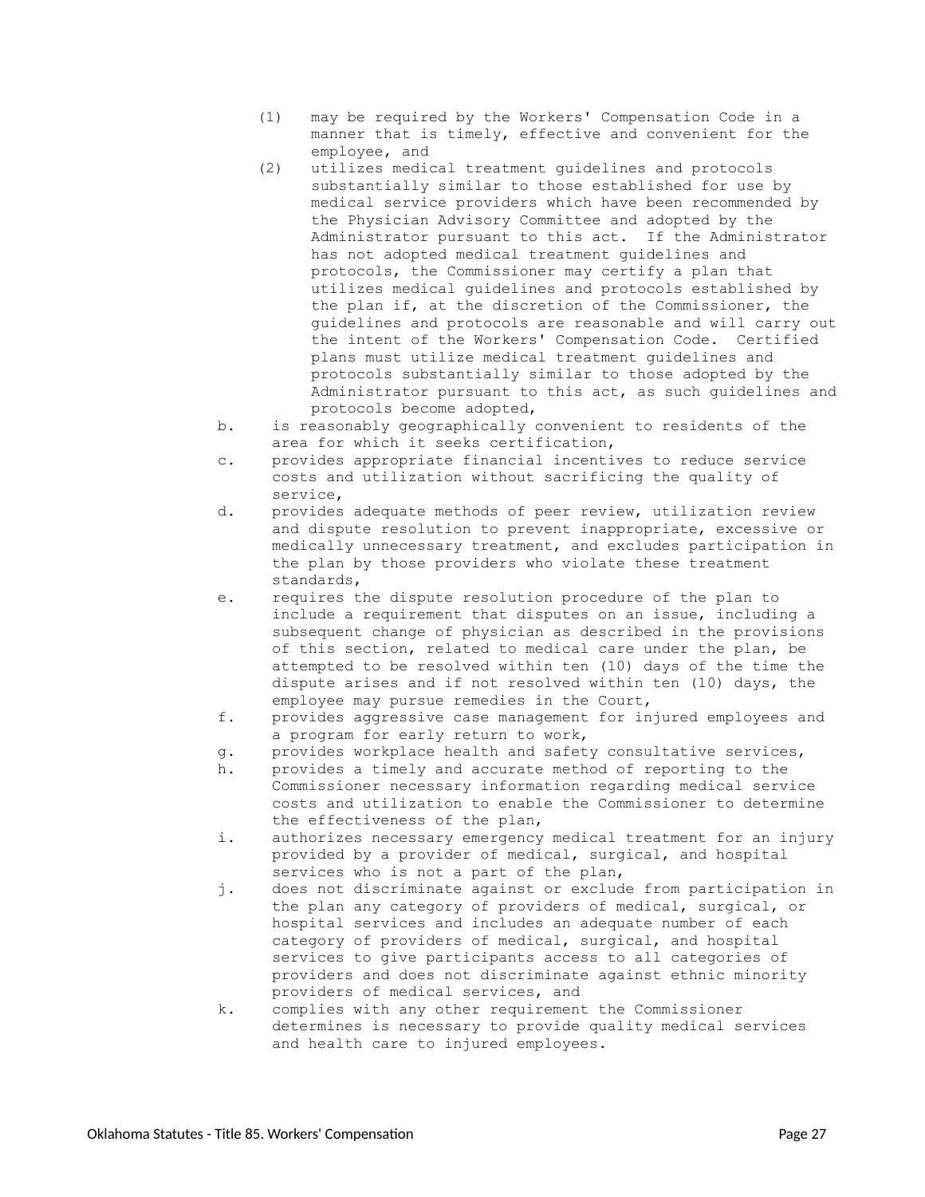- (1) may be required by the Workers' Compensation Code in a manner that is timely, effective and convenient for the employee, and
- (2) utilizes medical treatment guidelines and protocols substantially similar to those established for use by medical service providers which have been recommended by the Physician Advisory Committee and adopted by the Administrator pursuant to this act. If the Administrator has not adopted medical treatment guidelines and protocols, the Commissioner may certify a plan that utilizes medical guidelines and protocols established by the plan if, at the discretion of the Commissioner, the guidelines and protocols are reasonable and will carry out the intent of the Workers' Compensation Code. Certified plans must utilize medical treatment guidelines and protocols substantially similar to those adopted by the Administrator pursuant to this act, as such guidelines and protocols become adopted,
- b. is reasonably geographically convenient to residents of the area for which it seeks certification,
- c. provides appropriate financial incentives to reduce service costs and utilization without sacrificing the quality of service,
- d. provides adequate methods of peer review, utilization review and dispute resolution to prevent inappropriate, excessive or medically unnecessary treatment, and excludes participation in the plan by those providers who violate these treatment standards,
- e. requires the dispute resolution procedure of the plan to include a requirement that disputes on an issue, including a subsequent change of physician as described in the provisions of this section, related to medical care under the plan, be attempted to be resolved within ten (10) days of the time the dispute arises and if not resolved within ten (10) days, the employee may pursue remedies in the Court,
- f. provides aggressive case management for injured employees and a program for early return to work,
- g. provides workplace health and safety consultative services,
- h. provides a timely and accurate method of reporting to the Commissioner necessary information regarding medical service costs and utilization to enable the Commissioner to determine the effectiveness of the plan,
- i. authorizes necessary emergency medical treatment for an injury provided by a provider of medical, surgical, and hospital services who is not a part of the plan,
- j. does not discriminate against or exclude from participation in the plan any category of providers of medical, surgical, or hospital services and includes an adequate number of each category of providers of medical, surgical, and hospital services to give participants access to all categories of providers and does not discriminate against ethnic minority providers of medical services, and
- k. complies with any other requirement the Commissioner determines is necessary to provide quality medical services and health care to injured employees.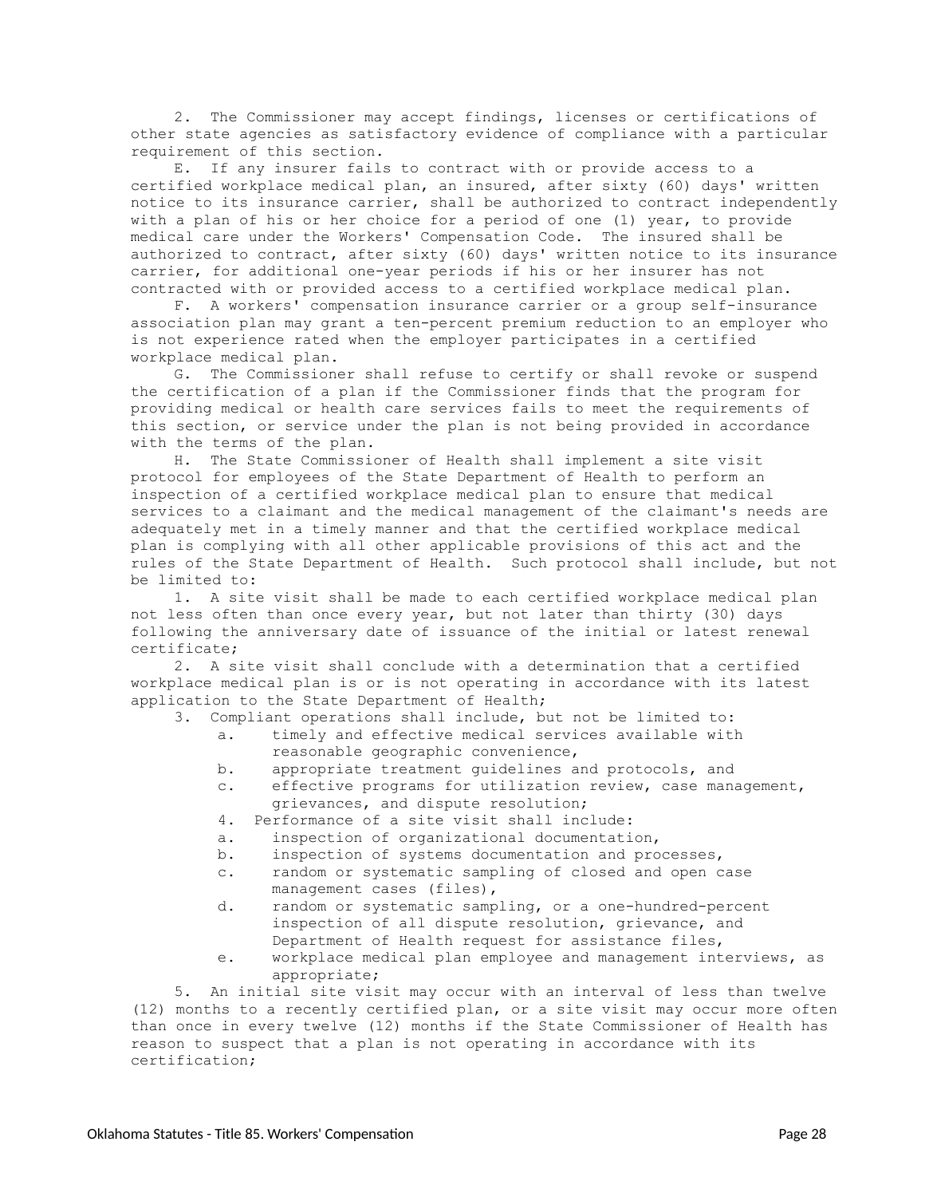2. The Commissioner may accept findings, licenses or certifications of other state agencies as satisfactory evidence of compliance with a particular requirement of this section.

E. If any insurer fails to contract with or provide access to a certified workplace medical plan, an insured, after sixty (60) days' written notice to its insurance carrier, shall be authorized to contract independently with a plan of his or her choice for a period of one (1) year, to provide medical care under the Workers' Compensation Code. The insured shall be authorized to contract, after sixty (60) days' written notice to its insurance carrier, for additional one-year periods if his or her insurer has not contracted with or provided access to a certified workplace medical plan.

F. A workers' compensation insurance carrier or a group self-insurance association plan may grant a ten-percent premium reduction to an employer who is not experience rated when the employer participates in a certified workplace medical plan.

G. The Commissioner shall refuse to certify or shall revoke or suspend the certification of a plan if the Commissioner finds that the program for providing medical or health care services fails to meet the requirements of this section, or service under the plan is not being provided in accordance with the terms of the plan.

H. The State Commissioner of Health shall implement a site visit protocol for employees of the State Department of Health to perform an inspection of a certified workplace medical plan to ensure that medical services to a claimant and the medical management of the claimant's needs are adequately met in a timely manner and that the certified workplace medical plan is complying with all other applicable provisions of this act and the rules of the State Department of Health. Such protocol shall include, but not be limited to:

1. A site visit shall be made to each certified workplace medical plan not less often than once every year, but not later than thirty (30) days following the anniversary date of issuance of the initial or latest renewal certificate;

2. A site visit shall conclude with a determination that a certified workplace medical plan is or is not operating in accordance with its latest application to the State Department of Health;

|  |  | 3. Compliant operations shall include, but not be limited to: |  |  |  |  |  |  |  |
|--|--|---------------------------------------------------------------|--|--|--|--|--|--|--|
|--|--|---------------------------------------------------------------|--|--|--|--|--|--|--|

- a. timely and effective medical services available with reasonable geographic convenience,
- b. appropriate treatment guidelines and protocols, and
- c. effective programs for utilization review, case management, grievances, and dispute resolution;
- 4. Performance of a site visit shall include:
- a. inspection of organizational documentation,
- b. inspection of systems documentation and processes,
- c. random or systematic sampling of closed and open case management cases (files),
- d. random or systematic sampling, or a one-hundred-percent inspection of all dispute resolution, grievance, and Department of Health request for assistance files,
- e. workplace medical plan employee and management interviews, as appropriate;

5. An initial site visit may occur with an interval of less than twelve (12) months to a recently certified plan, or a site visit may occur more often than once in every twelve (12) months if the State Commissioner of Health has reason to suspect that a plan is not operating in accordance with its certification;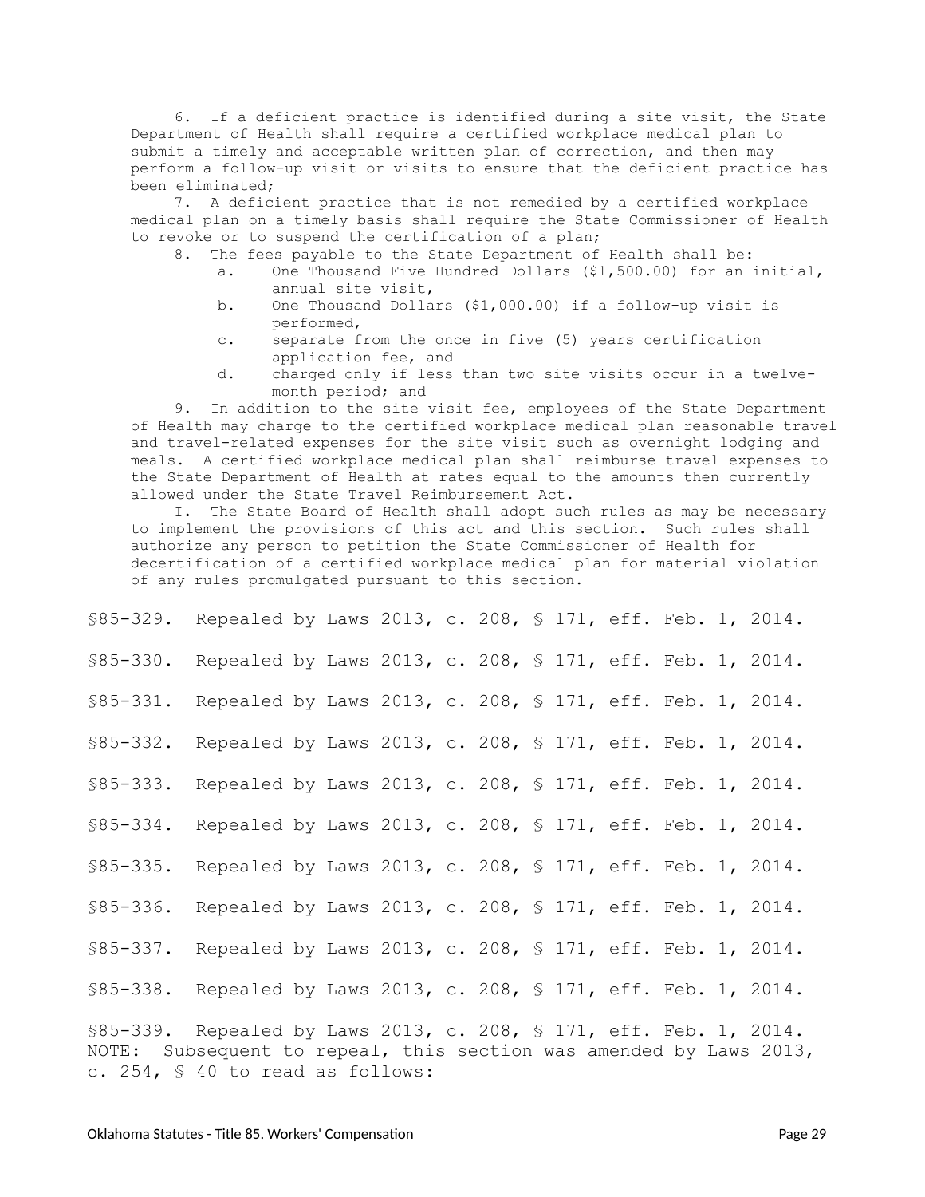6. If a deficient practice is identified during a site visit, the State Department of Health shall require a certified workplace medical plan to submit a timely and acceptable written plan of correction, and then may perform a follow-up visit or visits to ensure that the deficient practice has been eliminated;

7. A deficient practice that is not remedied by a certified workplace medical plan on a timely basis shall require the State Commissioner of Health to revoke or to suspend the certification of a plan;

- 8. The fees payable to the State Department of Health shall be:
	- a. One Thousand Five Hundred Dollars (\$1,500.00) for an initial, annual site visit,
	- b. One Thousand Dollars (\$1,000.00) if a follow-up visit is performed,
	- c. separate from the once in five (5) years certification application fee, and
	- d. charged only if less than two site visits occur in a twelvemonth period; and

9. In addition to the site visit fee, employees of the State Department of Health may charge to the certified workplace medical plan reasonable travel and travel-related expenses for the site visit such as overnight lodging and meals. A certified workplace medical plan shall reimburse travel expenses to the State Department of Health at rates equal to the amounts then currently allowed under the State Travel Reimbursement Act.

I. The State Board of Health shall adopt such rules as may be necessary to implement the provisions of this act and this section. Such rules shall authorize any person to petition the State Commissioner of Health for decertification of a certified workplace medical plan for material violation of any rules promulgated pursuant to this section.

<span id="page-28-10"></span><span id="page-28-9"></span><span id="page-28-8"></span><span id="page-28-7"></span><span id="page-28-6"></span><span id="page-28-5"></span><span id="page-28-4"></span><span id="page-28-3"></span><span id="page-28-2"></span><span id="page-28-1"></span><span id="page-28-0"></span>

| \$85-329. Repealed by Laws 2013, c. 208, \$ 171, eff. Feb. 1, 2014.                                                                                                           |                                                          |  |  |  |  |  |  |  |  |  |  |  |
|-------------------------------------------------------------------------------------------------------------------------------------------------------------------------------|----------------------------------------------------------|--|--|--|--|--|--|--|--|--|--|--|
| $$85-330.$                                                                                                                                                                    | Repealed by Laws 2013, c. 208, § 171, eff. Feb. 1, 2014. |  |  |  |  |  |  |  |  |  |  |  |
| \$85-331. Repealed by Laws 2013, c. 208, \$ 171, eff. Feb. 1, 2014.                                                                                                           |                                                          |  |  |  |  |  |  |  |  |  |  |  |
| \$85-332. Repealed by Laws 2013, c. 208, \$ 171, eff. Feb. 1, 2014.                                                                                                           |                                                          |  |  |  |  |  |  |  |  |  |  |  |
| $$85 - 333.$                                                                                                                                                                  | Repealed by Laws 2013, c. 208, § 171, eff. Feb. 1, 2014. |  |  |  |  |  |  |  |  |  |  |  |
| $$85 - 334.$                                                                                                                                                                  | Repealed by Laws 2013, c. 208, § 171, eff. Feb. 1, 2014. |  |  |  |  |  |  |  |  |  |  |  |
| $$85 - 335.$                                                                                                                                                                  | Repealed by Laws 2013, c. 208, § 171, eff. Feb. 1, 2014. |  |  |  |  |  |  |  |  |  |  |  |
| $$85 - 336.$                                                                                                                                                                  | Repealed by Laws 2013, c. 208, § 171, eff. Feb. 1, 2014. |  |  |  |  |  |  |  |  |  |  |  |
| $$85-337.$                                                                                                                                                                    | Repealed by Laws 2013, c. 208, § 171, eff. Feb. 1, 2014. |  |  |  |  |  |  |  |  |  |  |  |
| \$85-338. Repealed by Laws 2013, c. 208, \$ 171, eff. Feb. 1, 2014.                                                                                                           |                                                          |  |  |  |  |  |  |  |  |  |  |  |
| \$85-339. Repealed by Laws 2013, c. 208, \$ 171, eff. Feb. 1, 2014.<br>NOTE: Subsequent to repeal, this section was amended by Laws 2013,<br>c. 254, § 40 to read as follows: |                                                          |  |  |  |  |  |  |  |  |  |  |  |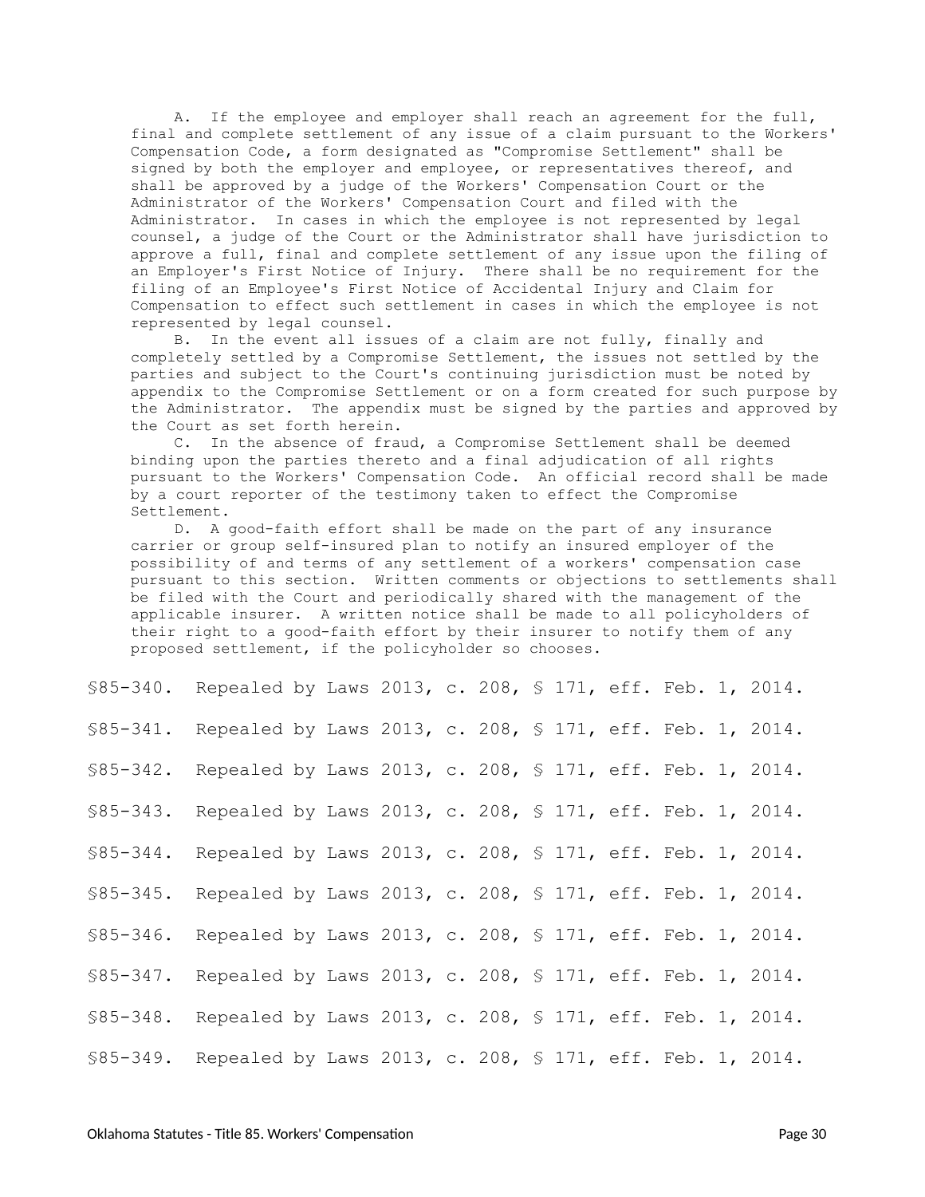A. If the employee and employer shall reach an agreement for the full, final and complete settlement of any issue of a claim pursuant to the Workers' Compensation Code, a form designated as "Compromise Settlement" shall be signed by both the employer and employee, or representatives thereof, and shall be approved by a judge of the Workers' Compensation Court or the Administrator of the Workers' Compensation Court and filed with the Administrator. In cases in which the employee is not represented by legal counsel, a judge of the Court or the Administrator shall have jurisdiction to approve a full, final and complete settlement of any issue upon the filing of an Employer's First Notice of Injury. There shall be no requirement for the filing of an Employee's First Notice of Accidental Injury and Claim for Compensation to effect such settlement in cases in which the employee is not represented by legal counsel.

B. In the event all issues of a claim are not fully, finally and completely settled by a Compromise Settlement, the issues not settled by the parties and subject to the Court's continuing jurisdiction must be noted by appendix to the Compromise Settlement or on a form created for such purpose by the Administrator. The appendix must be signed by the parties and approved by the Court as set forth herein.

C. In the absence of fraud, a Compromise Settlement shall be deemed binding upon the parties thereto and a final adjudication of all rights pursuant to the Workers' Compensation Code. An official record shall be made by a court reporter of the testimony taken to effect the Compromise Settlement.

D. A good-faith effort shall be made on the part of any insurance carrier or group self-insured plan to notify an insured employer of the possibility of and terms of any settlement of a workers' compensation case pursuant to this section. Written comments or objections to settlements shall be filed with the Court and periodically shared with the management of the applicable insurer. A written notice shall be made to all policyholders of their right to a good-faith effort by their insurer to notify them of any proposed settlement, if the policyholder so chooses.

<span id="page-29-9"></span><span id="page-29-8"></span><span id="page-29-7"></span><span id="page-29-6"></span><span id="page-29-5"></span><span id="page-29-4"></span><span id="page-29-3"></span><span id="page-29-2"></span><span id="page-29-1"></span><span id="page-29-0"></span>

| \$85-340. Repealed by Laws 2013, c. 208, \$ 171, eff. Feb. 1, 2014. |                                                          |  |  |  |  |  |  |
|---------------------------------------------------------------------|----------------------------------------------------------|--|--|--|--|--|--|
| \$85-341. Repealed by Laws 2013, c. 208, \$ 171, eff. Feb. 1, 2014. |                                                          |  |  |  |  |  |  |
| $$85-342.$                                                          | Repealed by Laws 2013, c. 208, § 171, eff. Feb. 1, 2014. |  |  |  |  |  |  |
| $$85 - 343.$                                                        | Repealed by Laws 2013, c. 208, § 171, eff. Feb. 1, 2014. |  |  |  |  |  |  |
| $$85 - 344$ .                                                       | Repealed by Laws 2013, c. 208, § 171, eff. Feb. 1, 2014. |  |  |  |  |  |  |
| $$85 - 345.$                                                        | Repealed by Laws 2013, c. 208, § 171, eff. Feb. 1, 2014. |  |  |  |  |  |  |
| $$85 - 346.$                                                        | Repealed by Laws 2013, c. 208, § 171, eff. Feb. 1, 2014. |  |  |  |  |  |  |
| $$85-347.$                                                          | Repealed by Laws 2013, c. 208, § 171, eff. Feb. 1, 2014. |  |  |  |  |  |  |
| $$85 - 348.$                                                        | Repealed by Laws 2013, c. 208, § 171, eff. Feb. 1, 2014. |  |  |  |  |  |  |
| \$85-349. Repealed by Laws 2013, c. 208, \$ 171, eff. Feb. 1, 2014. |                                                          |  |  |  |  |  |  |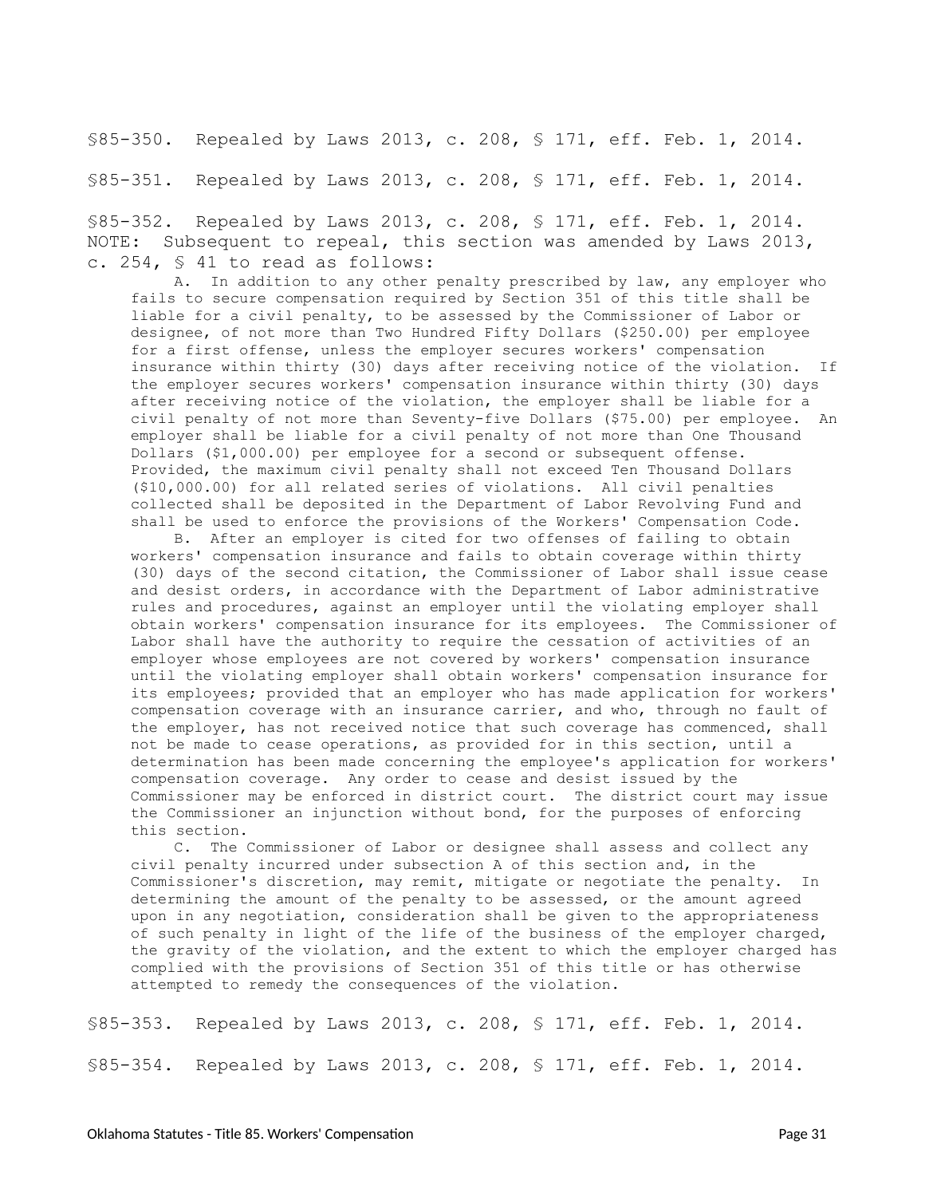<span id="page-30-0"></span>§85-350. Repealed by Laws 2013, c. 208, § 171, eff. Feb. 1, 2014.

<span id="page-30-1"></span>§85-351. Repealed by Laws 2013, c. 208, § 171, eff. Feb. 1, 2014.

<span id="page-30-2"></span>§85-352. Repealed by Laws 2013, c. 208, § 171, eff. Feb. 1, 2014. NOTE: Subsequent to repeal, this section was amended by Laws 2013, c. 254, § 41 to read as follows:

A. In addition to any other penalty prescribed by law, any employer who fails to secure compensation required by Section 351 of this title shall be liable for a civil penalty, to be assessed by the Commissioner of Labor or designee, of not more than Two Hundred Fifty Dollars (\$250.00) per employee for a first offense, unless the employer secures workers' compensation insurance within thirty (30) days after receiving notice of the violation. If the employer secures workers' compensation insurance within thirty (30) days after receiving notice of the violation, the employer shall be liable for a civil penalty of not more than Seventy-five Dollars (\$75.00) per employee. An employer shall be liable for a civil penalty of not more than One Thousand Dollars (\$1,000.00) per employee for a second or subsequent offense. Provided, the maximum civil penalty shall not exceed Ten Thousand Dollars (\$10,000.00) for all related series of violations. All civil penalties collected shall be deposited in the Department of Labor Revolving Fund and shall be used to enforce the provisions of the Workers' Compensation Code.

B. After an employer is cited for two offenses of failing to obtain workers' compensation insurance and fails to obtain coverage within thirty (30) days of the second citation, the Commissioner of Labor shall issue cease and desist orders, in accordance with the Department of Labor administrative rules and procedures, against an employer until the violating employer shall obtain workers' compensation insurance for its employees. The Commissioner of Labor shall have the authority to require the cessation of activities of an employer whose employees are not covered by workers' compensation insurance until the violating employer shall obtain workers' compensation insurance for its employees; provided that an employer who has made application for workers' compensation coverage with an insurance carrier, and who, through no fault of the employer, has not received notice that such coverage has commenced, shall not be made to cease operations, as provided for in this section, until a determination has been made concerning the employee's application for workers' compensation coverage. Any order to cease and desist issued by the Commissioner may be enforced in district court. The district court may issue the Commissioner an injunction without bond, for the purposes of enforcing this section.

C. The Commissioner of Labor or designee shall assess and collect any civil penalty incurred under subsection A of this section and, in the Commissioner's discretion, may remit, mitigate or negotiate the penalty. In determining the amount of the penalty to be assessed, or the amount agreed upon in any negotiation, consideration shall be given to the appropriateness of such penalty in light of the life of the business of the employer charged, the gravity of the violation, and the extent to which the employer charged has complied with the provisions of Section 351 of this title or has otherwise attempted to remedy the consequences of the violation.

<span id="page-30-4"></span><span id="page-30-3"></span>§85-353. Repealed by Laws 2013, c. 208, § 171, eff. Feb. 1, 2014. §85-354. Repealed by Laws 2013, c. 208, § 171, eff. Feb. 1, 2014.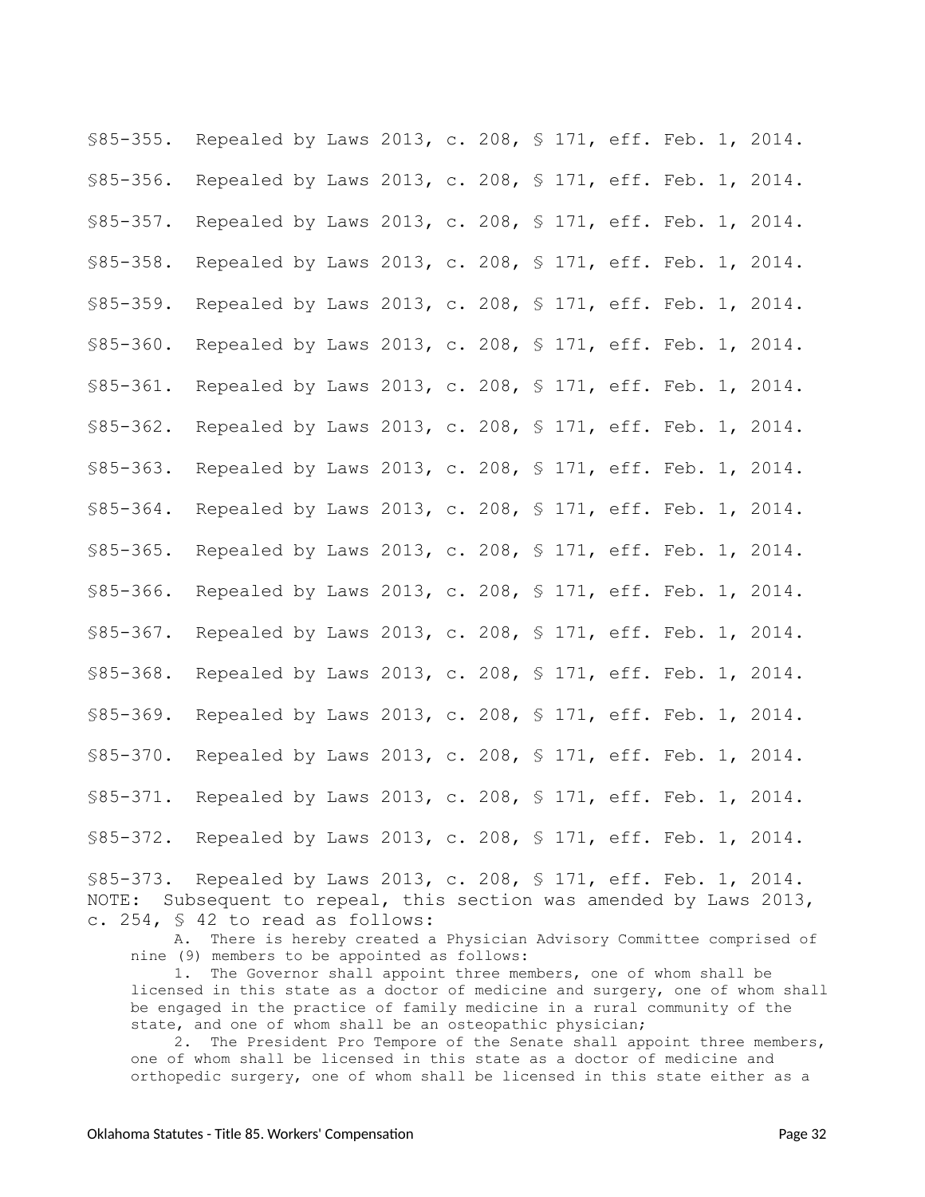<span id="page-31-11"></span><span id="page-31-8"></span><span id="page-31-7"></span><span id="page-31-6"></span><span id="page-31-5"></span><span id="page-31-4"></span><span id="page-31-3"></span><span id="page-31-2"></span><span id="page-31-1"></span><span id="page-31-0"></span>§85-355. Repealed by Laws 2013, c. 208, § 171, eff. Feb. 1, 2014. §85-356. Repealed by Laws 2013, c. 208, § 171, eff. Feb. 1, 2014. §85-357. Repealed by Laws 2013, c. 208, § 171, eff. Feb. 1, 2014. §85-358. Repealed by Laws 2013, c. 208, § 171, eff. Feb. 1, 2014. §85-359. Repealed by Laws 2013, c. 208, § 171, eff. Feb. 1, 2014. §85-360. Repealed by Laws 2013, c. 208, § 171, eff. Feb. 1, 2014. §85-361. Repealed by Laws 2013, c. 208, § 171, eff. Feb. 1, 2014. §85-362. Repealed by Laws 2013, c. 208, § 171, eff. Feb. 1, 2014. §85-363. Repealed by Laws 2013, c. 208, § 171, eff. Feb. 1, 2014. §85-364. Repealed by Laws 2013, c. 208, § 171, eff. Feb. 1, 2014. §85-365. Repealed by Laws 2013, c. 208, § 171, eff. Feb. 1, 2014. §85-366. Repealed by Laws 2013, c. 208, § 171, eff. Feb. 1, 2014. §85-367. Repealed by Laws 2013, c. 208, § 171, eff. Feb. 1, 2014. §85-368. Repealed by Laws 2013, c. 208, § 171, eff. Feb. 1, 2014. §85-369. Repealed by Laws 2013, c. 208, § 171, eff. Feb. 1, 2014. §85-370. Repealed by Laws 2013, c. 208, § 171, eff. Feb. 1, 2014. §85-371. Repealed by Laws 2013, c. 208, § 171, eff. Feb. 1, 2014. §85-372. Repealed by Laws 2013, c. 208, § 171, eff. Feb. 1, 2014.

<span id="page-31-18"></span><span id="page-31-17"></span><span id="page-31-16"></span><span id="page-31-15"></span><span id="page-31-14"></span><span id="page-31-13"></span><span id="page-31-12"></span><span id="page-31-10"></span><span id="page-31-9"></span>§85-373. Repealed by Laws 2013, c. 208, § 171, eff. Feb. 1, 2014. NOTE: Subsequent to repeal, this section was amended by Laws 2013, c. 254, § 42 to read as follows:

A. There is hereby created a Physician Advisory Committee comprised of nine (9) members to be appointed as follows:

1. The Governor shall appoint three members, one of whom shall be licensed in this state as a doctor of medicine and surgery, one of whom shall be engaged in the practice of family medicine in a rural community of the state, and one of whom shall be an osteopathic physician;

2. The President Pro Tempore of the Senate shall appoint three members, one of whom shall be licensed in this state as a doctor of medicine and orthopedic surgery, one of whom shall be licensed in this state either as a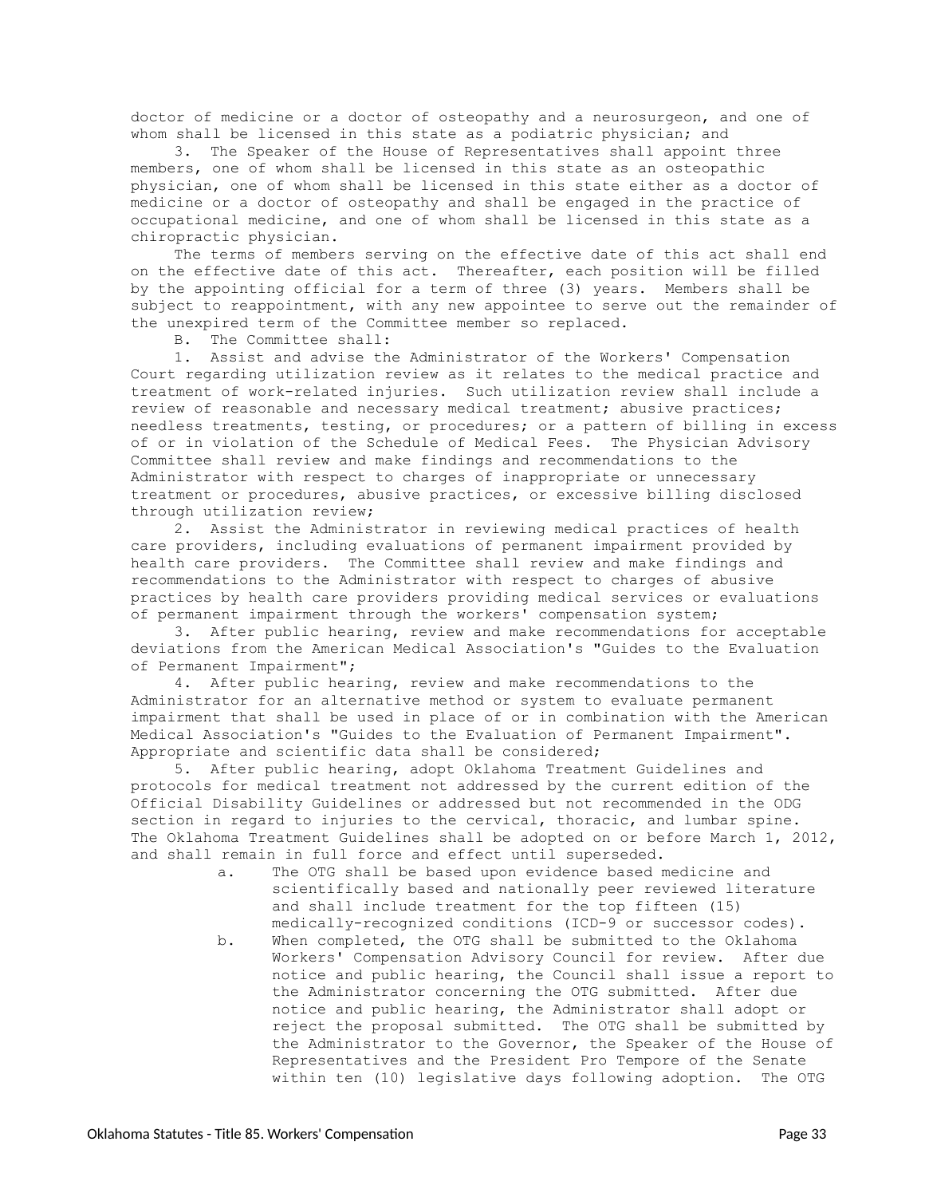doctor of medicine or a doctor of osteopathy and a neurosurgeon, and one of whom shall be licensed in this state as a podiatric physician; and

3. The Speaker of the House of Representatives shall appoint three members, one of whom shall be licensed in this state as an osteopathic physician, one of whom shall be licensed in this state either as a doctor of medicine or a doctor of osteopathy and shall be engaged in the practice of occupational medicine, and one of whom shall be licensed in this state as a chiropractic physician.

The terms of members serving on the effective date of this act shall end on the effective date of this act. Thereafter, each position will be filled by the appointing official for a term of three (3) years. Members shall be subject to reappointment, with any new appointee to serve out the remainder of the unexpired term of the Committee member so replaced.

B. The Committee shall:

1. Assist and advise the Administrator of the Workers' Compensation Court regarding utilization review as it relates to the medical practice and treatment of work-related injuries. Such utilization review shall include a review of reasonable and necessary medical treatment; abusive practices; needless treatments, testing, or procedures; or a pattern of billing in excess of or in violation of the Schedule of Medical Fees. The Physician Advisory Committee shall review and make findings and recommendations to the Administrator with respect to charges of inappropriate or unnecessary treatment or procedures, abusive practices, or excessive billing disclosed through utilization review;

2. Assist the Administrator in reviewing medical practices of health care providers, including evaluations of permanent impairment provided by health care providers. The Committee shall review and make findings and recommendations to the Administrator with respect to charges of abusive practices by health care providers providing medical services or evaluations of permanent impairment through the workers' compensation system;

3. After public hearing, review and make recommendations for acceptable deviations from the American Medical Association's "Guides to the Evaluation of Permanent Impairment";

4. After public hearing, review and make recommendations to the Administrator for an alternative method or system to evaluate permanent impairment that shall be used in place of or in combination with the American Medical Association's "Guides to the Evaluation of Permanent Impairment". Appropriate and scientific data shall be considered;

5. After public hearing, adopt Oklahoma Treatment Guidelines and protocols for medical treatment not addressed by the current edition of the Official Disability Guidelines or addressed but not recommended in the ODG section in regard to injuries to the cervical, thoracic, and lumbar spine. The Oklahoma Treatment Guidelines shall be adopted on or before March 1, 2012, and shall remain in full force and effect until superseded.

- a. The OTG shall be based upon evidence based medicine and scientifically based and nationally peer reviewed literature and shall include treatment for the top fifteen (15) medically-recognized conditions (ICD-9 or successor codes).
- b. When completed, the OTG shall be submitted to the Oklahoma Workers' Compensation Advisory Council for review. After due notice and public hearing, the Council shall issue a report to the Administrator concerning the OTG submitted. After due notice and public hearing, the Administrator shall adopt or reject the proposal submitted. The OTG shall be submitted by the Administrator to the Governor, the Speaker of the House of Representatives and the President Pro Tempore of the Senate within ten (10) legislative days following adoption. The OTG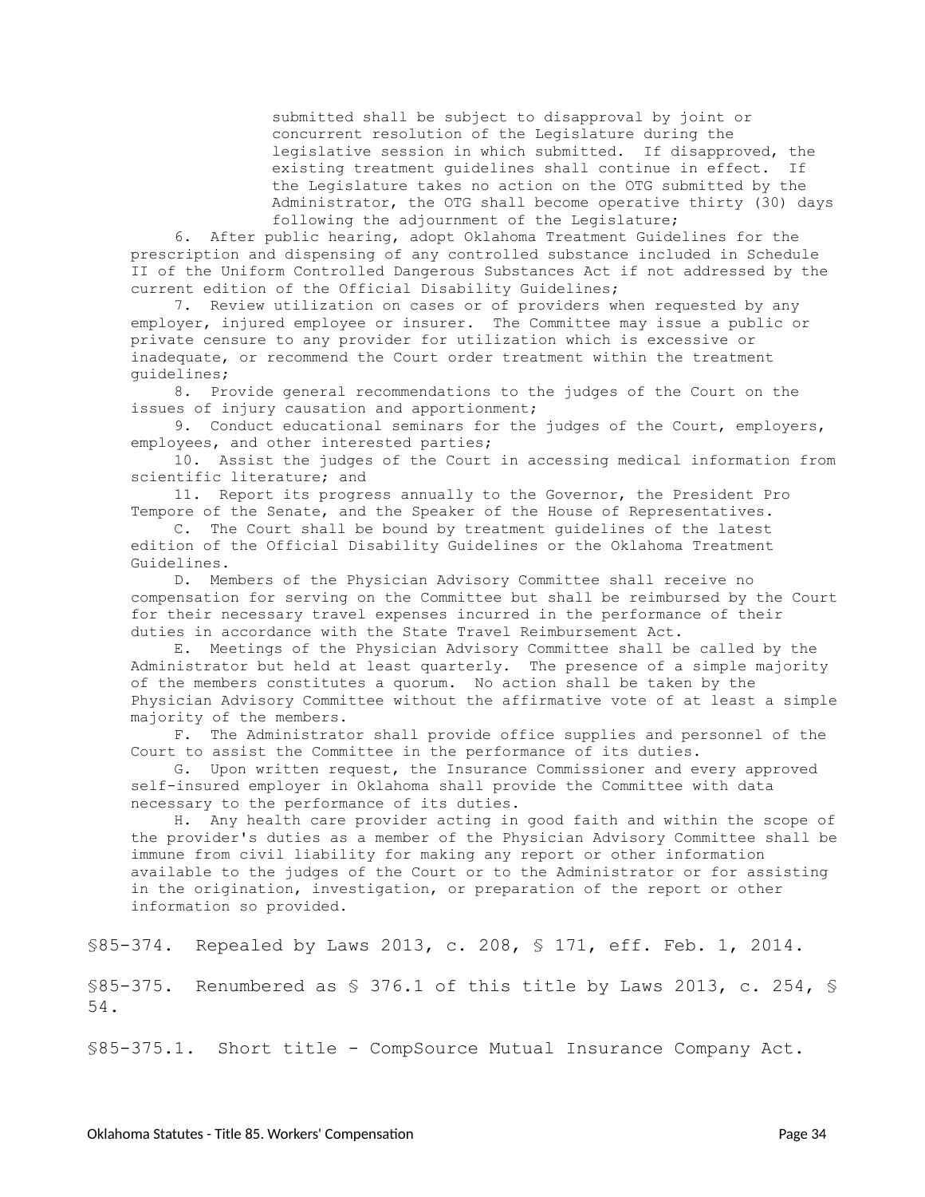submitted shall be subject to disapproval by joint or concurrent resolution of the Legislature during the legislative session in which submitted. If disapproved, the existing treatment guidelines shall continue in effect. If the Legislature takes no action on the OTG submitted by the Administrator, the OTG shall become operative thirty (30) days following the adjournment of the Legislature;

6. After public hearing, adopt Oklahoma Treatment Guidelines for the prescription and dispensing of any controlled substance included in Schedule II of the Uniform Controlled Dangerous Substances Act if not addressed by the current edition of the Official Disability Guidelines;

7. Review utilization on cases or of providers when requested by any employer, injured employee or insurer. The Committee may issue a public or private censure to any provider for utilization which is excessive or inadequate, or recommend the Court order treatment within the treatment guidelines;

8. Provide general recommendations to the judges of the Court on the issues of injury causation and apportionment;

9. Conduct educational seminars for the judges of the Court, employers, employees, and other interested parties;

10. Assist the judges of the Court in accessing medical information from scientific literature; and

11. Report its progress annually to the Governor, the President Pro Tempore of the Senate, and the Speaker of the House of Representatives.

C. The Court shall be bound by treatment guidelines of the latest edition of the Official Disability Guidelines or the Oklahoma Treatment Guidelines.

D. Members of the Physician Advisory Committee shall receive no compensation for serving on the Committee but shall be reimbursed by the Court for their necessary travel expenses incurred in the performance of their duties in accordance with the State Travel Reimbursement Act.

E. Meetings of the Physician Advisory Committee shall be called by the Administrator but held at least quarterly. The presence of a simple majority of the members constitutes a quorum. No action shall be taken by the Physician Advisory Committee without the affirmative vote of at least a simple majority of the members.

F. The Administrator shall provide office supplies and personnel of the Court to assist the Committee in the performance of its duties.

G. Upon written request, the Insurance Commissioner and every approved self-insured employer in Oklahoma shall provide the Committee with data necessary to the performance of its duties.

H. Any health care provider acting in good faith and within the scope of the provider's duties as a member of the Physician Advisory Committee shall be immune from civil liability for making any report or other information available to the judges of the Court or to the Administrator or for assisting in the origination, investigation, or preparation of the report or other information so provided.

<span id="page-33-0"></span>§85-374. Repealed by Laws 2013, c. 208, § 171, eff. Feb. 1, 2014.

<span id="page-33-1"></span>§85-375. Renumbered as § 376.1 of this title by Laws 2013, c. 254, § 54.

<span id="page-33-2"></span>§85-375.1. Short title - CompSource Mutual Insurance Company Act.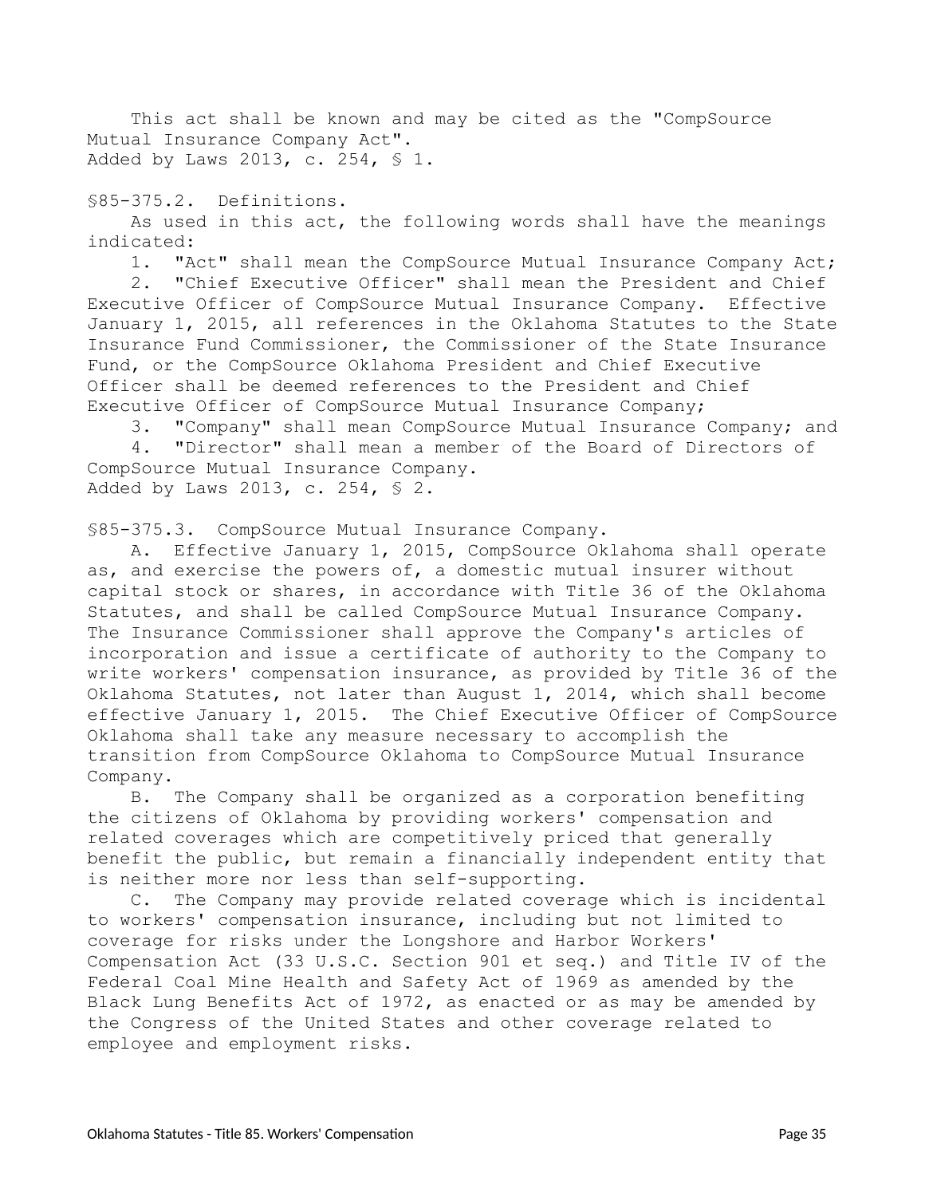This act shall be known and may be cited as the "CompSource Mutual Insurance Company Act". Added by Laws 2013, c. 254, § 1.

<span id="page-34-0"></span>§85-375.2. Definitions.

As used in this act, the following words shall have the meanings indicated:

1. "Act" shall mean the CompSource Mutual Insurance Company Act;

2. "Chief Executive Officer" shall mean the President and Chief Executive Officer of CompSource Mutual Insurance Company. Effective January 1, 2015, all references in the Oklahoma Statutes to the State Insurance Fund Commissioner, the Commissioner of the State Insurance Fund, or the CompSource Oklahoma President and Chief Executive Officer shall be deemed references to the President and Chief Executive Officer of CompSource Mutual Insurance Company;

3. "Company" shall mean CompSource Mutual Insurance Company; and 4. "Director" shall mean a member of the Board of Directors of CompSource Mutual Insurance Company.

Added by Laws 2013, c. 254, § 2.

<span id="page-34-1"></span>§85-375.3. CompSource Mutual Insurance Company.

A. Effective January 1, 2015, CompSource Oklahoma shall operate as, and exercise the powers of, a domestic mutual insurer without capital stock or shares, in accordance with Title 36 of the Oklahoma Statutes, and shall be called CompSource Mutual Insurance Company. The Insurance Commissioner shall approve the Company's articles of incorporation and issue a certificate of authority to the Company to write workers' compensation insurance, as provided by Title 36 of the Oklahoma Statutes, not later than August 1, 2014, which shall become effective January 1, 2015. The Chief Executive Officer of CompSource Oklahoma shall take any measure necessary to accomplish the transition from CompSource Oklahoma to CompSource Mutual Insurance Company.

B. The Company shall be organized as a corporation benefiting the citizens of Oklahoma by providing workers' compensation and related coverages which are competitively priced that generally benefit the public, but remain a financially independent entity that is neither more nor less than self-supporting.

C. The Company may provide related coverage which is incidental to workers' compensation insurance, including but not limited to coverage for risks under the Longshore and Harbor Workers' Compensation Act (33 U.S.C. Section 901 et seq.) and Title IV of the Federal Coal Mine Health and Safety Act of 1969 as amended by the Black Lung Benefits Act of 1972, as enacted or as may be amended by the Congress of the United States and other coverage related to employee and employment risks.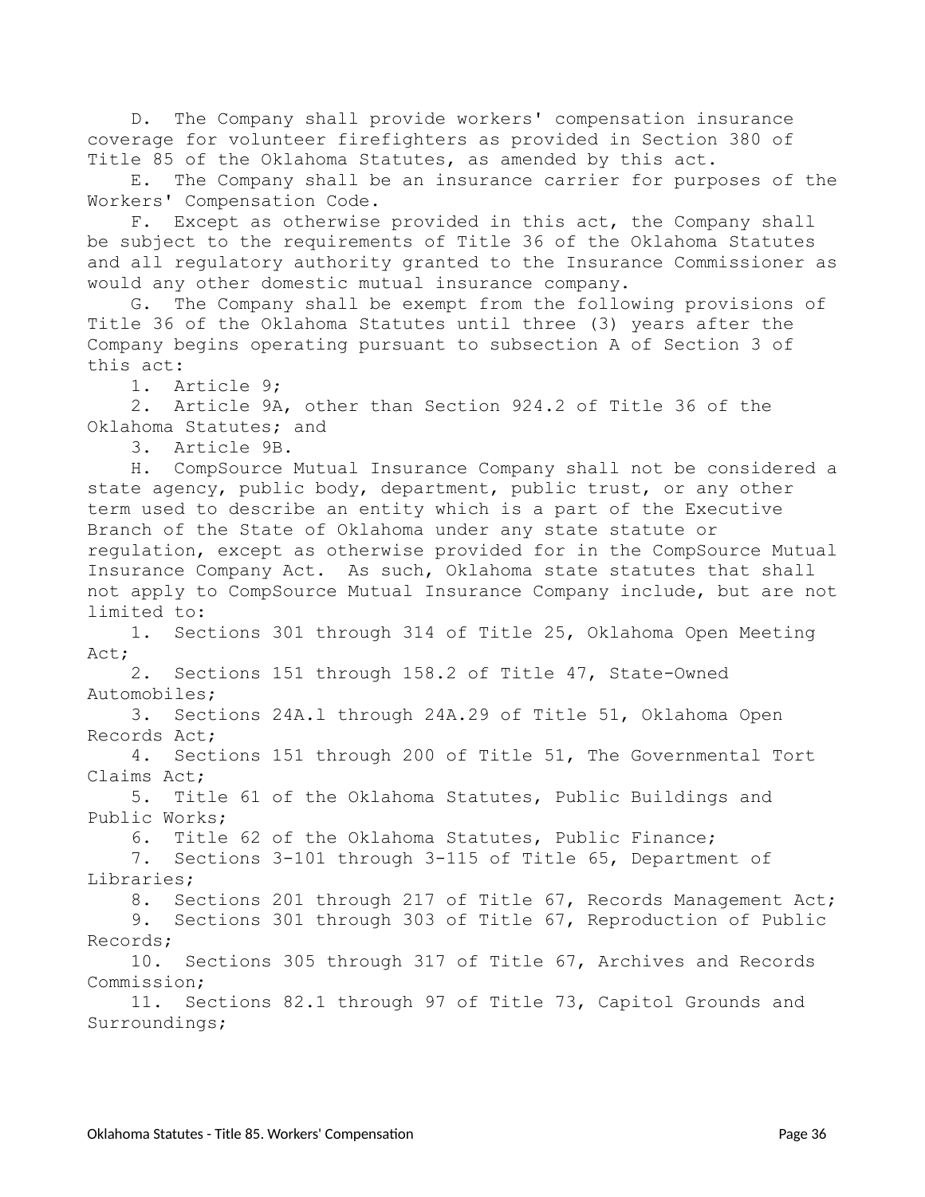D. The Company shall provide workers' compensation insurance coverage for volunteer firefighters as provided in Section 380 of Title 85 of the Oklahoma Statutes, as amended by this act.

E. The Company shall be an insurance carrier for purposes of the Workers' Compensation Code.

F. Except as otherwise provided in this act, the Company shall be subject to the requirements of Title 36 of the Oklahoma Statutes and all regulatory authority granted to the Insurance Commissioner as would any other domestic mutual insurance company.

G. The Company shall be exempt from the following provisions of Title 36 of the Oklahoma Statutes until three (3) years after the Company begins operating pursuant to subsection A of Section 3 of this act:

1. Article 9;

2. Article 9A, other than Section 924.2 of Title 36 of the Oklahoma Statutes; and

3. Article 9B.

H. CompSource Mutual Insurance Company shall not be considered a state agency, public body, department, public trust, or any other term used to describe an entity which is a part of the Executive Branch of the State of Oklahoma under any state statute or regulation, except as otherwise provided for in the CompSource Mutual Insurance Company Act. As such, Oklahoma state statutes that shall not apply to CompSource Mutual Insurance Company include, but are not limited to:

1. Sections 301 through 314 of Title 25, Oklahoma Open Meeting Act;

2. Sections 151 through 158.2 of Title 47, State-Owned Automobiles;

3. Sections 24A.l through 24A.29 of Title 51, Oklahoma Open Records Act;

4. Sections 151 through 200 of Title 51, The Governmental Tort Claims Act;

5. Title 61 of the Oklahoma Statutes, Public Buildings and Public Works;

6. Title 62 of the Oklahoma Statutes, Public Finance;

7. Sections 3-101 through 3-115 of Title 65, Department of Libraries;

8. Sections 201 through 217 of Title 67, Records Management Act;

9. Sections 301 through 303 of Title 67, Reproduction of Public Records;

10. Sections 305 through 317 of Title 67, Archives and Records Commission;

11. Sections 82.1 through 97 of Title 73, Capitol Grounds and Surroundings;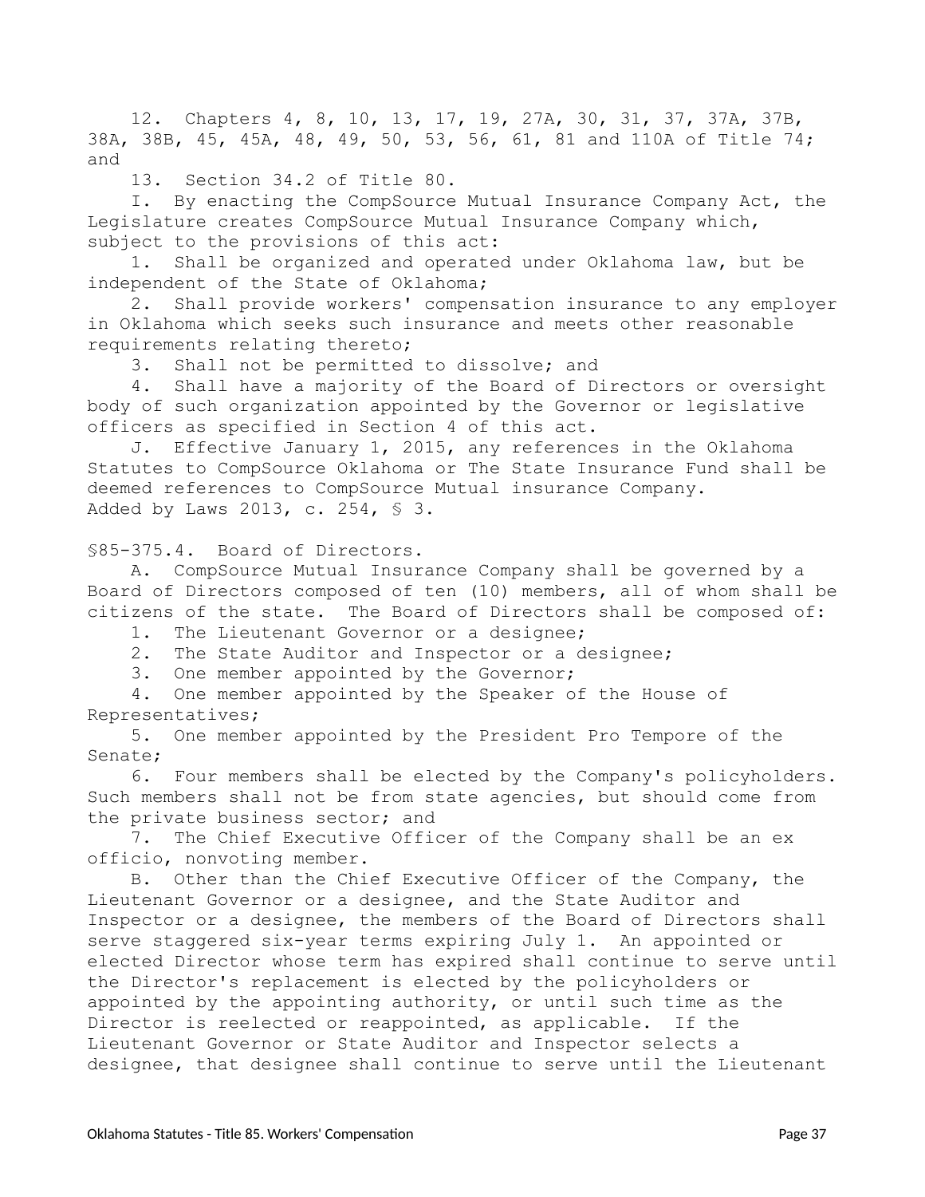12. Chapters 4, 8, 10, 13, 17, 19, 27A, 30, 31, 37, 37A, 37B, 38A, 38B, 45, 45A, 48, 49, 50, 53, 56, 61, 81 and 110A of Title 74; and

13. Section 34.2 of Title 80.

I. By enacting the CompSource Mutual Insurance Company Act, the Legislature creates CompSource Mutual Insurance Company which, subject to the provisions of this act:

1. Shall be organized and operated under Oklahoma law, but be independent of the State of Oklahoma;

2. Shall provide workers' compensation insurance to any employer in Oklahoma which seeks such insurance and meets other reasonable requirements relating thereto;

3. Shall not be permitted to dissolve; and

4. Shall have a majority of the Board of Directors or oversight body of such organization appointed by the Governor or legislative officers as specified in Section 4 of this act.

J. Effective January 1, 2015, any references in the Oklahoma Statutes to CompSource Oklahoma or The State Insurance Fund shall be deemed references to CompSource Mutual insurance Company. Added by Laws 2013, c. 254, § 3.

<span id="page-36-0"></span>§85-375.4. Board of Directors.

A. CompSource Mutual Insurance Company shall be governed by a Board of Directors composed of ten (10) members, all of whom shall be citizens of the state. The Board of Directors shall be composed of:

- 1. The Lieutenant Governor or a designee;
- 2. The State Auditor and Inspector or a designee;

3. One member appointed by the Governor;

4. One member appointed by the Speaker of the House of Representatives;

5. One member appointed by the President Pro Tempore of the Senate;

6. Four members shall be elected by the Company's policyholders. Such members shall not be from state agencies, but should come from the private business sector; and

7. The Chief Executive Officer of the Company shall be an ex officio, nonvoting member.

B. Other than the Chief Executive Officer of the Company, the Lieutenant Governor or a designee, and the State Auditor and Inspector or a designee, the members of the Board of Directors shall serve staggered six-year terms expiring July 1. An appointed or elected Director whose term has expired shall continue to serve until the Director's replacement is elected by the policyholders or appointed by the appointing authority, or until such time as the Director is reelected or reappointed, as applicable. If the Lieutenant Governor or State Auditor and Inspector selects a designee, that designee shall continue to serve until the Lieutenant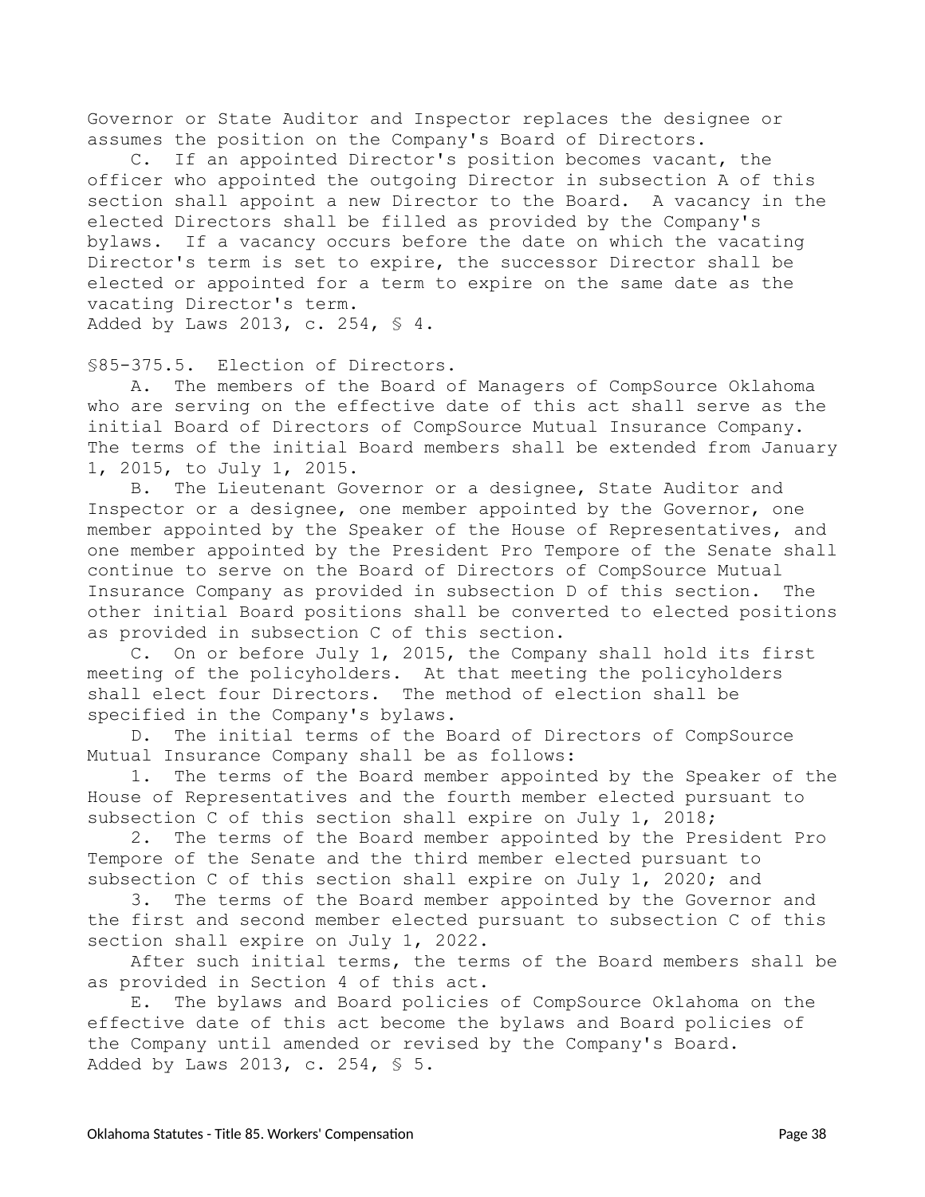Governor or State Auditor and Inspector replaces the designee or assumes the position on the Company's Board of Directors.

C. If an appointed Director's position becomes vacant, the officer who appointed the outgoing Director in subsection A of this section shall appoint a new Director to the Board. A vacancy in the elected Directors shall be filled as provided by the Company's bylaws. If a vacancy occurs before the date on which the vacating Director's term is set to expire, the successor Director shall be elected or appointed for a term to expire on the same date as the vacating Director's term. Added by Laws 2013, c. 254, § 4.

<span id="page-37-0"></span>§85-375.5. Election of Directors.

A. The members of the Board of Managers of CompSource Oklahoma who are serving on the effective date of this act shall serve as the initial Board of Directors of CompSource Mutual Insurance Company. The terms of the initial Board members shall be extended from January 1, 2015, to July 1, 2015.

B. The Lieutenant Governor or a designee, State Auditor and Inspector or a designee, one member appointed by the Governor, one member appointed by the Speaker of the House of Representatives, and one member appointed by the President Pro Tempore of the Senate shall continue to serve on the Board of Directors of CompSource Mutual Insurance Company as provided in subsection D of this section. The other initial Board positions shall be converted to elected positions as provided in subsection C of this section.

C. On or before July 1, 2015, the Company shall hold its first meeting of the policyholders. At that meeting the policyholders shall elect four Directors. The method of election shall be specified in the Company's bylaws.

D. The initial terms of the Board of Directors of CompSource Mutual Insurance Company shall be as follows:

1. The terms of the Board member appointed by the Speaker of the House of Representatives and the fourth member elected pursuant to subsection C of this section shall expire on July 1, 2018;

2. The terms of the Board member appointed by the President Pro Tempore of the Senate and the third member elected pursuant to subsection C of this section shall expire on July 1, 2020; and

3. The terms of the Board member appointed by the Governor and the first and second member elected pursuant to subsection C of this section shall expire on July 1, 2022.

After such initial terms, the terms of the Board members shall be as provided in Section 4 of this act.

E. The bylaws and Board policies of CompSource Oklahoma on the effective date of this act become the bylaws and Board policies of the Company until amended or revised by the Company's Board. Added by Laws 2013, c. 254, § 5.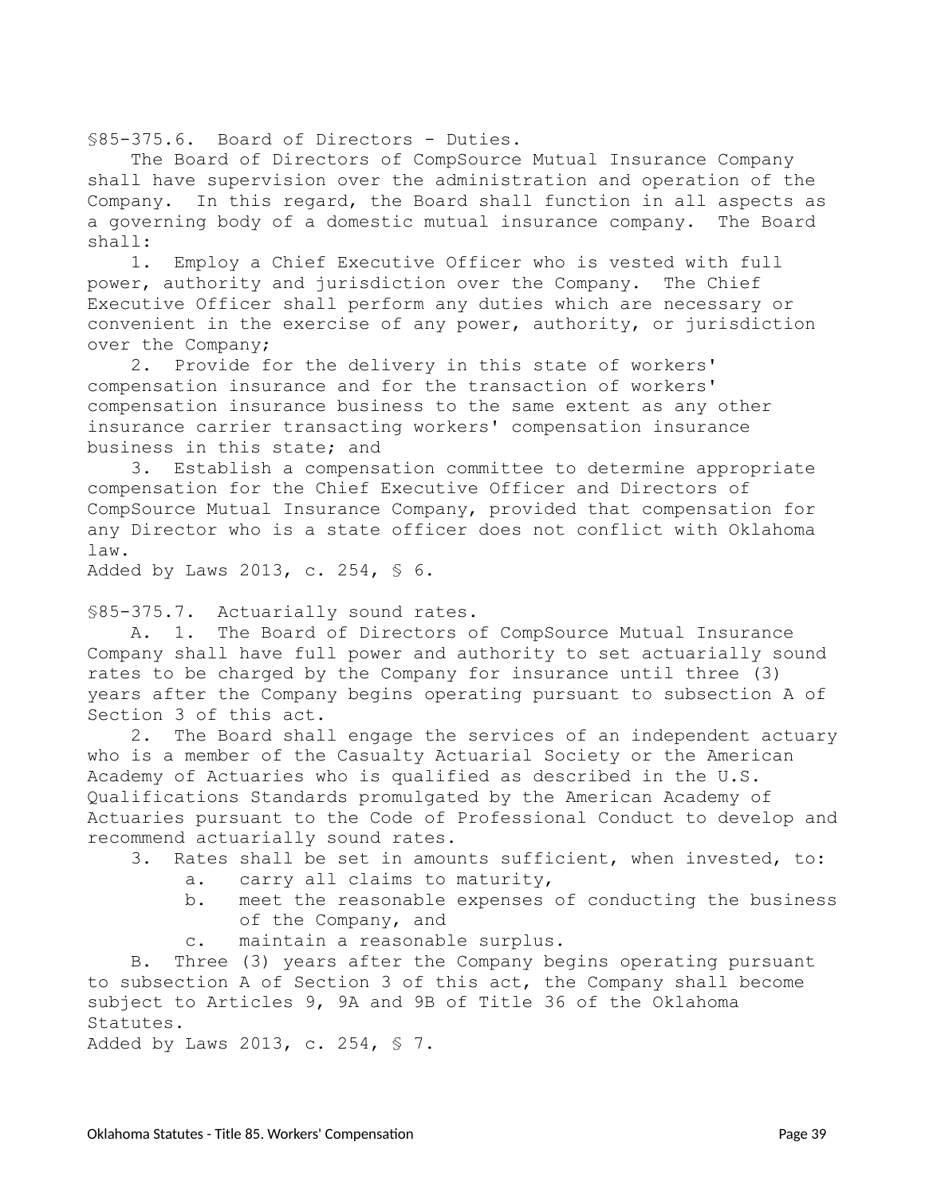<span id="page-38-0"></span>§85-375.6. Board of Directors - Duties.

The Board of Directors of CompSource Mutual Insurance Company shall have supervision over the administration and operation of the Company. In this regard, the Board shall function in all aspects as a governing body of a domestic mutual insurance company. The Board shall:

1. Employ a Chief Executive Officer who is vested with full power, authority and jurisdiction over the Company. The Chief Executive Officer shall perform any duties which are necessary or convenient in the exercise of any power, authority, or jurisdiction over the Company;

2. Provide for the delivery in this state of workers' compensation insurance and for the transaction of workers' compensation insurance business to the same extent as any other insurance carrier transacting workers' compensation insurance business in this state; and

3. Establish a compensation committee to determine appropriate compensation for the Chief Executive Officer and Directors of CompSource Mutual Insurance Company, provided that compensation for any Director who is a state officer does not conflict with Oklahoma law.

Added by Laws 2013, c. 254, § 6.

<span id="page-38-1"></span>§85-375.7. Actuarially sound rates.

A. 1. The Board of Directors of CompSource Mutual Insurance Company shall have full power and authority to set actuarially sound rates to be charged by the Company for insurance until three (3) years after the Company begins operating pursuant to subsection A of Section 3 of this act.

2. The Board shall engage the services of an independent actuary who is a member of the Casualty Actuarial Society or the American Academy of Actuaries who is qualified as described in the U.S. Qualifications Standards promulgated by the American Academy of Actuaries pursuant to the Code of Professional Conduct to develop and recommend actuarially sound rates.

- 3. Rates shall be set in amounts sufficient, when invested, to:
	- a. carry all claims to maturity,
	- b. meet the reasonable expenses of conducting the business of the Company, and
	- c. maintain a reasonable surplus.

B. Three (3) years after the Company begins operating pursuant to subsection A of Section 3 of this act, the Company shall become subject to Articles 9, 9A and 9B of Title 36 of the Oklahoma Statutes.

Added by Laws 2013, c. 254, § 7.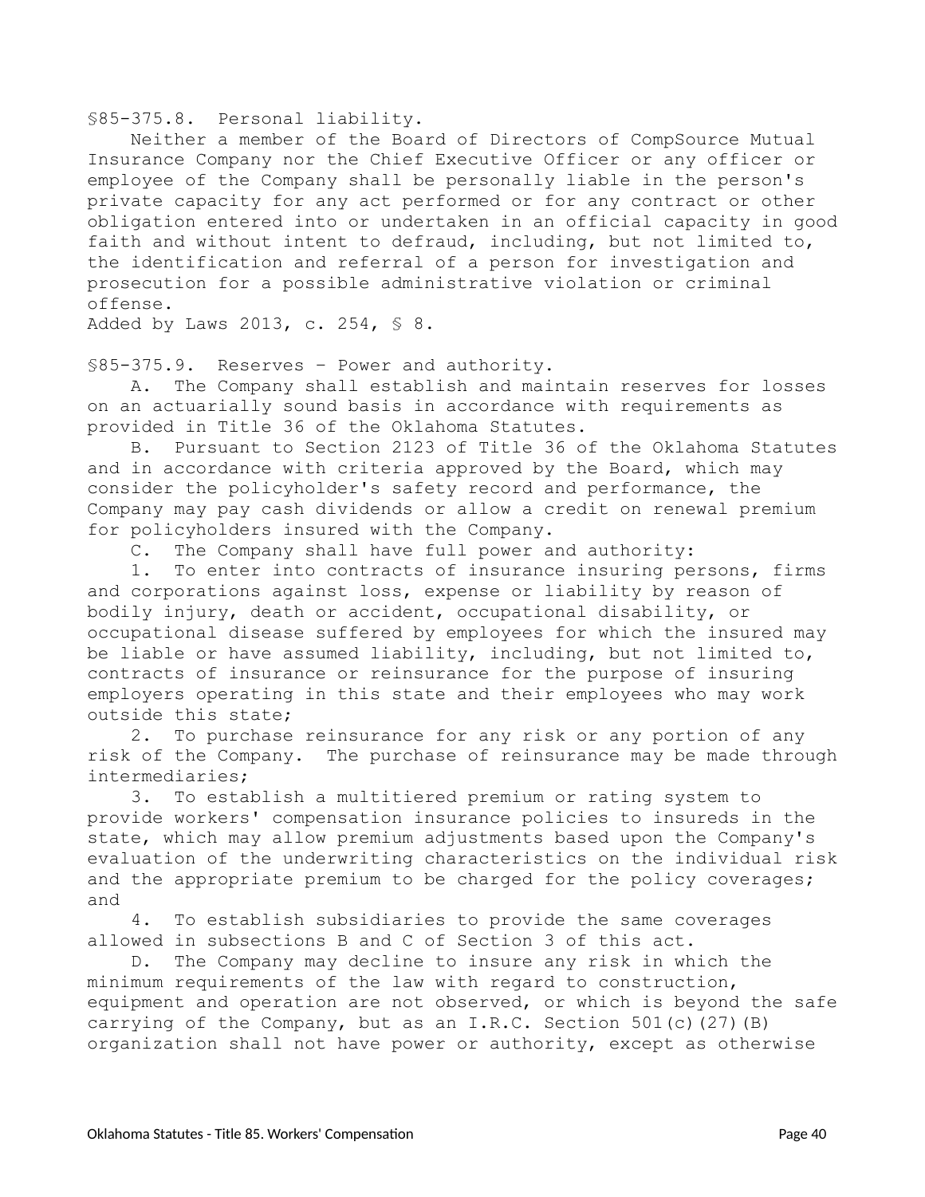<span id="page-39-0"></span>§85-375.8. Personal liability.

Neither a member of the Board of Directors of CompSource Mutual Insurance Company nor the Chief Executive Officer or any officer or employee of the Company shall be personally liable in the person's private capacity for any act performed or for any contract or other obligation entered into or undertaken in an official capacity in good faith and without intent to defraud, including, but not limited to, the identification and referral of a person for investigation and prosecution for a possible administrative violation or criminal offense.

Added by Laws 2013, c. 254, § 8.

<span id="page-39-1"></span>§85-375.9. Reserves – Power and authority.

A. The Company shall establish and maintain reserves for losses on an actuarially sound basis in accordance with requirements as provided in Title 36 of the Oklahoma Statutes.

B. Pursuant to Section 2123 of Title 36 of the Oklahoma Statutes and in accordance with criteria approved by the Board, which may consider the policyholder's safety record and performance, the Company may pay cash dividends or allow a credit on renewal premium for policyholders insured with the Company.

C. The Company shall have full power and authority:

1. To enter into contracts of insurance insuring persons, firms and corporations against loss, expense or liability by reason of bodily injury, death or accident, occupational disability, or occupational disease suffered by employees for which the insured may be liable or have assumed liability, including, but not limited to, contracts of insurance or reinsurance for the purpose of insuring employers operating in this state and their employees who may work outside this state;

2. To purchase reinsurance for any risk or any portion of any risk of the Company. The purchase of reinsurance may be made through intermediaries;

3. To establish a multitiered premium or rating system to provide workers' compensation insurance policies to insureds in the state, which may allow premium adjustments based upon the Company's evaluation of the underwriting characteristics on the individual risk and the appropriate premium to be charged for the policy coverages; and

4. To establish subsidiaries to provide the same coverages allowed in subsections B and C of Section 3 of this act.

D. The Company may decline to insure any risk in which the minimum requirements of the law with regard to construction, equipment and operation are not observed, or which is beyond the safe carrying of the Company, but as an I.R.C. Section 501(c)(27)(B) organization shall not have power or authority, except as otherwise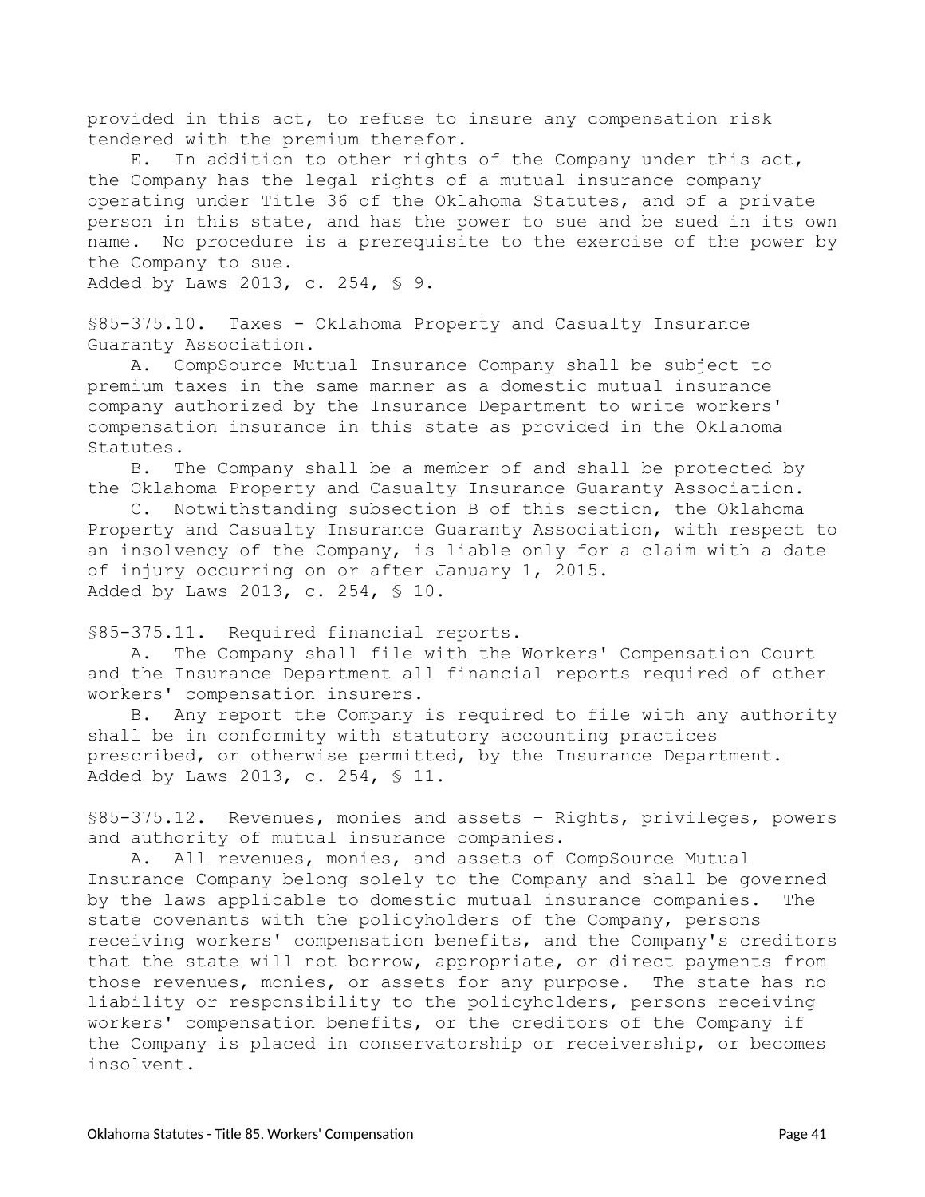provided in this act, to refuse to insure any compensation risk tendered with the premium therefor.

E. In addition to other rights of the Company under this act, the Company has the legal rights of a mutual insurance company operating under Title 36 of the Oklahoma Statutes, and of a private person in this state, and has the power to sue and be sued in its own name. No procedure is a prerequisite to the exercise of the power by the Company to sue.

Added by Laws 2013, c. 254, § 9.

<span id="page-40-0"></span>§85-375.10. Taxes - Oklahoma Property and Casualty Insurance Guaranty Association.

A. CompSource Mutual Insurance Company shall be subject to premium taxes in the same manner as a domestic mutual insurance company authorized by the Insurance Department to write workers' compensation insurance in this state as provided in the Oklahoma Statutes.

B. The Company shall be a member of and shall be protected by the Oklahoma Property and Casualty Insurance Guaranty Association.

C. Notwithstanding subsection B of this section, the Oklahoma Property and Casualty Insurance Guaranty Association, with respect to an insolvency of the Company, is liable only for a claim with a date of injury occurring on or after January 1, 2015. Added by Laws 2013, c. 254, § 10.

<span id="page-40-1"></span>§85-375.11. Required financial reports.

A. The Company shall file with the Workers' Compensation Court and the Insurance Department all financial reports required of other workers' compensation insurers.

B. Any report the Company is required to file with any authority shall be in conformity with statutory accounting practices prescribed, or otherwise permitted, by the Insurance Department. Added by Laws 2013, c. 254, § 11.

<span id="page-40-2"></span>§85-375.12. Revenues, monies and assets – Rights, privileges, powers and authority of mutual insurance companies.

A. All revenues, monies, and assets of CompSource Mutual Insurance Company belong solely to the Company and shall be governed by the laws applicable to domestic mutual insurance companies. The state covenants with the policyholders of the Company, persons receiving workers' compensation benefits, and the Company's creditors that the state will not borrow, appropriate, or direct payments from those revenues, monies, or assets for any purpose. The state has no liability or responsibility to the policyholders, persons receiving workers' compensation benefits, or the creditors of the Company if the Company is placed in conservatorship or receivership, or becomes insolvent.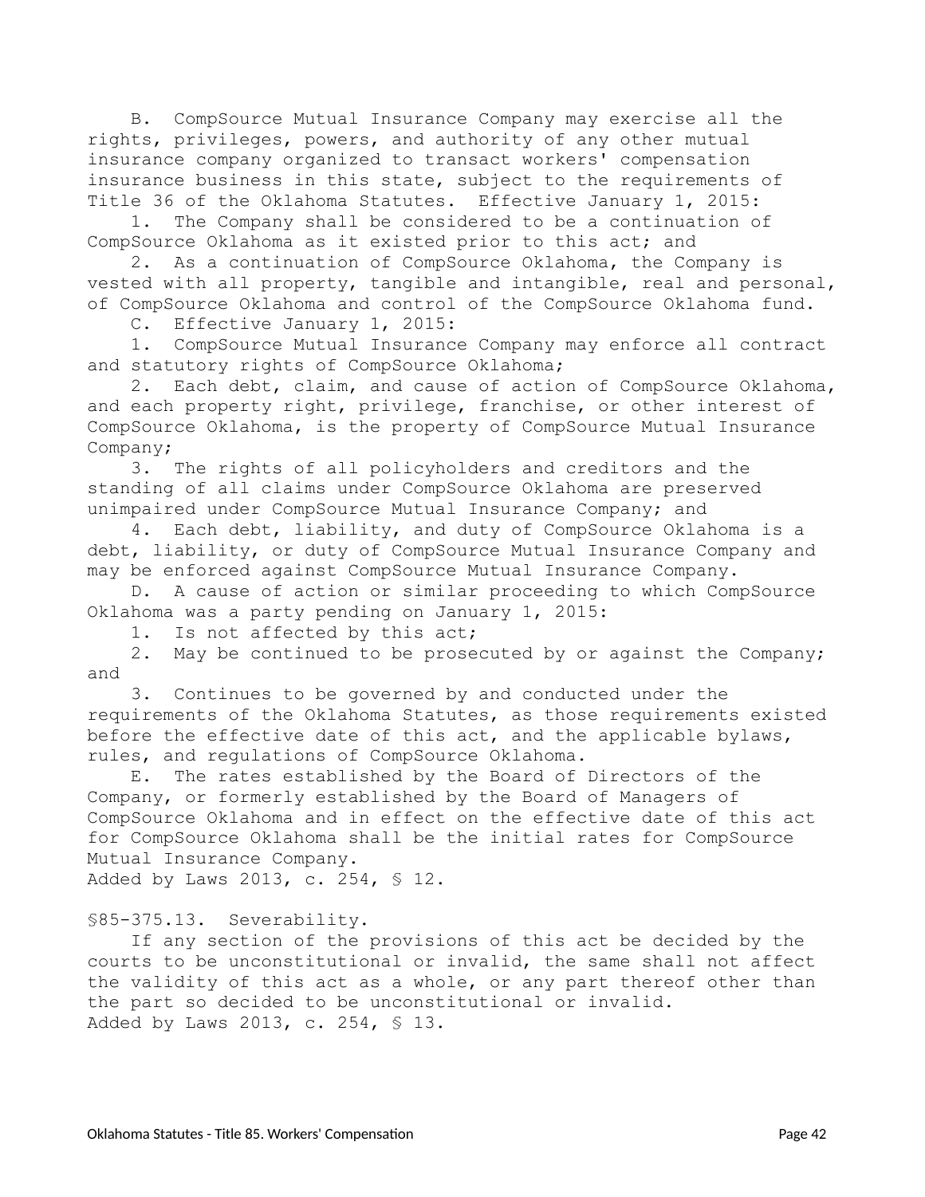B. CompSource Mutual Insurance Company may exercise all the rights, privileges, powers, and authority of any other mutual insurance company organized to transact workers' compensation insurance business in this state, subject to the requirements of Title 36 of the Oklahoma Statutes. Effective January 1, 2015:

1. The Company shall be considered to be a continuation of CompSource Oklahoma as it existed prior to this act; and

2. As a continuation of CompSource Oklahoma, the Company is vested with all property, tangible and intangible, real and personal, of CompSource Oklahoma and control of the CompSource Oklahoma fund.

C. Effective January 1, 2015:

1. CompSource Mutual Insurance Company may enforce all contract and statutory rights of CompSource Oklahoma;

2. Each debt, claim, and cause of action of CompSource Oklahoma, and each property right, privilege, franchise, or other interest of CompSource Oklahoma, is the property of CompSource Mutual Insurance Company;

3. The rights of all policyholders and creditors and the standing of all claims under CompSource Oklahoma are preserved unimpaired under CompSource Mutual Insurance Company; and

4. Each debt, liability, and duty of CompSource Oklahoma is a debt, liability, or duty of CompSource Mutual Insurance Company and may be enforced against CompSource Mutual Insurance Company.

D. A cause of action or similar proceeding to which CompSource Oklahoma was a party pending on January 1, 2015:

1. Is not affected by this act;

2. May be continued to be prosecuted by or against the Company; and

3. Continues to be governed by and conducted under the requirements of the Oklahoma Statutes, as those requirements existed before the effective date of this act, and the applicable bylaws, rules, and regulations of CompSource Oklahoma.

E. The rates established by the Board of Directors of the Company, or formerly established by the Board of Managers of CompSource Oklahoma and in effect on the effective date of this act for CompSource Oklahoma shall be the initial rates for CompSource Mutual Insurance Company.

Added by Laws 2013, c. 254, § 12.

<span id="page-41-0"></span>§85-375.13. Severability.

If any section of the provisions of this act be decided by the courts to be unconstitutional or invalid, the same shall not affect the validity of this act as a whole, or any part thereof other than the part so decided to be unconstitutional or invalid. Added by Laws 2013, c. 254, § 13.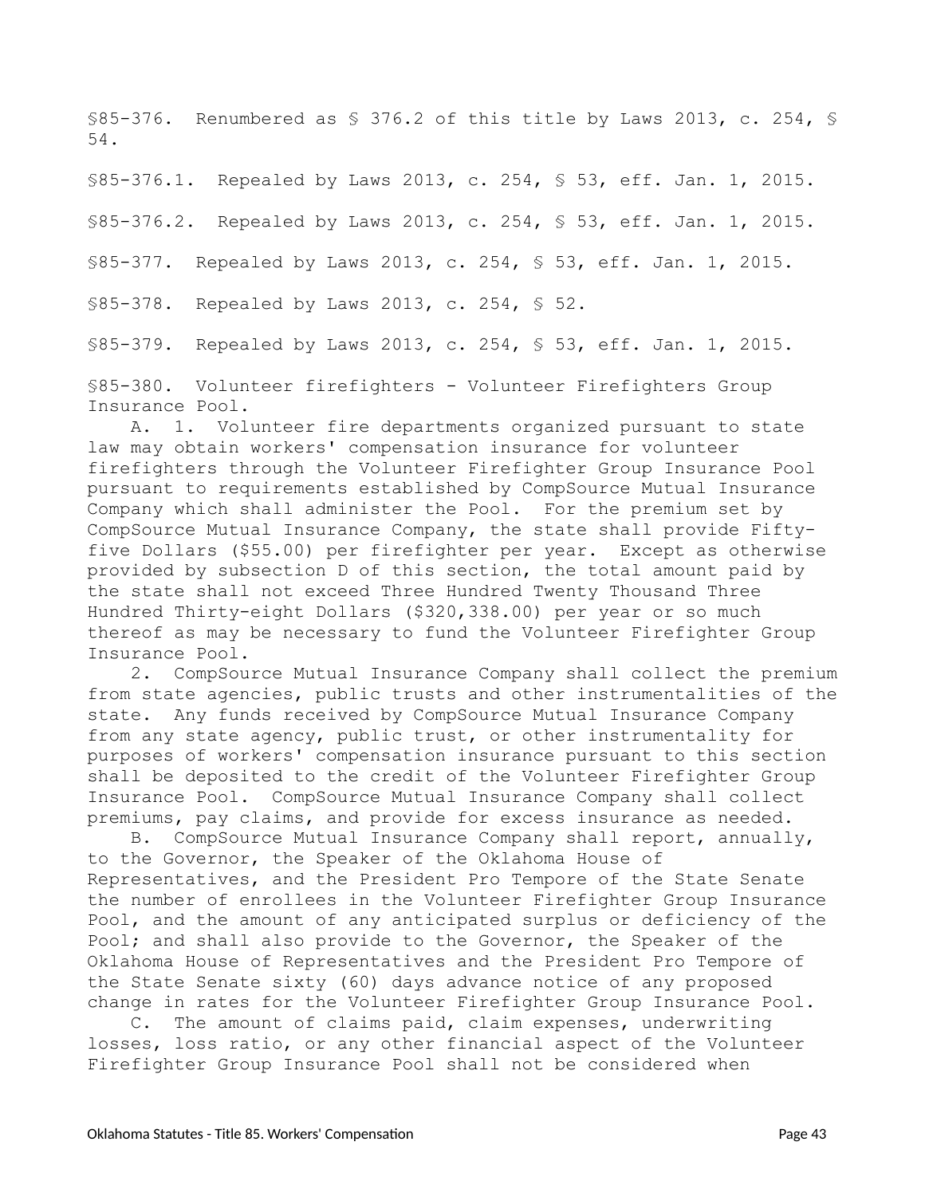<span id="page-42-0"></span>§85-376. Renumbered as § 376.2 of this title by Laws 2013, c. 254, § 54.

<span id="page-42-1"></span>§85-376.1. Repealed by Laws 2013, c. 254, § 53, eff. Jan. 1, 2015.

<span id="page-42-2"></span>§85-376.2. Repealed by Laws 2013, c. 254, § 53, eff. Jan. 1, 2015.

<span id="page-42-3"></span>§85-377. Repealed by Laws 2013, c. 254, § 53, eff. Jan. 1, 2015.

<span id="page-42-4"></span>§85-378. Repealed by Laws 2013, c. 254, § 52.

<span id="page-42-5"></span>§85-379. Repealed by Laws 2013, c. 254, § 53, eff. Jan. 1, 2015.

<span id="page-42-6"></span>§85-380. Volunteer firefighters - Volunteer Firefighters Group Insurance Pool.

A. 1. Volunteer fire departments organized pursuant to state law may obtain workers' compensation insurance for volunteer firefighters through the Volunteer Firefighter Group Insurance Pool pursuant to requirements established by CompSource Mutual Insurance Company which shall administer the Pool. For the premium set by CompSource Mutual Insurance Company, the state shall provide Fiftyfive Dollars (\$55.00) per firefighter per year. Except as otherwise provided by subsection D of this section, the total amount paid by the state shall not exceed Three Hundred Twenty Thousand Three Hundred Thirty-eight Dollars (\$320,338.00) per year or so much thereof as may be necessary to fund the Volunteer Firefighter Group Insurance Pool.

2. CompSource Mutual Insurance Company shall collect the premium from state agencies, public trusts and other instrumentalities of the state. Any funds received by CompSource Mutual Insurance Company from any state agency, public trust, or other instrumentality for purposes of workers' compensation insurance pursuant to this section shall be deposited to the credit of the Volunteer Firefighter Group Insurance Pool. CompSource Mutual Insurance Company shall collect premiums, pay claims, and provide for excess insurance as needed.

B. CompSource Mutual Insurance Company shall report, annually, to the Governor, the Speaker of the Oklahoma House of Representatives, and the President Pro Tempore of the State Senate the number of enrollees in the Volunteer Firefighter Group Insurance Pool, and the amount of any anticipated surplus or deficiency of the Pool; and shall also provide to the Governor, the Speaker of the Oklahoma House of Representatives and the President Pro Tempore of the State Senate sixty (60) days advance notice of any proposed change in rates for the Volunteer Firefighter Group Insurance Pool.

C. The amount of claims paid, claim expenses, underwriting losses, loss ratio, or any other financial aspect of the Volunteer Firefighter Group Insurance Pool shall not be considered when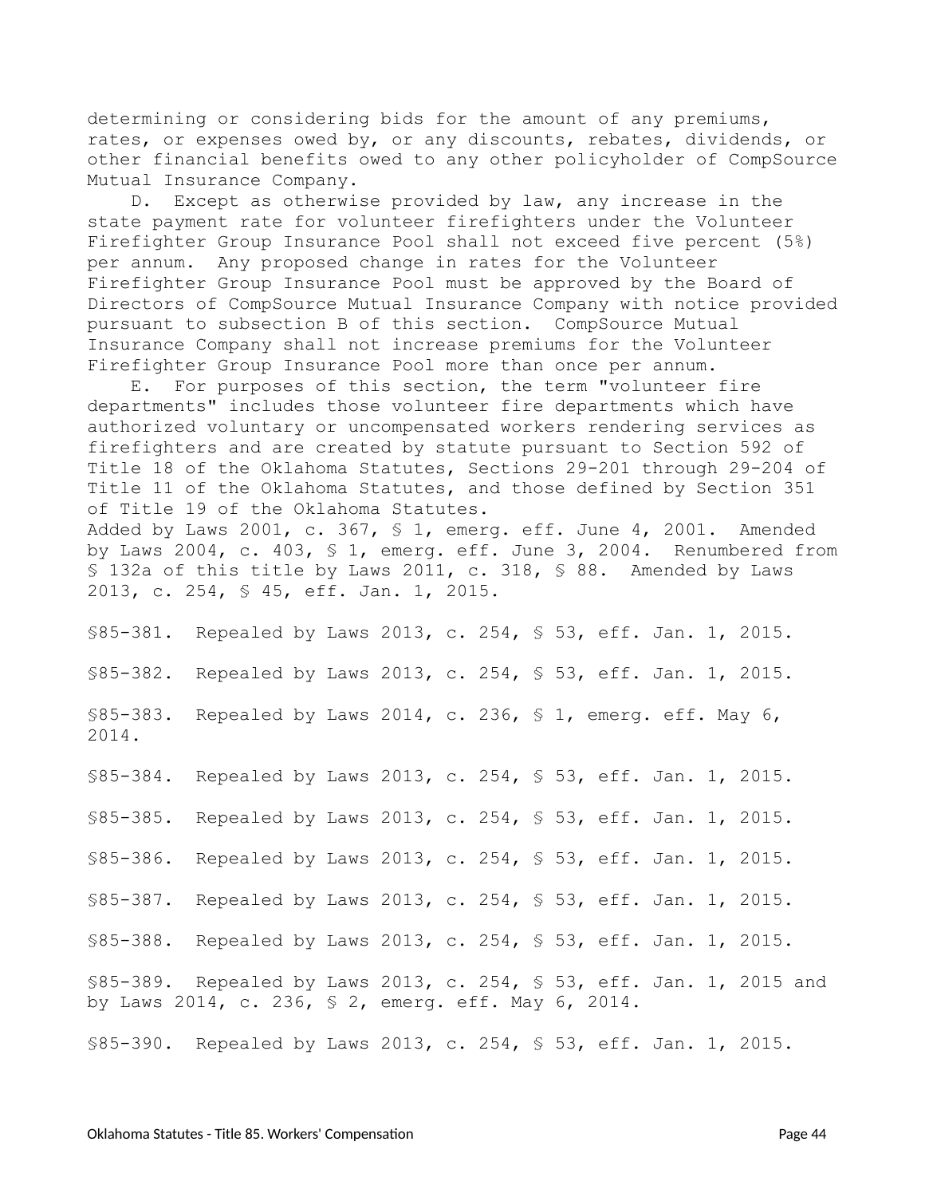determining or considering bids for the amount of any premiums, rates, or expenses owed by, or any discounts, rebates, dividends, or other financial benefits owed to any other policyholder of CompSource Mutual Insurance Company.

D. Except as otherwise provided by law, any increase in the state payment rate for volunteer firefighters under the Volunteer Firefighter Group Insurance Pool shall not exceed five percent (5%) per annum. Any proposed change in rates for the Volunteer Firefighter Group Insurance Pool must be approved by the Board of Directors of CompSource Mutual Insurance Company with notice provided pursuant to subsection B of this section. CompSource Mutual Insurance Company shall not increase premiums for the Volunteer Firefighter Group Insurance Pool more than once per annum.

E. For purposes of this section, the term "volunteer fire departments" includes those volunteer fire departments which have authorized voluntary or uncompensated workers rendering services as firefighters and are created by statute pursuant to Section 592 of Title 18 of the Oklahoma Statutes, Sections 29-201 through 29-204 of Title 11 of the Oklahoma Statutes, and those defined by Section 351 of Title 19 of the Oklahoma Statutes. Added by Laws 2001, c. 367, § 1, emerg. eff. June 4, 2001. Amended by Laws 2004, c. 403, § 1, emerg. eff. June 3, 2004. Renumbered from § 132a of this title by Laws 2011, c. 318, § 88. Amended by Laws

2013, c. 254, § 45, eff. Jan. 1, 2015.

<span id="page-43-0"></span>§85-381. Repealed by Laws 2013, c. 254, § 53, eff. Jan. 1, 2015.

<span id="page-43-1"></span>§85-382. Repealed by Laws 2013, c. 254, § 53, eff. Jan. 1, 2015.

<span id="page-43-2"></span>§85-383. Repealed by Laws 2014, c. 236, § 1, emerg. eff. May 6, 2014.

<span id="page-43-3"></span>§85-384. Repealed by Laws 2013, c. 254, § 53, eff. Jan. 1, 2015.

<span id="page-43-4"></span>§85-385. Repealed by Laws 2013, c. 254, § 53, eff. Jan. 1, 2015.

<span id="page-43-5"></span>§85-386. Repealed by Laws 2013, c. 254, § 53, eff. Jan. 1, 2015.

<span id="page-43-6"></span>§85-387. Repealed by Laws 2013, c. 254, § 53, eff. Jan. 1, 2015.

<span id="page-43-7"></span>§85-388. Repealed by Laws 2013, c. 254, § 53, eff. Jan. 1, 2015.

<span id="page-43-8"></span>§85-389. Repealed by Laws 2013, c. 254, § 53, eff. Jan. 1, 2015 and by Laws 2014, c. 236, § 2, emerg. eff. May 6, 2014.

<span id="page-43-9"></span>§85-390. Repealed by Laws 2013, c. 254, § 53, eff. Jan. 1, 2015.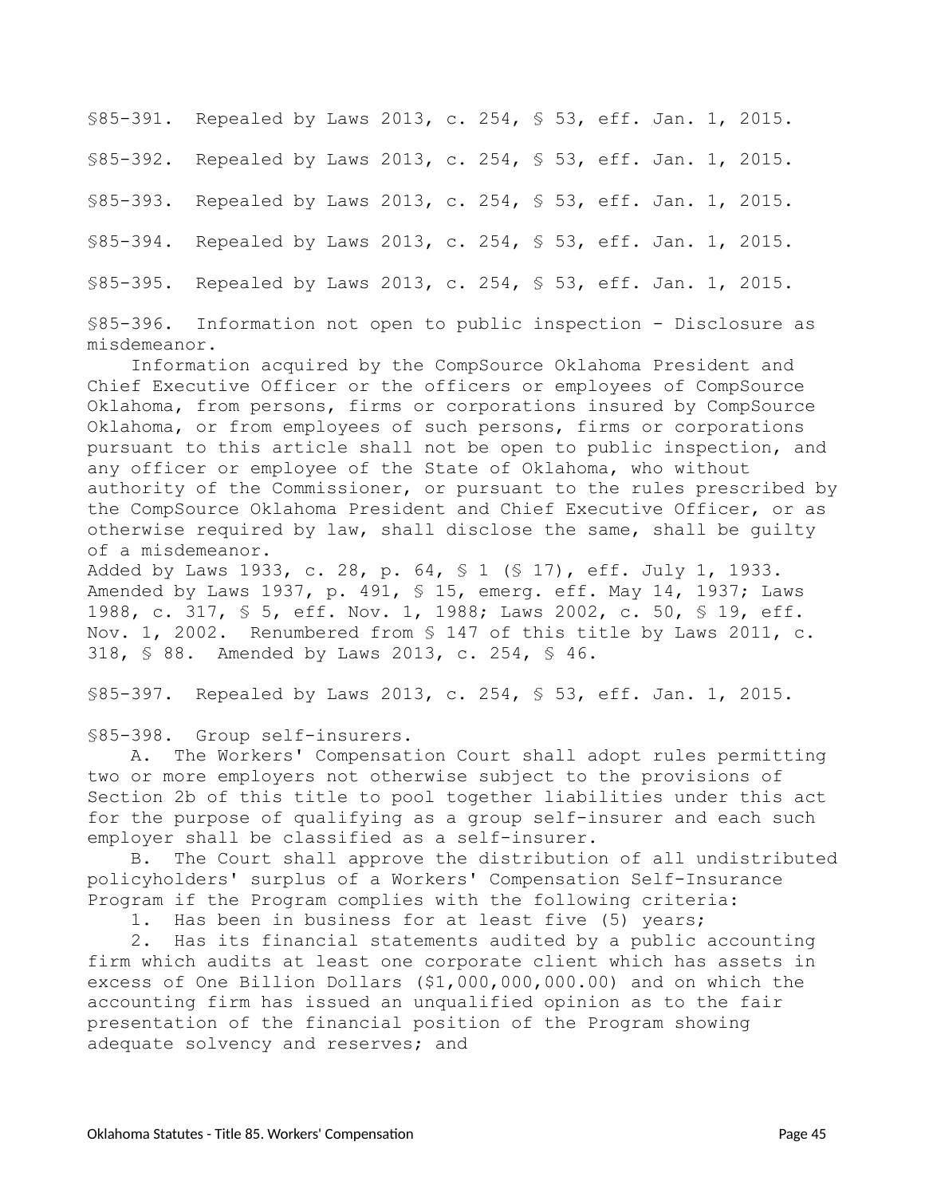<span id="page-44-2"></span><span id="page-44-1"></span><span id="page-44-0"></span>§85-391. Repealed by Laws 2013, c. 254, § 53, eff. Jan. 1, 2015. §85-392. Repealed by Laws 2013, c. 254, § 53, eff. Jan. 1, 2015. §85-393. Repealed by Laws 2013, c. 254, § 53, eff. Jan. 1, 2015. §85-394. Repealed by Laws 2013, c. 254, § 53, eff. Jan. 1, 2015. §85-395. Repealed by Laws 2013, c. 254, § 53, eff. Jan. 1, 2015.

<span id="page-44-5"></span><span id="page-44-4"></span><span id="page-44-3"></span>§85-396. Information not open to public inspection - Disclosure as misdemeanor.

Information acquired by the CompSource Oklahoma President and Chief Executive Officer or the officers or employees of CompSource Oklahoma, from persons, firms or corporations insured by CompSource Oklahoma, or from employees of such persons, firms or corporations pursuant to this article shall not be open to public inspection, and any officer or employee of the State of Oklahoma, who without authority of the Commissioner, or pursuant to the rules prescribed by the CompSource Oklahoma President and Chief Executive Officer, or as otherwise required by law, shall disclose the same, shall be guilty of a misdemeanor.

Added by Laws 1933, c. 28, p. 64, § 1 (§ 17), eff. July 1, 1933. Amended by Laws 1937, p. 491, § 15, emerg. eff. May 14, 1937; Laws 1988, c. 317, § 5, eff. Nov. 1, 1988; Laws 2002, c. 50, § 19, eff. Nov. 1, 2002. Renumbered from § 147 of this title by Laws 2011, c. 318, § 88. Amended by Laws 2013, c. 254, § 46.

<span id="page-44-7"></span>§85-397. Repealed by Laws 2013, c. 254, § 53, eff. Jan. 1, 2015.

<span id="page-44-6"></span>§85-398. Group self-insurers.

A. The Workers' Compensation Court shall adopt rules permitting two or more employers not otherwise subject to the provisions of Section 2b of this title to pool together liabilities under this act for the purpose of qualifying as a group self-insurer and each such employer shall be classified as a self-insurer.

B. The Court shall approve the distribution of all undistributed policyholders' surplus of a Workers' Compensation Self-Insurance Program if the Program complies with the following criteria:

1. Has been in business for at least five (5) years;

2. Has its financial statements audited by a public accounting firm which audits at least one corporate client which has assets in excess of One Billion Dollars (\$1,000,000,000.00) and on which the accounting firm has issued an unqualified opinion as to the fair presentation of the financial position of the Program showing adequate solvency and reserves; and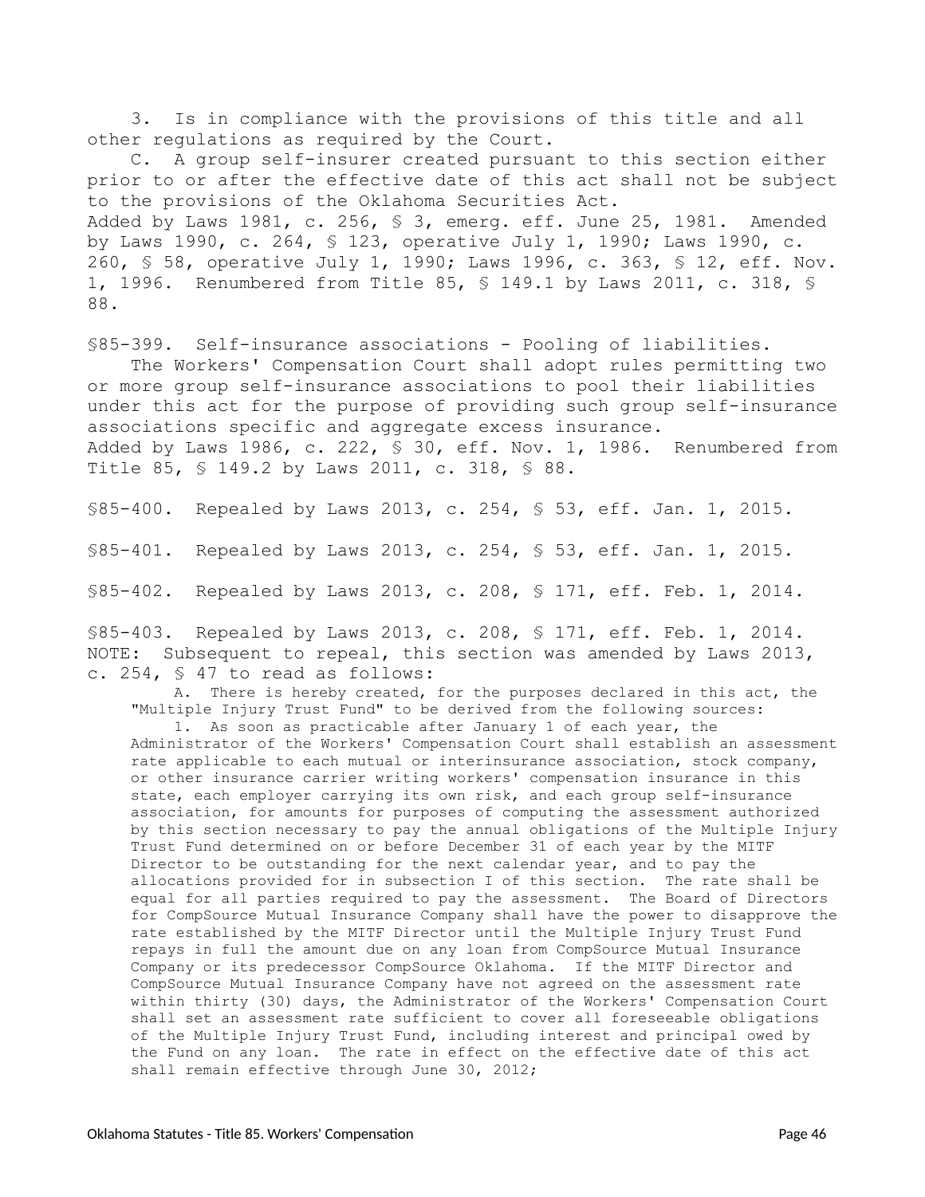3. Is in compliance with the provisions of this title and all other regulations as required by the Court.

C. A group self-insurer created pursuant to this section either prior to or after the effective date of this act shall not be subject to the provisions of the Oklahoma Securities Act. Added by Laws 1981, c. 256, § 3, emerg. eff. June 25, 1981. Amended by Laws 1990, c. 264, § 123, operative July 1, 1990; Laws 1990, c. 260, § 58, operative July 1, 1990; Laws 1996, c. 363, § 12, eff. Nov. 1, 1996. Renumbered from Title 85, § 149.1 by Laws 2011, c. 318, § 88.

<span id="page-45-0"></span>§85-399. Self-insurance associations - Pooling of liabilities.

The Workers' Compensation Court shall adopt rules permitting two or more group self-insurance associations to pool their liabilities under this act for the purpose of providing such group self-insurance associations specific and aggregate excess insurance. Added by Laws 1986, c. 222, § 30, eff. Nov. 1, 1986. Renumbered from Title 85, § 149.2 by Laws 2011, c. 318, § 88.

<span id="page-45-1"></span>§85-400. Repealed by Laws 2013, c. 254, § 53, eff. Jan. 1, 2015.

<span id="page-45-2"></span>§85-401. Repealed by Laws 2013, c. 254, § 53, eff. Jan. 1, 2015.

<span id="page-45-3"></span>§85-402. Repealed by Laws 2013, c. 208, § 171, eff. Feb. 1, 2014.

<span id="page-45-4"></span>§85-403. Repealed by Laws 2013, c. 208, § 171, eff. Feb. 1, 2014. NOTE: Subsequent to repeal, this section was amended by Laws 2013, c. 254, § 47 to read as follows:

A. There is hereby created, for the purposes declared in this act, the "Multiple Injury Trust Fund" to be derived from the following sources:

1. As soon as practicable after January 1 of each year, the Administrator of the Workers' Compensation Court shall establish an assessment rate applicable to each mutual or interinsurance association, stock company, or other insurance carrier writing workers' compensation insurance in this state, each employer carrying its own risk, and each group self-insurance association, for amounts for purposes of computing the assessment authorized by this section necessary to pay the annual obligations of the Multiple Injury Trust Fund determined on or before December 31 of each year by the MITF Director to be outstanding for the next calendar year, and to pay the allocations provided for in subsection I of this section. The rate shall be equal for all parties required to pay the assessment. The Board of Directors for CompSource Mutual Insurance Company shall have the power to disapprove the rate established by the MITF Director until the Multiple Injury Trust Fund repays in full the amount due on any loan from CompSource Mutual Insurance Company or its predecessor CompSource Oklahoma. If the MITF Director and CompSource Mutual Insurance Company have not agreed on the assessment rate within thirty (30) days, the Administrator of the Workers' Compensation Court shall set an assessment rate sufficient to cover all foreseeable obligations of the Multiple Injury Trust Fund, including interest and principal owed by the Fund on any loan. The rate in effect on the effective date of this act shall remain effective through June 30, 2012;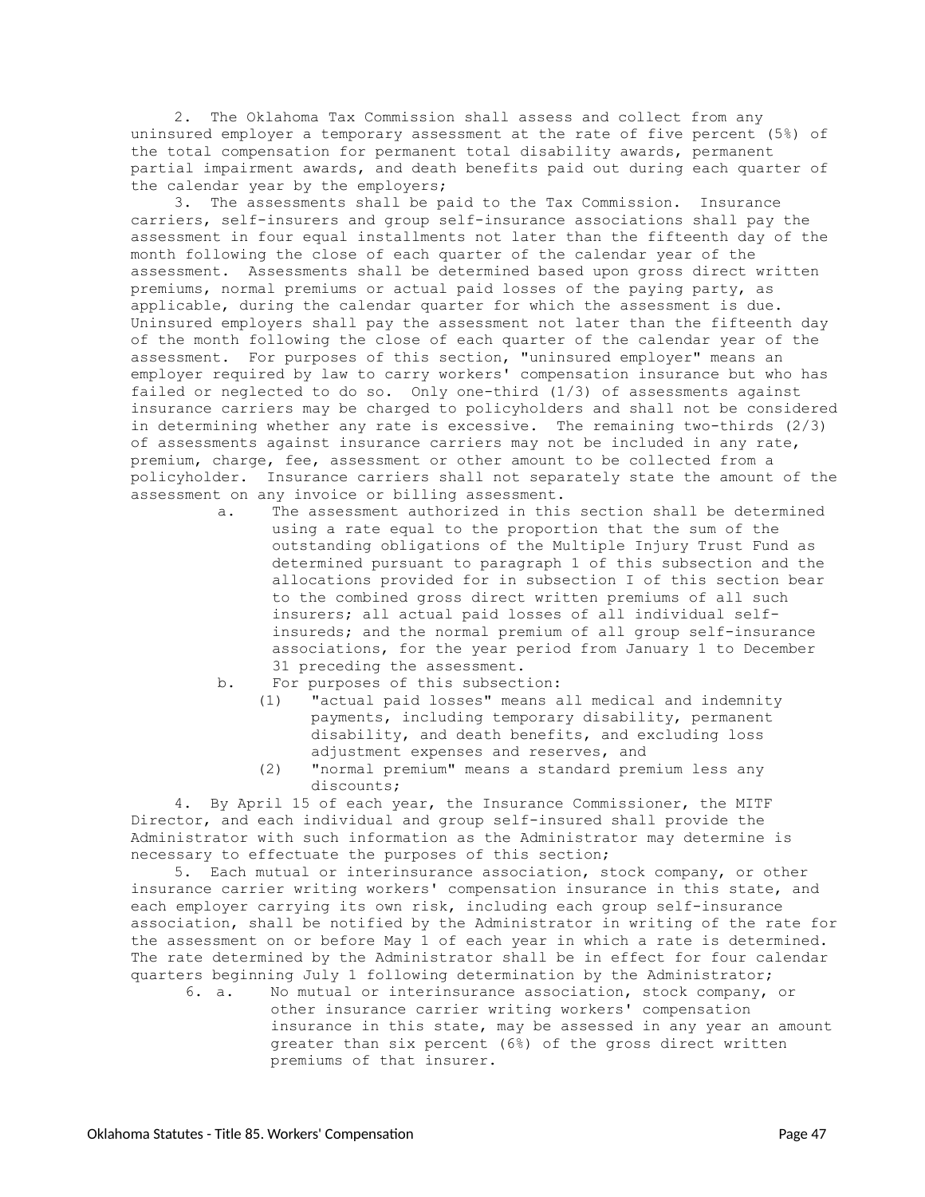2. The Oklahoma Tax Commission shall assess and collect from any uninsured employer a temporary assessment at the rate of five percent (5%) of the total compensation for permanent total disability awards, permanent partial impairment awards, and death benefits paid out during each quarter of the calendar year by the employers;

3. The assessments shall be paid to the Tax Commission. Insurance carriers, self-insurers and group self-insurance associations shall pay the assessment in four equal installments not later than the fifteenth day of the month following the close of each quarter of the calendar year of the assessment. Assessments shall be determined based upon gross direct written premiums, normal premiums or actual paid losses of the paying party, as applicable, during the calendar quarter for which the assessment is due. Uninsured employers shall pay the assessment not later than the fifteenth day of the month following the close of each quarter of the calendar year of the assessment. For purposes of this section, "uninsured employer" means an employer required by law to carry workers' compensation insurance but who has failed or neglected to do so. Only one-third (1/3) of assessments against insurance carriers may be charged to policyholders and shall not be considered in determining whether any rate is excessive. The remaining two-thirds (2/3) of assessments against insurance carriers may not be included in any rate, premium, charge, fee, assessment or other amount to be collected from a policyholder. Insurance carriers shall not separately state the amount of the assessment on any invoice or billing assessment.

- a. The assessment authorized in this section shall be determined using a rate equal to the proportion that the sum of the outstanding obligations of the Multiple Injury Trust Fund as determined pursuant to paragraph 1 of this subsection and the allocations provided for in subsection I of this section bear to the combined gross direct written premiums of all such insurers; all actual paid losses of all individual selfinsureds; and the normal premium of all group self-insurance associations, for the year period from January 1 to December 31 preceding the assessment.
- b. For purposes of this subsection:
	- (1) "actual paid losses" means all medical and indemnity payments, including temporary disability, permanent disability, and death benefits, and excluding loss adjustment expenses and reserves, and
	- (2) "normal premium" means a standard premium less any discounts;

4. By April 15 of each year, the Insurance Commissioner, the MITF Director, and each individual and group self-insured shall provide the Administrator with such information as the Administrator may determine is necessary to effectuate the purposes of this section;

5. Each mutual or interinsurance association, stock company, or other insurance carrier writing workers' compensation insurance in this state, and each employer carrying its own risk, including each group self-insurance association, shall be notified by the Administrator in writing of the rate for the assessment on or before May 1 of each year in which a rate is determined. The rate determined by the Administrator shall be in effect for four calendar quarters beginning July 1 following determination by the Administrator;

6. a. No mutual or interinsurance association, stock company, or other insurance carrier writing workers' compensation insurance in this state, may be assessed in any year an amount greater than six percent (6%) of the gross direct written premiums of that insurer.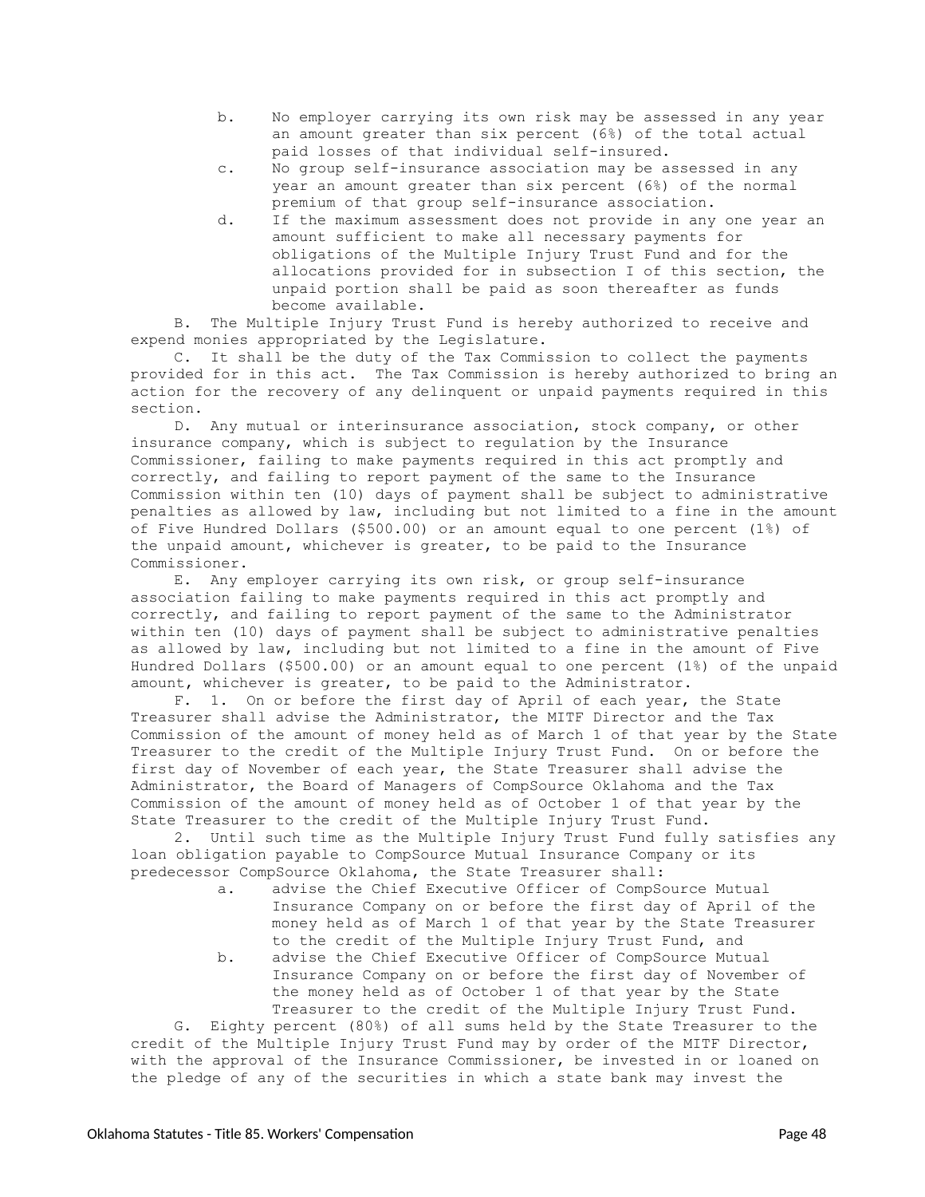- b. No employer carrying its own risk may be assessed in any year an amount greater than six percent (6%) of the total actual paid losses of that individual self-insured.
- c. No group self-insurance association may be assessed in any year an amount greater than six percent (6%) of the normal premium of that group self-insurance association.
- d. If the maximum assessment does not provide in any one year an amount sufficient to make all necessary payments for obligations of the Multiple Injury Trust Fund and for the allocations provided for in subsection I of this section, the unpaid portion shall be paid as soon thereafter as funds become available.

B. The Multiple Injury Trust Fund is hereby authorized to receive and expend monies appropriated by the Legislature.

C. It shall be the duty of the Tax Commission to collect the payments provided for in this act. The Tax Commission is hereby authorized to bring an action for the recovery of any delinquent or unpaid payments required in this section.

D. Any mutual or interinsurance association, stock company, or other insurance company, which is subject to regulation by the Insurance Commissioner, failing to make payments required in this act promptly and correctly, and failing to report payment of the same to the Insurance Commission within ten (10) days of payment shall be subject to administrative penalties as allowed by law, including but not limited to a fine in the amount of Five Hundred Dollars (\$500.00) or an amount equal to one percent (1%) of the unpaid amount, whichever is greater, to be paid to the Insurance Commissioner.

E. Any employer carrying its own risk, or group self-insurance association failing to make payments required in this act promptly and correctly, and failing to report payment of the same to the Administrator within ten (10) days of payment shall be subject to administrative penalties as allowed by law, including but not limited to a fine in the amount of Five Hundred Dollars (\$500.00) or an amount equal to one percent (1%) of the unpaid amount, whichever is greater, to be paid to the Administrator.

F. 1. On or before the first day of April of each year, the State Treasurer shall advise the Administrator, the MITF Director and the Tax Commission of the amount of money held as of March 1 of that year by the State Treasurer to the credit of the Multiple Injury Trust Fund. On or before the first day of November of each year, the State Treasurer shall advise the Administrator, the Board of Managers of CompSource Oklahoma and the Tax Commission of the amount of money held as of October 1 of that year by the State Treasurer to the credit of the Multiple Injury Trust Fund.

2. Until such time as the Multiple Injury Trust Fund fully satisfies any loan obligation payable to CompSource Mutual Insurance Company or its predecessor CompSource Oklahoma, the State Treasurer shall:

- a. advise the Chief Executive Officer of CompSource Mutual Insurance Company on or before the first day of April of the money held as of March 1 of that year by the State Treasurer to the credit of the Multiple Injury Trust Fund, and
- b. advise the Chief Executive Officer of CompSource Mutual Insurance Company on or before the first day of November of the money held as of October 1 of that year by the State Treasurer to the credit of the Multiple Injury Trust Fund.

G. Eighty percent (80%) of all sums held by the State Treasurer to the credit of the Multiple Injury Trust Fund may by order of the MITF Director, with the approval of the Insurance Commissioner, be invested in or loaned on the pledge of any of the securities in which a state bank may invest the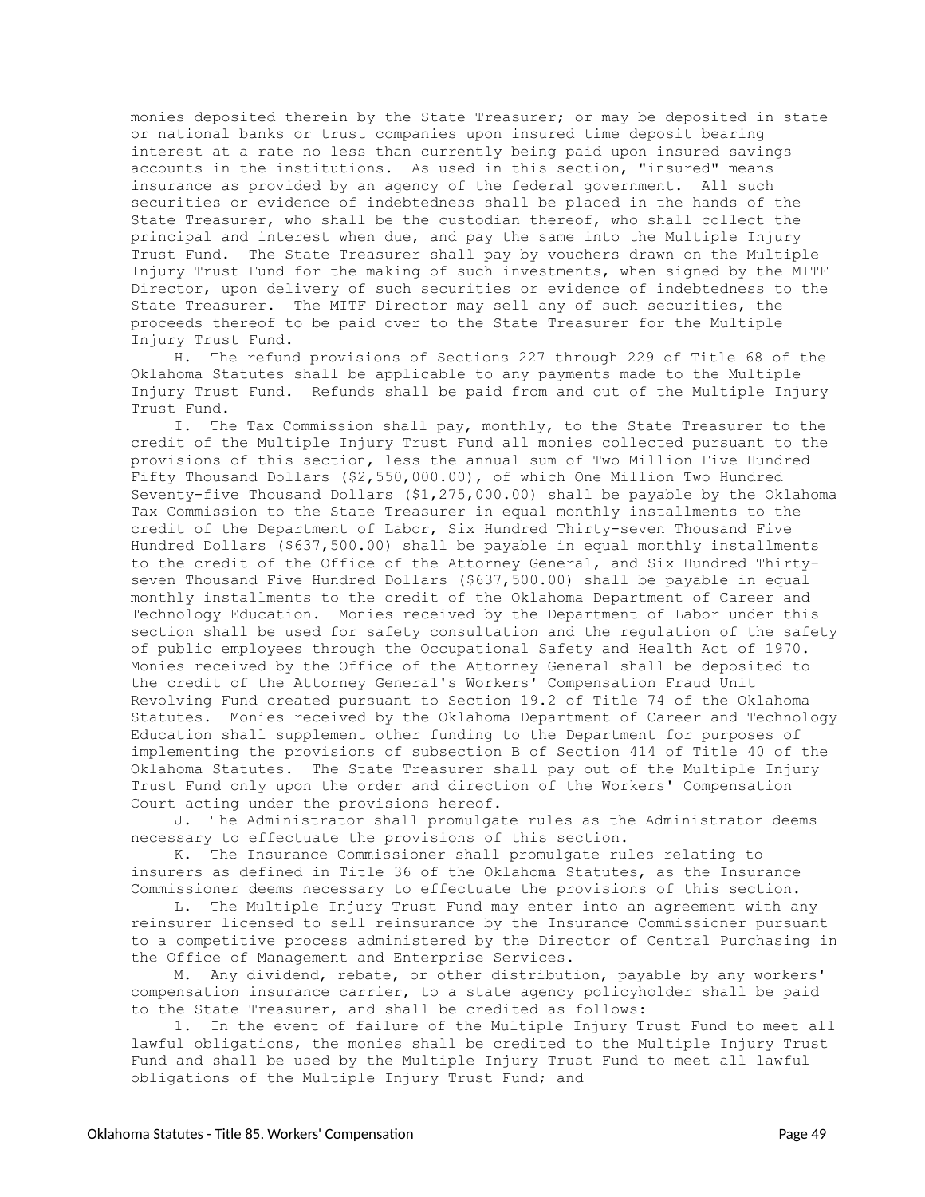monies deposited therein by the State Treasurer; or may be deposited in state or national banks or trust companies upon insured time deposit bearing interest at a rate no less than currently being paid upon insured savings accounts in the institutions. As used in this section, "insured" means insurance as provided by an agency of the federal government. All such securities or evidence of indebtedness shall be placed in the hands of the State Treasurer, who shall be the custodian thereof, who shall collect the principal and interest when due, and pay the same into the Multiple Injury Trust Fund. The State Treasurer shall pay by vouchers drawn on the Multiple Injury Trust Fund for the making of such investments, when signed by the MITF Director, upon delivery of such securities or evidence of indebtedness to the State Treasurer. The MITF Director may sell any of such securities, the proceeds thereof to be paid over to the State Treasurer for the Multiple Injury Trust Fund.

H. The refund provisions of Sections 227 through 229 of Title 68 of the Oklahoma Statutes shall be applicable to any payments made to the Multiple Injury Trust Fund. Refunds shall be paid from and out of the Multiple Injury Trust Fund.

I. The Tax Commission shall pay, monthly, to the State Treasurer to the credit of the Multiple Injury Trust Fund all monies collected pursuant to the provisions of this section, less the annual sum of Two Million Five Hundred Fifty Thousand Dollars (\$2,550,000.00), of which One Million Two Hundred Seventy-five Thousand Dollars (\$1,275,000.00) shall be payable by the Oklahoma Tax Commission to the State Treasurer in equal monthly installments to the credit of the Department of Labor, Six Hundred Thirty-seven Thousand Five Hundred Dollars (\$637,500.00) shall be payable in equal monthly installments to the credit of the Office of the Attorney General, and Six Hundred Thirtyseven Thousand Five Hundred Dollars (\$637,500.00) shall be payable in equal monthly installments to the credit of the Oklahoma Department of Career and Technology Education. Monies received by the Department of Labor under this section shall be used for safety consultation and the regulation of the safety of public employees through the Occupational Safety and Health Act of 1970. Monies received by the Office of the Attorney General shall be deposited to the credit of the Attorney General's Workers' Compensation Fraud Unit Revolving Fund created pursuant to Section 19.2 of Title 74 of the Oklahoma Statutes. Monies received by the Oklahoma Department of Career and Technology Education shall supplement other funding to the Department for purposes of implementing the provisions of subsection B of Section 414 of Title 40 of the Oklahoma Statutes. The State Treasurer shall pay out of the Multiple Injury Trust Fund only upon the order and direction of the Workers' Compensation Court acting under the provisions hereof.

J. The Administrator shall promulgate rules as the Administrator deems necessary to effectuate the provisions of this section.

K. The Insurance Commissioner shall promulgate rules relating to insurers as defined in Title 36 of the Oklahoma Statutes, as the Insurance Commissioner deems necessary to effectuate the provisions of this section.

L. The Multiple Injury Trust Fund may enter into an agreement with any reinsurer licensed to sell reinsurance by the Insurance Commissioner pursuant to a competitive process administered by the Director of Central Purchasing in the Office of Management and Enterprise Services.

M. Any dividend, rebate, or other distribution, payable by any workers' compensation insurance carrier, to a state agency policyholder shall be paid to the State Treasurer, and shall be credited as follows:

1. In the event of failure of the Multiple Injury Trust Fund to meet all lawful obligations, the monies shall be credited to the Multiple Injury Trust Fund and shall be used by the Multiple Injury Trust Fund to meet all lawful obligations of the Multiple Injury Trust Fund; and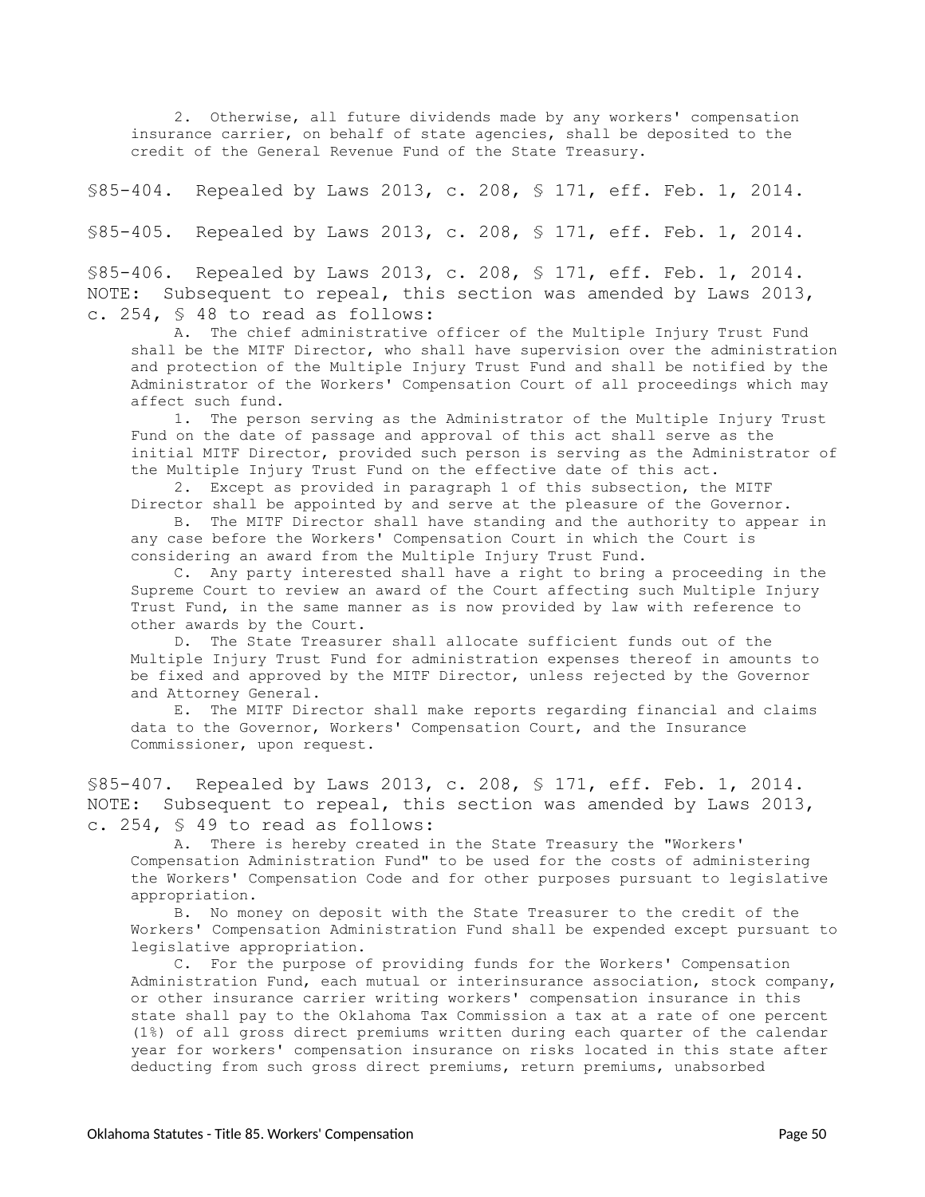2. Otherwise, all future dividends made by any workers' compensation insurance carrier, on behalf of state agencies, shall be deposited to the credit of the General Revenue Fund of the State Treasury.

<span id="page-49-0"></span>§85-404. Repealed by Laws 2013, c. 208, § 171, eff. Feb. 1, 2014.

<span id="page-49-1"></span>§85-405. Repealed by Laws 2013, c. 208, § 171, eff. Feb. 1, 2014.

<span id="page-49-2"></span>§85-406. Repealed by Laws 2013, c. 208, § 171, eff. Feb. 1, 2014. NOTE: Subsequent to repeal, this section was amended by Laws 2013, c. 254, § 48 to read as follows:

A. The chief administrative officer of the Multiple Injury Trust Fund shall be the MITF Director, who shall have supervision over the administration and protection of the Multiple Injury Trust Fund and shall be notified by the Administrator of the Workers' Compensation Court of all proceedings which may affect such fund.

1. The person serving as the Administrator of the Multiple Injury Trust Fund on the date of passage and approval of this act shall serve as the initial MITF Director, provided such person is serving as the Administrator of the Multiple Injury Trust Fund on the effective date of this act.

2. Except as provided in paragraph 1 of this subsection, the MITF Director shall be appointed by and serve at the pleasure of the Governor.

B. The MITF Director shall have standing and the authority to appear in any case before the Workers' Compensation Court in which the Court is considering an award from the Multiple Injury Trust Fund.

C. Any party interested shall have a right to bring a proceeding in the Supreme Court to review an award of the Court affecting such Multiple Injury Trust Fund, in the same manner as is now provided by law with reference to other awards by the Court.

D. The State Treasurer shall allocate sufficient funds out of the Multiple Injury Trust Fund for administration expenses thereof in amounts to be fixed and approved by the MITF Director, unless rejected by the Governor and Attorney General.

E. The MITF Director shall make reports regarding financial and claims data to the Governor, Workers' Compensation Court, and the Insurance Commissioner, upon request.

<span id="page-49-3"></span>§85-407. Repealed by Laws 2013, c. 208, § 171, eff. Feb. 1, 2014. NOTE: Subsequent to repeal, this section was amended by Laws 2013, c. 254, § 49 to read as follows:

A. There is hereby created in the State Treasury the "Workers' Compensation Administration Fund" to be used for the costs of administering the Workers' Compensation Code and for other purposes pursuant to legislative appropriation.

B. No money on deposit with the State Treasurer to the credit of the Workers' Compensation Administration Fund shall be expended except pursuant to legislative appropriation.

C. For the purpose of providing funds for the Workers' Compensation Administration Fund, each mutual or interinsurance association, stock company, or other insurance carrier writing workers' compensation insurance in this state shall pay to the Oklahoma Tax Commission a tax at a rate of one percent (1%) of all gross direct premiums written during each quarter of the calendar year for workers' compensation insurance on risks located in this state after deducting from such gross direct premiums, return premiums, unabsorbed